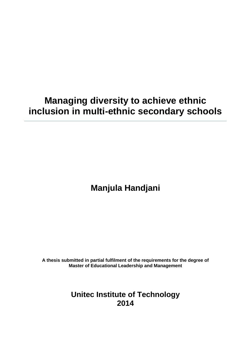# **Managing diversity to achieve ethnic inclusion in multi-ethnic secondary schools**

# **Manjula Handjani**

**A thesis submitted in partial fulfilment of the requirements for the degree of Master of Educational Leadership and Management**

> **Unitec Institute of Technology 2014**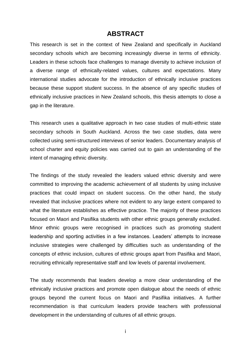### **ABSTRACT**

This research is set in the context of New Zealand and specifically in Auckland secondary schools which are becoming increasingly diverse in terms of ethnicity. Leaders in these schools face challenges to manage diversity to achieve inclusion of a diverse range of ethnically-related values, cultures and expectations. Many international studies advocate for the introduction of ethnically inclusive practices because these support student success. In the absence of any specific studies of ethnically inclusive practices in New Zealand schools, this thesis attempts to close a gap in the literature.

This research uses a qualitative approach in two case studies of multi-ethnic state secondary schools in South Auckland. Across the two case studies, data were collected using semi-structured interviews of senior leaders. Documentary analysis of school charter and equity policies was carried out to gain an understanding of the intent of managing ethnic diversity.

The findings of the study revealed the leaders valued ethnic diversity and were committed to improving the academic achievement of all students by using inclusive practices that could impact on student success. On the other hand, the study revealed that inclusive practices where not evident to any large extent compared to what the literature establishes as effective practice. The majority of these practices focused on Maori and Pasifika students with other ethnic groups generally excluded. Minor ethnic groups were recognised in practices such as promoting student leadership and sporting activities in a few instances. Leaders' attempts to increase inclusive strategies were challenged by difficulties such as understanding of the concepts of ethnic inclusion, cultures of ethnic groups apart from Pasifika and Maori, recruiting ethnically representative staff and low levels of parental involvement.

The study recommends that leaders develop a more clear understanding of the ethnically inclusive practices and promote open dialogue about the needs of ethnic groups beyond the current focus on Maori and Pasifika initiatives. A further recommendation is that curriculum leaders provide teachers with professional development in the understanding of cultures of all ethnic groups.

i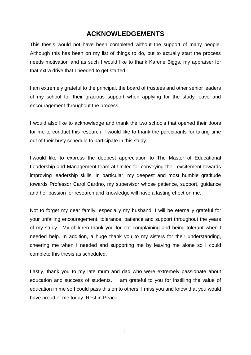### **ACKNOWLEDGEMENTS**

This thesis would not have been completed without the support of many people. Although this has been on my list of things to do, but to actually start the process needs motivation and as such I would like to thank Karene Biggs, my appraiser for that extra drive that I needed to get started.

I am extremely grateful to the principal, the board of trustees and other senior leaders of my school for their gracious support when applying for the study leave and encouragement throughout the process.

I would also like to acknowledge and thank the two schools that opened their doors for me to conduct this research. I would like to thank the participants for taking time out of their busy schedule to participate in this study.

I would like to express the deepest appreciation to The Master of Educational Leadership and Management team at Unitec for conveying their excitement towards improving leadership skills. In particular, my deepest and most humble gratitude towards Professor Carol Cardno, my supervisor whose patience, support, guidance and her passion for research and knowledge will have a lasting effect on me.

Not to forget my dear family, especially my husband, I will be eternally grateful for your unfailing encouragement, tolerance, patience and support throughout the years of my study. My children thank you for not complaining and being tolerant when I needed help. In addition, a huge thank you to my sisters for their understanding, cheering me when I needed and supporting me by leaving me alone so I could complete this thesis as scheduled.

Lastly, thank you to my late mum and dad who were extremely passionate about education and success of students. I am grateful to you for instilling the value of education in me so I could pass this on to others. I miss you and know that you would have proud of me today. Rest in Peace.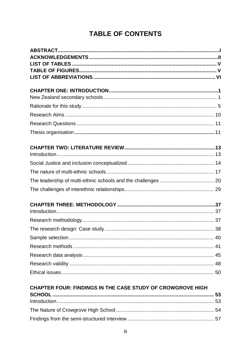## **TABLE OF CONTENTS**

| <b>CHAPTER FOUR: FINDINGS IN THE CASE STUDY OF CROWGROVE HIGH</b> |  |
|-------------------------------------------------------------------|--|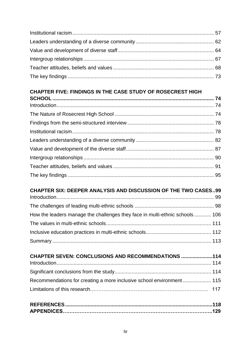## **CHAPTER FIVE: FINDINGS IN THE CASE STUDY OF ROSECREST HIGH**

# **CHAPTER SIX: DEEPER ANALYSIS AND DISCUSSION OF THE TWO CASES..99**

| How the leaders manage the challenges they face in multi-ethnic schools 106 |  |
|-----------------------------------------------------------------------------|--|
|                                                                             |  |
|                                                                             |  |
|                                                                             |  |

| <b>CHAPTER SEVEN: CONCLUSIONS AND RECOMMENDATIONS 114</b>            |
|----------------------------------------------------------------------|
|                                                                      |
|                                                                      |
| Recommendations for creating a more inclusive school environment 115 |
|                                                                      |
|                                                                      |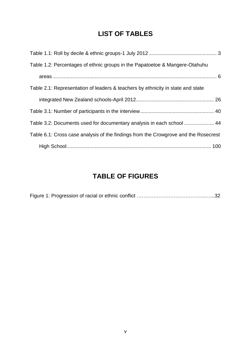### **LIST OF TABLES**

| Table 1.2: Percentages of ethnic groups in the Papatoetoe & Mangere-Otahuhu         |  |
|-------------------------------------------------------------------------------------|--|
|                                                                                     |  |
| Table 2.1: Representation of leaders & teachers by ethnicity in state and state     |  |
|                                                                                     |  |
|                                                                                     |  |
| Table 3.2: Documents used for documentary analysis in each school  44               |  |
| Table 6.1: Cross case analysis of the findings from the Crowgrove and the Rosecrest |  |
|                                                                                     |  |

## **TABLE OF FIGURES**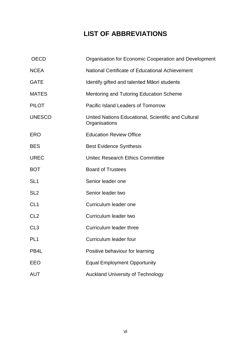## **LIST OF ABBREVIATIONS**

| <b>OECD</b>     | Organisation for Economic Cooperation and Development                |  |  |
|-----------------|----------------------------------------------------------------------|--|--|
| <b>NCEA</b>     | National Certificate of Educational Achievement                      |  |  |
| <b>GATE</b>     | Identify gifted and talented Māori students                          |  |  |
| <b>MATES</b>    | <b>Mentoring and Tutoring Education Scheme</b>                       |  |  |
| <b>PILOT</b>    | Pacific Island Leaders of Tomorrow                                   |  |  |
| <b>UNESCO</b>   | United Nations Educational, Scientific and Cultural<br>Organisations |  |  |
| <b>ERO</b>      | <b>Education Review Office</b>                                       |  |  |
| <b>BES</b>      | <b>Best Evidence Synthesis</b>                                       |  |  |
| <b>UREC</b>     | <b>Unitec Research Ethics Committee</b>                              |  |  |
| <b>BOT</b>      | <b>Board of Trustees</b>                                             |  |  |
| SL <sub>1</sub> | Senior leader one                                                    |  |  |
| SL <sub>2</sub> | Senior leader two                                                    |  |  |
| CL <sub>1</sub> | Curriculum leader one                                                |  |  |
| CL <sub>2</sub> | Curriculum leader two                                                |  |  |
| CL <sub>3</sub> | Curriculum leader three                                              |  |  |
| PL <sub>1</sub> | Curriculum leader four                                               |  |  |
| PB4L            | Positive behaviour for learning                                      |  |  |
| EEO             | <b>Equal Employment Opportunity</b>                                  |  |  |
| <b>AUT</b>      | <b>Auckland University of Technology</b>                             |  |  |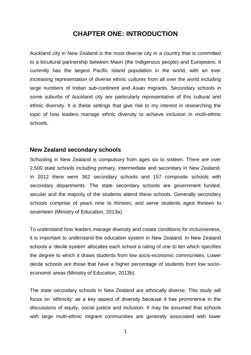### **CHAPTER ONE: INTRODUCTION**

Auckland city in New Zealand is the most diverse city in a country that is committed to a bicultural partnership between Maori (the Indigenous people) and Europeans. It currently has the largest Pacific Island population in the world, with an ever increasing representation of diverse ethnic cultures from all over the world including large numbers of Indian sub-continent and Asian migrants. Secondary schools in some suburbs of Auckland city are particularly representative of this cultural and ethnic diversity. It is these settings that give rise to my interest in researching the topic of how leaders manage ethnic diversity to achieve inclusion in multi-ethnic schools.

#### **New Zealand secondary schools**

Schooling in New Zealand is compulsory from ages six to sixteen. There are over 2,500 state schools including primary, intermediate and secondary in New Zealand. In 2012 there were 362 secondary schools and 157 composite schools with secondary departments. The state secondary schools are government funded, secular and the majority of the students attend these schools. Generally secondary schools comprise of years nine to thirteen, and serve students aged thirteen to seventeen (Ministry of Education, 2013a).

To understand how leaders manage diversity and create conditions for inclusiveness, it is important to understand the education system in New Zealand. In New Zealand schools a 'decile system' allocates each school a rating of one to ten which specifies the degree to which it draws students from low socio-economic communities. Lower decile schools are those that have a higher percentage of students from low socioeconomic areas (Ministry of Education, 2013b).

The state secondary schools in New Zealand are ethnically diverse. This study will focus on 'ethnicity' as a key aspect of diversity because it has prominence in the discussions of equity, social justice and inclusion. It may be assumed that schools with large multi-ethnic migrant communities are generally associated with lower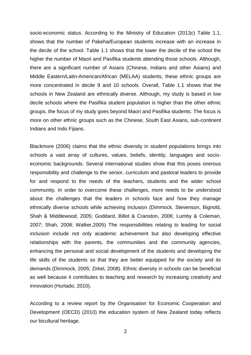socio-economic status. According to the Ministry of Education (2013c) Table 1.1, shows that the number of Pakeha/European students increase with an increase in the decile of the school. Table 1.1 shows that the lower the decile of the school the higher the number of Maori and Pasifika students attending those schools. Although, there are a significant number of Asians (Chinese, Indians and other Asians) and Middle Eastern/Latin-American/African (MELAA) students, these ethnic groups are more concentrated in decile 9 and 10 schools. Overall, Table 1.1 shows that the schools in New Zealand are ethnically diverse. Although, my study is based in low decile schools where the Pasifika student population is higher than the other ethnic groups, the focus of my study goes beyond Maori and Pasifika students. The focus is more on other ethnic groups such as the Chinese, South East Asians, sub-continent Indians and Indo Fijians.

Blackmore (2006) claims that the ethnic diversity in student populations brings into schools a vast array of cultures, values, beliefs, identity, languages and socioeconomic backgrounds. Several international studies show that this poses onerous responsibility and challenge to the senior, curriculum and pastoral leaders to provide for and respond to the needs of the teachers, students and the wider school community. In order to overcome these challenges, more needs to be understood about the challenges that the leaders in schools face and how they manage ethnically diverse schools while achieving inclusion (Dimmock, Stevenson, Bignold, Shah & Middlewood, 2005; Goddard, Billot & Cranston, 2006; Lumby & Coleman, 2007; Shah, 2008; Walker,2005) The responsibilities relating to leading for social inclusion include not only academic achievement but also developing effective relationships with the parents, the communities and the community agencies, enhancing the personal and social development of the students and developing the life skills of the students so that they are better equipped for the society and its demands (Dimmock, 2005; Zirkel, 2008). Ethnic diversity in schools can be beneficial as well because it contributes to teaching and research by increasing creativity and innovation (Hurtado, 2010).

According to a review report by the Organisation for Economic Cooperation and Development (OECD) (2010) the education system of New Zealand today reflects our bicultural heritage.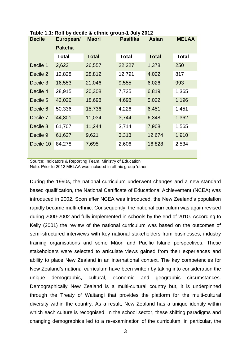| <b>Decile</b> | European/     | <b>Maori</b> | <b>Pasifika</b> | <b>Asian</b> | <b>MELAA</b> |
|---------------|---------------|--------------|-----------------|--------------|--------------|
|               | <b>Pakeha</b> |              |                 |              |              |
|               | Total         | <b>Total</b> | <b>Total</b>    | <b>Total</b> | <b>Total</b> |
| Decile 1      | 2,623         | 26,557       | 22,227          | 1,378        | 250          |
| Decile 2      | 12,828        | 28,812       | 12,791          | 4,022        | 817          |
| Decile 3      | 16,553        | 21,046       | 9,555           | 6,026        | 993          |
| Decile 4      | 28,915        | 20,308       | 7,735           | 6,819        | 1,365        |
| Decile 5      | 42,026        | 18,698       | 4,698           | 5,022        | 1,196        |
| Decile 6      | 50,336        | 15,736       | 4,226           | 6,451        | 1,451        |
| Decile 7      | 44,801        | 11,034       | 3,744           | 6,348        | 1,362        |
| Decile 8      | 61,707        | 11,244       | 3,714           | 7,908        | 1,565        |
| Decile 9      | 61,627        | 9,621        | 3,313           | 12,674       | 1,910        |
| Decile 10     | 84,278        | 7,695        | 2,606           | 16,828       | 2,534        |

<span id="page-9-0"></span>**Table 1.1: Roll by decile & ethnic group-1 July 2012**

Source: Indicators & Reporting Team, Ministry of Education Note: Prior to 2012 MELAA was included in ethnic group 'other'

During the 1990s, the national curriculum underwent changes and a new standard based qualification, the National Certificate of Educational Achievement (NCEA) was introduced in 2002. Soon after NCEA was introduced, the New Zealand's population rapidly became multi-ethnic. Consequently, the national curriculum was again revised during 2000-2002 and fully implemented in schools by the end of 2010. According to Kelly (2001) the review of the national curriculum was based on the outcomes of semi-structured interviews with key national stakeholders from businesses, industry training organisations and some Māori and Pacific Island perspectives. These stakeholders were selected to articulate views gained from their experiences and ability to place New Zealand in an international context. The key competencies for New Zealand's national curriculum have been written by taking into consideration the unique demographic, cultural, economic and geographic circumstances. Demographically New Zealand is a multi-cultural country but, it is underpinned through the Treaty of Waitangi that provides the platform for the multi-cultural diversity within the country. As a result, New Zealand has a unique identity within which each culture is recognised. In the school sector, these shifting paradigms and changing demographics led to a re-examination of the curriculum, in particular, the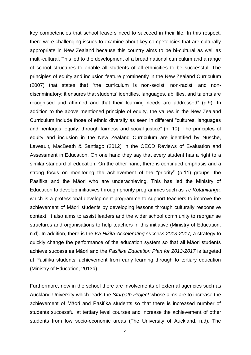key competencies that school leavers need to succeed in their life. In this respect, there were challenging issues to examine about key competencies that are culturally appropriate in New Zealand because this country aims to be bi-cultural as well as multi-cultural. This led to the development of a broad national curriculum and a range of school structures to enable all students of all ethnicities to be successful. The principles of equity and inclusion feature prominently in the New Zealand Curriculum (2007) that states that "the curriculum is non-sexist, non-racist, and nondiscriminatory; it ensures that students' identities, languages, abilities, and talents are recognised and affirmed and that their learning needs are addressed" (p.9). In addition to the above mentioned principle of equity, the values in the New Zealand Curriculum include those of ethnic diversity as seen in different "cultures, languages and heritages, equity, through fairness and social justice" (p. 10). The principles of equity and inclusion in the New Zealand Curriculum are identified by Nusche, Laveault, MacBeath & Santiago (2012) in the OECD Reviews of Evaluation and Assessment in Education. On one hand they say that every student has a right to a similar standard of education. On the other hand, there is continued emphasis and a strong focus on monitoring the achievement of the "priority" (p.11) groups, the Pasifika and the Māori who are underachieving. This has led the Ministry of Education to develop initiatives through priority programmes such as *Te Kotahitanga,* which is a professional development programme to support teachers to improve the achievement of Māori students by developing lessons through culturally responsive context. It also aims to assist leaders and the wider school community to reorganise structures and organisations to help teachers in this initiative (Ministry of Education, n.d). In addition, there is the *Ka Hikita-Accelerating success 2013-2017,* a strategy to quickly change the performance of the education system so that all Māori students achieve success as Māori and the *Pasifika Education Plan for 2013-2017* is targeted at Pasifika students' achievement from early learning through to tertiary education (Ministry of Education, 2013d).

Furthermore, now in the school there are involvements of external agencies such as Auckland University which leads the *Starpath Project* whose aims are to increase the achievement of Māori and Pasifika students so that there is increased number of students successful at tertiary level courses and increase the achievement of other students from low socio-economic areas (The University of Auckland, n.d). The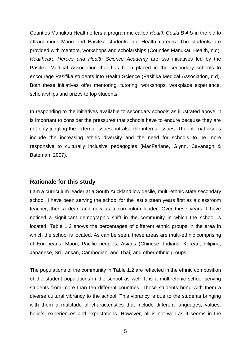Counties Manukau Health offers a programme called *Health Could B 4 U* in the bid to attract more Māori and Pasifika students into Health careers. The students are provided with mentors, workshops and scholarships (Counties Manukau Health, n.d). *Healthcare Heroes and Health Science Academy* are two initiatives led by the Pasifika Medical Association that has been placed in the secondary schools to encourage Pasifika students into Health Science (Pasifika Medical Association, n.d). Both these initiatives offer mentoring, tutoring, workshops, workplace experience, scholarships and prizes to top students.

In responding to the initiatives available to secondary schools as illustrated above, it is important to consider the pressures that schools have to endure because they are not only juggling the external issues but also the internal issues. The internal issues include the increasing ethnic diversity and the need for schools to be more responsive to culturally inclusive pedagogies (MacFarlane, Glynn, Cavanagh & Bateman, 2007).

#### **Rationale for this study**

I am a curriculum leader at a South Auckland low decile, multi-ethnic state secondary school. I have been serving the school for the last sixteen years first as a classroom teacher, then a dean and now as a curriculum leader. Over these years, I have noticed a significant demographic shift in the community in which the school is located. Table 1.2 shows the percentages of different ethnic groups in the area in which the school is located. As can be seen, these areas are multi-ethnic comprising of Europeans, Maori, Pacific peoples, Asians (Chinese, Indians, Korean, Filipino, Japanese, Sri Lankan, Cambodian, and Thai) and other ethnic groups.

The populations of the community in Table 1.2 are reflected in the ethnic composition of the student populations in the school as well. It is a multi-ethnic school serving students from more than ten different countries. These students bring with them a diverse cultural vibrancy to the school. This vibrancy is due to the students bringing with them a multitude of characteristics that include different languages, values, beliefs, experiences and expectations. However, all is not well as it seems in the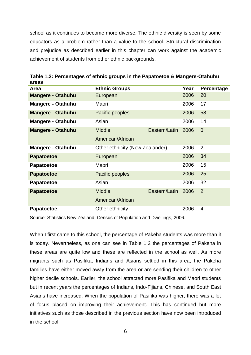school as it continues to become more diverse. The ethnic diversity is seen by some educators as a problem rather than a value to the school. Structural discrimination and prejudice as described earlier in this chapter can work against the academic achievement of students from other ethnic backgrounds.

| <b>Area</b>              | <b>Ethnic Groups</b>            |               | Year | Percentage     |
|--------------------------|---------------------------------|---------------|------|----------------|
| <b>Mangere - Otahuhu</b> | European                        |               | 2006 | 20             |
| <b>Mangere - Otahuhu</b> | Maori                           |               | 2006 | 17             |
| <b>Mangere - Otahuhu</b> | Pacific peoples                 |               | 2006 | 58             |
| <b>Mangere - Otahuhu</b> | Asian                           |               | 2006 | 14             |
| <b>Mangere - Otahuhu</b> | <b>Middle</b>                   | Eastern/Latin | 2006 | $\overline{0}$ |
|                          | American/African                |               |      |                |
| <b>Mangere - Otahuhu</b> | Other ethnicity (New Zealander) |               | 2006 | $\overline{2}$ |
| <b>Papatoetoe</b>        | European                        |               | 2006 | 34             |
| <b>Papatoetoe</b>        | Maori                           |               | 2006 | 15             |
| <b>Papatoetoe</b>        | Pacific peoples                 |               | 2006 | 25             |
| <b>Papatoetoe</b>        | Asian                           |               | 2006 | 32             |
| <b>Papatoetoe</b>        | <b>Middle</b>                   | Eastern/Latin | 2006 | 2              |
|                          | American/African                |               |      |                |
| <b>Papatoetoe</b>        | Other ethnicity                 |               | 2006 | 4              |

<span id="page-12-0"></span>**Table 1.2: Percentages of ethnic groups in the Papatoetoe & Mangere-Otahuhu areas**

Source: Statistics New Zealand, Census of Population and Dwellings, 2006.

When I first came to this school, the percentage of Pakeha students was more than it is today. Nevertheless, as one can see in Table 1.2 the percentages of Pakeha in these areas are quite low and these are reflected in the school as well. As more migrants such as Pasifika, Indians and Asians settled in this area, the Pakeha families have either moved away from the area or are sending their children to other higher decile schools. Earlier, the school attracted more Pasifika and Maori students but in recent years the percentages of Indians, Indo-Fijians, Chinese, and South East Asians have increased. When the population of Pasifika was higher, there was a lot of focus placed on improving their achievement. This has continued but more initiatives such as those described in the previous section have now been introduced in the school.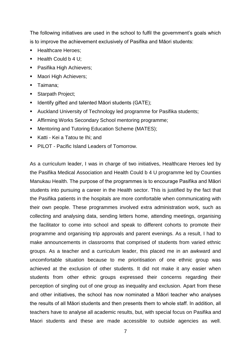The following initiatives are used in the school to fulfil the government's goals which is to improve the achievement exclusively of Pasifika and Māori students:

- Healthcare Heroes;
- $\blacksquare$  Health Could b 4 U;
- **Pasifika High Achievers;**
- Maori High Achievers:
- **Taimana**;
- Starpath Project;
- **IDENTIFY Gifted and talented Maori students (GATE);**
- Auckland University of Technology led programme for Pasifika students;
- Affirming Works Secondary School mentoring programme;
- **Mentoring and Tutoring Education Scheme (MATES);**
- Katti Kei a Tatou te Ihi; and
- **PILOT Pacific Island Leaders of Tomorrow.**

As a curriculum leader, I was in charge of two initiatives, Healthcare Heroes led by the Pasifika Medical Association and Health Could b 4 U programme led by Counties Manukau Health. The purpose of the programmes is to encourage Pasifika and Māori students into pursuing a career in the Health sector. This is justified by the fact that the Pasifika patients in the hospitals are more comfortable when communicating with their own people. These programmes involved extra administration work, such as collecting and analysing data, sending letters home, attending meetings, organising the facilitator to come into school and speak to different cohorts to promote their programme and organising trip approvals and parent evenings. As a result, I had to make announcements in classrooms that comprised of students from varied ethnic groups. As a teacher and a curriculum leader, this placed me in an awkward and uncomfortable situation because to me prioritisation of one ethnic group was achieved at the exclusion of other students. It did not make it any easier when students from other ethnic groups expressed their concerns regarding their perception of singling out of one group as inequality and exclusion. Apart from these and other initiatives, the school has now nominated a Māori teacher who analyses the results of all Māori students and then presents them to whole staff. In addition, all teachers have to analyse all academic results, but, with special focus on Pasifika and Maori students and these are made accessible to outside agencies as well.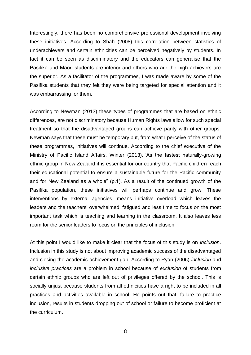Interestingly, there has been no comprehensive professional development involving these initiatives. According to Shah (2008) this correlation between statistics of underachievers and certain ethnicities can be perceived negatively by students. In fact it can be seen as discriminatory and the educators can generalise that the Pasifika and Māori students are inferior and others who are the high achievers are the superior. As a facilitator of the programmes, I was made aware by some of the Pasifika students that they felt they were being targeted for special attention and it was embarrassing for them.

According to Newman (2013) these types of programmes that are based on ethnic differences, are not discriminatory because Human Rights laws allow for such special treatment so that the disadvantaged groups can achieve parity with other groups. Newman says that these must be temporary but, from what I perceive of the status of these programmes, initiatives will continue. According to the chief executive of the Ministry of Pacific Island Affairs, Winter (2013), "As the fastest naturally-growing ethnic group in New Zealand it is essential for our country that Pacific children reach their educational potential to ensure a sustainable future for the Pacific community and for New Zealand as a whole" (p.1). As a result of the continued growth of the Pasifika population, these initiatives will perhaps continue and grow. These interventions by external agencies, means initiative overload which leaves the leaders and the teachers' overwhelmed, fatigued and less time to focus on the most important task which is teaching and learning in the classroom. It also leaves less room for the senior leaders to focus on the principles of inclusion.

At this point I would like to make it clear that the focus of this study is on *inclusion*. Inclusion in this study is not about improving academic success of the disadvantaged and closing the academic achievement gap. According to Ryan (2006) *inclusion* and *inclusive practices* are a problem in school because of *exclusion* of students from certain ethnic groups who are left out of privileges offered by the school. This is socially unjust because students from all ethnicities have a right to be included in all practices and activities available in school. He points out that, failure to practice inclusion, results in students dropping out of school or failure to become proficient at the curriculum.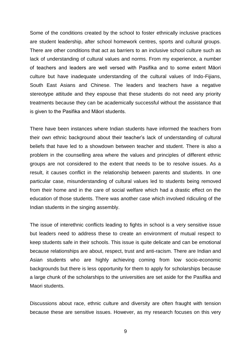Some of the conditions created by the school to foster ethnically inclusive practices are student leadership, after school homework centres, sports and cultural groups. There are other conditions that act as barriers to an inclusive school culture such as lack of understanding of cultural values and norms. From my experience, a number of teachers and leaders are well versed with Pasifika and to some extent Māori culture but have inadequate understanding of the cultural values of Indo-Fijians, South East Asians and Chinese. The leaders and teachers have a negative stereotype attitude and they espouse that these students do not need any priority treatments because they can be academically successful without the assistance that is given to the Pasifika and Māori students.

There have been instances where Indian students have informed the teachers from their own ethnic background about their teacher's lack of understanding of cultural beliefs that have led to a showdown between teacher and student. There is also a problem in the counselling area where the values and principles of different ethnic groups are not considered to the extent that needs to be to resolve issues. As a result, it causes conflict in the relationship between parents and students. In one particular case, misunderstanding of cultural values led to students being removed from their home and in the care of social welfare which had a drastic effect on the education of those students. There was another case which involved ridiculing of the Indian students in the singing assembly.

The issue of interethnic conflicts leading to fights in school is a very sensitive issue but leaders need to address these to create an environment of mutual respect to keep students safe in their schools. This issue is quite delicate and can be emotional because relationships are about, respect, trust and anti-racism. There are Indian and Asian students who are highly achieving coming from low socio-economic backgrounds but there is less opportunity for them to apply for scholarships because a large chunk of the scholarships to the universities are set aside for the Pasifika and Maori students.

Discussions about race, ethnic culture and diversity are often fraught with tension because these are sensitive issues. However, as my research focuses on this very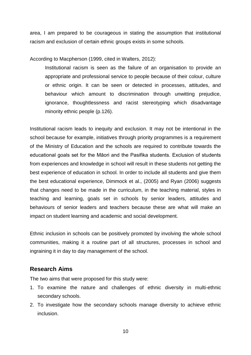area, I am prepared to be courageous in stating the assumption that institutional racism and exclusion of certain ethnic groups exists in some schools.

According to Macpherson (1999, cited in Walters, 2012):

Institutional racism is seen as the failure of an organisation to provide an appropriate and professional service to people because of their colour, culture or ethnic origin. It can be seen or detected in processes, attitudes, and behaviour which amount to discrimination through unwitting prejudice, ignorance, thoughtlessness and racist stereotyping which disadvantage minority ethnic people (p.126).

Institutional racism leads to inequity and exclusion. It may not be intentional in the school because for example, initiatives through priority programmes is a requirement of the Ministry of Education and the schools are required to contribute towards the educational goals set for the Māori and the Pasifika students. Exclusion of students from experiences and knowledge in school will result in these students not getting the best experience of education in school. In order to include all students and give them the best educational experience, Dimmock et al., (2005) and Ryan (2006) suggests that changes need to be made in the curriculum, in the teaching material, styles in teaching and learning, goals set in schools by senior leaders, attitudes and behaviours of senior leaders and teachers because these are what will make an impact on student learning and academic and social development.

Ethnic inclusion in schools can be positively promoted by involving the whole school communities, making it a routine part of all structures, processes in school and ingraining it in day to day management of the school.

#### **Research Aims**

The two aims that were proposed for this study were:

- 1. To examine the nature and challenges of ethnic diversity in multi-ethnic secondary schools.
- 2. To investigate how the secondary schools manage diversity to achieve ethnic inclusion.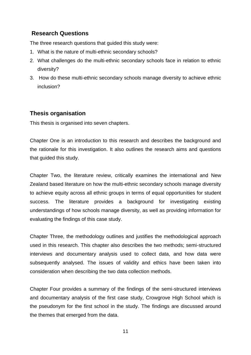### **Research Questions**

The three research questions that guided this study were:

- 1. What is the nature of multi-ethnic secondary schools?
- 2. What challenges do the multi-ethnic secondary schools face in relation to ethnic diversity?
- 3. How do these multi-ethnic secondary schools manage diversity to achieve ethnic inclusion?

#### **Thesis organisation**

This thesis is organised into seven chapters.

Chapter One is an introduction to this research and describes the background and the rationale for this investigation. It also outlines the research aims and questions that guided this study.

Chapter Two, the literature review, critically examines the international and New Zealand based literature on how the multi-ethnic secondary schools manage diversity to achieve equity across all ethnic groups in terms of equal opportunities for student success. The literature provides a background for investigating existing understandings of how schools manage diversity, as well as providing information for evaluating the findings of this case study.

Chapter Three, the methodology outlines and justifies the methodological approach used in this research. This chapter also describes the two methods; semi-structured interviews and documentary analysis used to collect data, and how data were subsequently analysed. The issues of validity and ethics have been taken into consideration when describing the two data collection methods.

Chapter Four provides a summary of the findings of the semi-structured interviews and documentary analysis of the first case study, Crowgrove High School which is the pseudonym for the first school in the study. The findings are discussed around the themes that emerged from the data.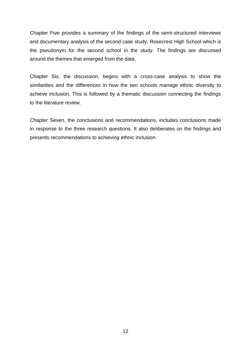Chapter Five provides a summary of the findings of the semi-structured interviews and documentary analysis of the second case study, Rosecrest High School which is the pseudonym for the second school in the study. The findings are discussed around the themes that emerged from the data.

Chapter Six, the discussion, begins with a cross-case analysis to show the similarities and the differences in how the two schools manage ethnic diversity to achieve inclusion. This is followed by a thematic discussion connecting the findings to the literature review.

Chapter Seven, the conclusions and recommendations, includes conclusions made in response to the three research questions. It also deliberates on the findings and presents recommendations to achieving ethnic inclusion.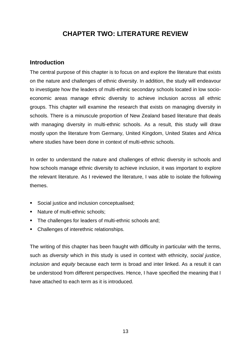### **CHAPTER TWO: LITERATURE REVIEW**

#### **Introduction**

The central purpose of this chapter is to focus on and explore the literature that exists on the nature and challenges of ethnic diversity. In addition, the study will endeavour to investigate how the leaders of multi-ethnic secondary schools located in low socioeconomic areas manage ethnic diversity to achieve inclusion across all ethnic groups. This chapter will examine the research that exists on managing diversity in schools. There is a minuscule proportion of New Zealand based literature that deals with managing diversity in multi-ethnic schools. As a result, this study will draw mostly upon the literature from Germany, United Kingdom, United States and Africa where studies have been done in context of multi-ethnic schools.

In order to understand the nature and challenges of ethnic diversity in schools and how schools manage ethnic diversity to achieve inclusion, it was important to explore the relevant literature. As I reviewed the literature, I was able to isolate the following themes.

- Social justice and inclusion conceptualised;
- Nature of multi-ethnic schools:
- The challenges for leaders of multi-ethnic schools and;
- Challenges of interethnic relationships.

The writing of this chapter has been fraught with difficulty in particular with the terms, such as *diversity* which in this study is used in context with ethnicity, *social justice*, *inclusion* and *equity* because each term is broad and inter linked. As a result it can be understood from different perspectives. Hence, I have specified the meaning that I have attached to each term as it is introduced.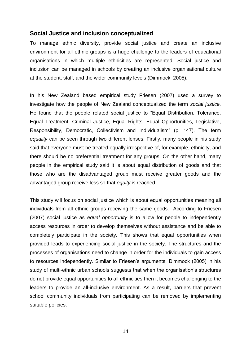#### **Social Justice and inclusion conceptualized**

To manage ethnic diversity, provide social justice and create an inclusive environment for all ethnic groups is a huge challenge to the leaders of educational organisations in which multiple ethnicities are represented. Social justice and inclusion can be managed in schools by creating an inclusive organisational culture at the student, staff, and the wider community levels (Dimmock, 2005).

In his New Zealand based empirical study Friesen (2007) used a survey to investigate how the people of New Zealand conceptualized the term *social justice.*  He found that the people related social justice to "Equal Distribution, Tolerance, Equal Treatment, Criminal Justice, Equal Rights, Equal Opportunities, Legislative, Responsibility, Democratic, Collectivism and Individualism" (p. 147). The term *equality* can be seen through two different lenses. Firstly, many people in his study said that everyone must be treated equally irrespective of, for example, ethnicity, and there should be no preferential treatment for any groups. On the other hand, many people in the empirical study said it is about equal distribution of goods and that those who are the disadvantaged group must receive greater goods and the advantaged group receive less so that *equity* is reached.

This study will focus on social justice which is about equal opportunities meaning all individuals from all ethnic groups receiving the same goods. According to Friesen (2007) social justice as *equal opportunity* is to allow for people to independently access resources in order to develop themselves without assistance and be able to completely participate in the society. This shows that equal opportunities when provided leads to experiencing social justice in the society. The structures and the processes of organisations need to change in order for the individuals to gain access to resources independently. Similar to Friesen's arguments, Dimmock (2005) in his study of multi-ethnic urban schools suggests that when the organisation's structures do not provide equal opportunities to all ethnicities then it becomes challenging to the leaders to provide an all-inclusive environment. As a result, barriers that prevent school community individuals from participating can be removed by implementing suitable policies.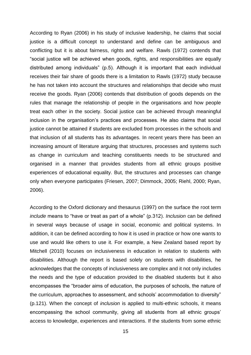According to Ryan (2006) in his study of inclusive leadership, he claims that social justice is a difficult concept to understand and define can be ambiguous and conflicting but it is about fairness, rights and welfare. Rawls (1972) contends that "social justice will be achieved when goods, rights, and responsibilities are equally distributed among individuals" (p.5). Although it is important that each individual receives their fair share of goods there is a limitation to Rawls (1972) study because he has not taken into account the structures and relationships that decide who must receive the goods. Ryan (2006) contends that distribution of goods depends on the rules that manage the relationship of people in the organisations and how people treat each other in the society. Social justice can be achieved through meaningful inclusion in the organisation's practices and processes. He also claims that social justice cannot be attained if students are excluded from processes in the schools and that inclusion of all students has its advantages. In recent years there has been an increasing amount of literature arguing that structures, processes and systems such as change in curriculum and teaching constituents needs to be structured and organised in a manner that provides students from all ethnic groups positive experiences of educational equality. But, the structures and processes can change only when everyone participates (Friesen, 2007; Dimmock, 2005; Riehl, 2000; Ryan, 2006).

According to the Oxford dictionary and thesaurus (1997) on the surface the root term *include* means to "have or treat as part of a whole" (p.312). *Inclusion* can be defined in several ways because of usage in social, economic and political systems. In addition, it can be defined according to how it is used in practice or how one wants to use and would like others to use it. For example, a New Zealand based report by Mitchell (2010) focuses on inclusiveness in education in relation to students with disabilities. Although the report is based solely on students with disabilities, he acknowledges that the concepts of inclusiveness are complex and it not only includes the needs and the type of education provided to the disabled students but it also encompasses the "broader aims of education, the purposes of schools, the nature of the curriculum, approaches to assessment, and schools' accommodation to diversity" (p.121). When the concept of *inclusion* is applied to multi-ethnic schools, it means encompassing the school community, giving all students from all ethnic groups' access to knowledge, experiences and interactions. If the students from some ethnic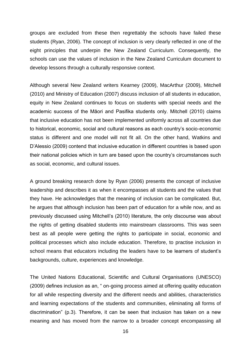groups are excluded from these then regrettably the schools have failed these students (Ryan, 2006). The concept of inclusion is very clearly reflected in one of the eight principles that underpin the New Zealand Curriculum. Consequently, the schools can use the values of inclusion in the New Zealand Curriculum document to develop lessons through a culturally responsive context.

Although several New Zealand writers Kearney (2009), MacArthur (2009), Mitchell (2010) and Ministry of Education (2007) discuss inclusion of all students in education, equity in New Zealand continues to focus on students with special needs and the academic success of the Māori and Pasifika students only. Mitchell (2010) claims that inclusive education has not been implemented uniformly across all countries due to historical, economic, social and cultural reasons as each country's socio-economic status is different and one model will not fit all. On the other hand, Watkins and D'Alessio (2009) contend that inclusive education in different countries is based upon their national policies which in turn are based upon the country's circumstances such as social, economic, and cultural issues.

A ground breaking research done by Ryan (2006) presents the concept of inclusive leadership and describes it as when it encompasses all students and the values that they have. He acknowledges that the meaning of inclusion can be complicated. But, he argues that although inclusion has been part of education for a while now, and as previously discussed using Mitchell's (2010) literature, the only discourse was about the rights of getting disabled students into mainstream classrooms. This was seen best as all people were getting the rights to participate in social, economic and political processes which also include education. Therefore, to practise inclusion in school means that educators including the leaders have to be learners of student's backgrounds, culture, experiences and knowledge.

The United Nations Educational, Scientific and Cultural Organisations (UNESCO) (2009) defines inclusion as an, " on-going process aimed at offering quality education for all while respecting diversity and the different needs and abilities, characteristics and learning expectations of the students and communities, eliminating all forms of discrimination" (p.3). Therefore, it can be seen that inclusion has taken on a new meaning and has moved from the narrow to a broader concept encompassing all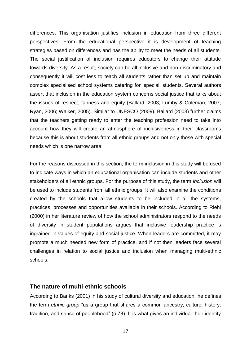differences. This organisation justifies inclusion in education from three different perspectives. From the educational perspective it is development of teaching strategies based on differences and has the ability to meet the needs of all students. The social justification of inclusion requires educators to change their attitude towards diversity. As a result, society can be all inclusive and non-discriminatory and consequently it will cost less to teach all students rather than set up and maintain complex specialised school systems catering for 'special' students. Several authors assert that inclusion in the education system concerns social justice that talks about the issues of respect, fairness and equity (Ballard, 2003; Lumby & Coleman, 2007; Ryan, 2006; Walker, 2005). Similar to UNESCO (2009), Ballard (2003) further claims that the teachers getting ready to enter the teaching profession need to take into account how they will create an atmosphere of inclusiveness in their classrooms because this is about students from all ethnic groups and not only those with special needs which is one narrow area.

For the reasons discussed in this section, the term inclusion in this study will be used to indicate ways in which an educational organisation can include students and other stakeholders of all ethnic groups. For the purpose of this study, the term *inclusion* will be used to include students from all ethnic groups. It will also examine the conditions created by the schools that allow students to be included in all the systems, practices, processes and opportunities available in their schools. According to Riehl (2000) in her literature review of how the school administrators respond to the needs of diversity in student populations argues that inclusive leadership practice is ingrained in values of equity and social justice. When leaders are committed, it may promote a much needed new form of practice, and if not then leaders face several challenges in relation to social justice and inclusion when managing multi-ethnic schools.

#### **The nature of multi-ethnic schools**

According to Banks (2001) in his study of cultural diversity and education, he defines the term *ethnic group* "as a group that shares a common ancestry, culture, history, tradition, and sense of peoplehood" (p.78). It is what gives an individual their identity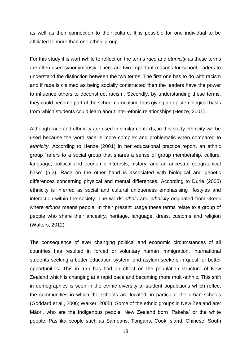as well as their connection to their culture. It is possible for one individual to be affiliated to more than one ethnic group.

For this study it is worthwhile to reflect on the terms *race* and *ethnicity* as these terms are often used synonymously. There are two important reasons for school leaders to understand the distinction between the two terms. The first one has to do with racism and if race is claimed as being socially constructed then the leaders have the power to influence others to deconstruct racism. Secondly, by understanding these terms, they could become part of the school curriculum, thus giving an epistemological basis from which students could learn about inter-ethnic relationships (Henze, 2001).

Although race and ethnicity are used in similar contexts, in this study ethnicity will be used because the word *race* is more complex and problematic when compared to *ethnicity*. According to Henze (2001) in her educational practice report, an ethnic group "refers to a social group that shares a sense of group membership, culture, language, political and economic interests, history, and an ancestral geographical base" (p.2). Race on the other hand is associated with biological and genetic differences concerning physical and mental differences. According to Durie (2005) ethnicity is inferred as social and cultural uniqueness emphasising lifestyles and interaction within the society. The words *ethnic* and *ethnicity* originated from Greek where *ethnos* means people. In their present usage these terms relate to a group of people who share their ancestry, heritage, language, dress, customs and religion (Walters, 2012).

The consequence of ever changing political and economic circumstances of all countries has resulted in forced or voluntary human immigration, international students seeking a better education system, and asylum seekers in quest for better opportunities. This in turn has had an effect on the population structure of New Zealand which is changing at a rapid pace and becoming more multi-ethnic. This shift in demographics is seen in the ethnic diversity of student populations which reflect the communities in which the schools are located, in particular the urban schools (Goddard et al., 2006; Walker, 2005). Some of the ethnic groups in New Zealand are: Māori, who are the Indigenous people, New Zealand born 'Pakeha' or the white people, Pasifika people such as Samoans, Tongans, Cook Island; Chinese, South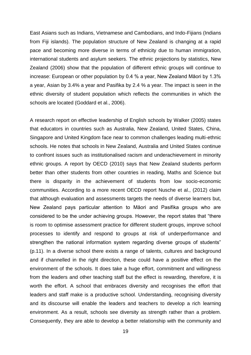East Asians such as Indians, Vietnamese and Cambodians, and Indo-Fijians (Indians from Fiji islands). The population structure of New Zealand is changing at a rapid pace and becoming more diverse in terms of ethnicity due to human immigration, international students and asylum seekers. The ethnic projections by statistics, New Zealand (2006) show that the population of different ethnic groups will continue to increase: European or other population by 0.4 % a year, New Zealand Māori by 1.3% a year, Asian by 3.4% a year and Pasifika by 2.4 % a year. The impact is seen in the ethnic diversity of student population which reflects the communities in which the schools are located (Goddard et al., 2006).

A research report on effective leadership of English schools by Walker (2005) states that educators in countries such as Australia, New Zealand, United States, China, Singapore and United Kingdom face near to common challenges leading multi-ethnic schools. He notes that schools in New Zealand, Australia and United States continue to confront issues such as institutionalised racism and underachievement in minority ethnic groups. A report by OECD (2010) says that New Zealand students perform better than other students from other countries in reading, Maths and Science but there is disparity in the achievement of students from low socio-economic communities. According to a more recent OECD report Nusche et al., (2012) claim that although evaluation and assessments targets the needs of diverse learners but, New Zealand pays particular attention to Māori and Pasifika groups who are considered to be the under achieving groups. However, the report states that "there is room to optimise assessment practice for different student groups, improve school processes to identify and respond to groups at risk of underperformance and strengthen the national information system regarding diverse groups of students" (p.11). In a diverse school there exists a range of talents, cultures and background and if channelled in the right direction, these could have a positive effect on the environment of the schools. It does take a huge effort, commitment and willingness from the leaders and other teaching staff but the effect is rewarding, therefore, it is worth the effort. A school that embraces diversity and recognises the effort that leaders and staff make is a productive school. Understanding, recognising diversity and its discourse will enable the leaders and teachers to develop a rich learning environment. As a result, schools see diversity as strength rather than a problem. Consequently, they are able to develop a better relationship with the community and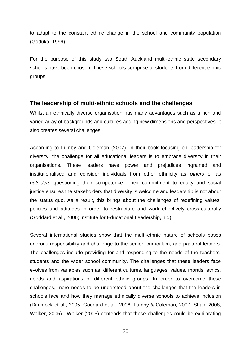to adapt to the constant ethnic change in the school and community population (Goduka, 1999).

For the purpose of this study two South Auckland multi-ethnic state secondary schools have been chosen. These schools comprise of students from different ethnic groups.

#### **The leadership of multi-ethnic schools and the challenges**

Whilst an ethnically diverse organisation has many advantages such as a rich and varied array of backgrounds and cultures adding new dimensions and perspectives, it also creates several challenges.

According to Lumby and Coleman (2007), in their book focusing on leadership for diversity, the challenge for all educational leaders is to embrace diversity in their organisations. These leaders have power and prejudices ingrained and institutionalised and consider individuals from other ethnicity as *others* or as *outsiders* questioning their competence. Their commitment to equity and social justice ensures the stakeholders that diversity is welcome and leadership is not about the status quo. As a result, this brings about the challenges of redefining values, policies and attitudes in order to restructure and work effectively cross-culturally (Goddard et al., 2006; Institute for Educational Leadership, n.d).

Several international studies show that the multi-ethnic nature of schools poses onerous responsibility and challenge to the senior, curriculum, and pastoral leaders. The challenges include providing for and responding to the needs of the teachers, students and the wider school community. The challenges that these leaders face evolves from variables such as, different cultures, languages, values, morals, ethics, needs and aspirations of different ethnic groups. In order to overcome these challenges, more needs to be understood about the challenges that the leaders in schools face and how they manage ethnically diverse schools to achieve inclusion (Dimmock et al., 2005; Goddard et al., 2006; Lumby & Coleman, 2007; Shah, 2008; Walker, 2005). Walker (2005) contends that these challenges could be exhilarating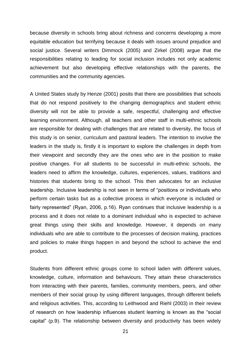because diversity in schools bring about richness and concerns developing a more equitable education but terrifying because it deals with issues around prejudice and social justice. Several writers Dimmock (2005) and Zirkel (2008) argue that the responsibilities relating to leading for social inclusion includes not only academic achievement but also developing effective relationships with the parents, the communities and the community agencies.

A United States study by Henze (2001) posits that there are possibilities that schools that do not respond positively to the changing demographics and student ethnic diversity will not be able to provide a safe, respectful, challenging and effective learning environment. Although, all teachers and other staff in multi-ethnic schools are responsible for dealing with challenges that are related to diversity, the focus of this study is on senior, curriculum and pastoral leaders. The intention to involve the leaders in the study is, firstly it is important to explore the challenges in depth from their viewpoint and secondly they are the ones who are in the position to make positive changes. For all students to be successful in multi-ethnic schools, the leaders need to affirm the knowledge, cultures, experiences, values, traditions and histories that students bring to the school. This then advocates for an inclusive leadership. Inclusive leadership is not seen in terms of "positions or individuals who perform certain tasks but as a collective process in which everyone is included or fairly represented" (Ryan, 2006, p.16). Ryan continues that inclusive leadership is a process and it does not relate to a dominant individual who is expected to achieve great things using their skills and knowledge. However, it depends on many individuals who are able to contribute to the processes of decision making, practices and policies to make things happen in and beyond the school to achieve the end product.

Students from different ethnic groups come to school laden with different values, knowledge, culture, information and behaviours. They attain these characteristics from interacting with their parents, families, community members, peers, and other members of their social group by using different languages, through different beliefs and religious activities. This, according to Leithwood and Riehl (2003) in their review of research on how leadership influences student learning is known as the "social capital" (p.9). The relationship between diversity and productivity has been widely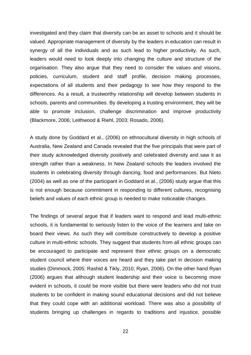investigated and they claim that diversity can be an asset to schools and it should be valued. Appropriate management of diversity by the leaders in education can result in synergy of all the individuals and as such lead to higher productivity. As such, leaders would need to look deeply into changing the culture and structure of the organisation. They also argue that they need to consider the values and visions, policies, curriculum, student and staff profile, decision making processes, expectations of all students and their pedagogy to see how they respond to the differences. As a result, a trustworthy relationship will develop between students in schools, parents and communities. By developing a trusting environment, they will be able to promote inclusion, challenge discrimination and improve productivity (Blackmore, 2006; Leithwood & Riehl, 2003; Rosado, 2006).

A study done by Goddard et al., (2006) on ethnocultural diversity in high schools of Australia, New Zealand and Canada revealed that the five principals that were part of their study acknowledged diversity positively and celebrated diversity and saw it as strength rather than a weakness. In New Zealand schools the leaders involved the students in celebrating diversity through dancing, food and performances. But Nieto (2004) as well as one of the participant in Goddard et al., (2006) study argue that this is not enough because commitment in responding to different cultures, recognising beliefs and values of each ethnic group is needed to make noticeable changes.

The findings of several argue that if leaders want to respond and lead multi-ethnic schools, it is fundamental to seriously listen to the voice of the learners and take on board their views. As such they will contribute constructively to develop a positive culture in multi-ethnic schools. They suggest that students from all ethnic groups can be encouraged to participate and represent their ethnic groups on a democratic student council where their voices are heard and they take part in decision making studies (Dimmock, 2005; Rashid & Tikly, 2010; Ryan, 2006). On the other hand Ryan (2006) argues that although student leadership and their voice is becoming more evident in schools, it could be more visible but there were leaders who did not trust students to be confident in making sound educational decisions and did not believe that they could cope with an additional workload. There was also a possibility of students bringing up challenges in regards to traditions and injustice, possible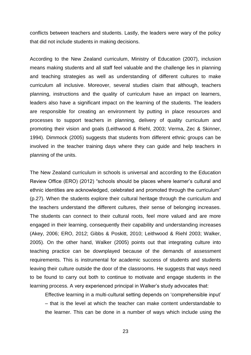conflicts between teachers and students. Lastly, the leaders were wary of the policy that did not include students in making decisions.

According to the New Zealand curriculum, Ministry of Education (2007), inclusion means making students and all staff feel valuable and the challenge lies in planning and teaching strategies as well as understanding of different cultures to make curriculum all inclusive. Moreover, several studies claim that although, teachers planning, instructions and the quality of curriculum have an impact on learners, leaders also have a significant impact on the learning of the students. The leaders are responsible for creating an environment by putting in place resources and processes to support teachers in planning, delivery of quality curriculum and promoting their vision and goals (Leithwood & Riehl, 2003; Verma, Zec & Skinner, 1994). Dimmock (2005) suggests that students from different ethnic groups can be involved in the teacher training days where they can guide and help teachers in planning of the units.

The New Zealand curriculum in schools is universal and according to the Education Review Office (ERO) (2012) "schools should be places where learner's cultural and ethnic identities are acknowledged, celebrated and promoted through the curriculum" (p.27). When the students explore their cultural heritage through the curriculum and the teachers understand the different cultures, their sense of belonging increases. The students can connect to their cultural roots, feel more valued and are more engaged in their learning, consequently their capability and understanding increases (Akey, 2006; ERO, 2012; Gibbs & Poskitt, 2010; Leithwood & Riehl 2003; Walker, 2005). On the other hand, Walker (2005) points out that integrating culture into teaching practice can be downplayed because of the demands of assessment requirements. This is instrumental for academic success of students and students leaving their culture outside the door of the classrooms. He suggests that ways need to be found to carry out both to continue to motivate and engage students in the learning process. A very experienced principal in Walker's study advocates that:

Effective learning in a multi-cultural setting depends on 'comprehensible input' – that is the level at which the teacher can make content understandable to the learner. This can be done in a number of ways which include using the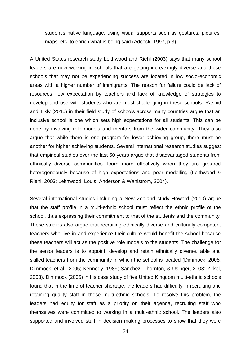student's native language, using visual supports such as gestures, pictures, maps, etc. to enrich what is being said (Adcock, 1997, p.3).

A United States research study Leithwood and Riehl (2003) says that many school leaders are now working in schools that are getting increasingly diverse and those schools that may not be experiencing success are located in low socio-economic areas with a higher number of immigrants. The reason for failure could be lack of resources, low expectation by teachers and lack of knowledge of strategies to develop and use with students who are most challenging in these schools. Rashid and Tikly (2010) in their field study of schools across many countries argue that an inclusive school is one which sets high expectations for all students. This can be done by involving role models and mentors from the wider community. They also argue that while there is one program for lower achieving group, there must be another for higher achieving students. Several international research studies suggest that empirical studies over the last 50 years argue that disadvantaged students from ethnically diverse communities' learn more effectively when they are grouped heterogeneously because of high expectations and peer modelling (Leithwood & Riehl, 2003; Leithwood, Louis, Anderson & Wahlstrom, 2004).

Several international studies including a New Zealand study Howard (2010) argue that the staff profile in a multi-ethnic school must reflect the ethnic profile of the school, thus expressing their commitment to that of the students and the community. These studies also argue that recruiting ethnically diverse and culturally competent teachers who live in and experience their culture would benefit the school because these teachers will act as the positive role models to the students. The challenge for the senior leaders is to appoint, develop and retain ethnically diverse, able and skilled teachers from the community in which the school is located (Dimmock, 2005; Dimmock, et al., 2005; Kennedy, 1989; Sanchez, Thornton, & Usinger, 2008; Zirkel, 2008). Dimmock (2005) in his case study of five United Kingdom multi-ethnic schools found that in the time of teacher shortage, the leaders had difficulty in recruiting and retaining quality staff in these multi-ethnic schools. To resolve this problem, the leaders had equity for staff as a priority on their agenda, recruiting staff who themselves were committed to working in a multi-ethnic school. The leaders also supported and involved staff in decision making processes to show that they were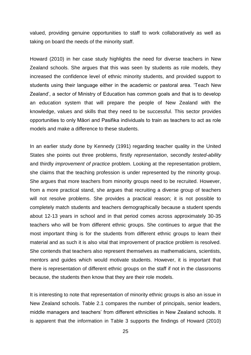valued, providing genuine opportunities to staff to work collaboratively as well as taking on board the needs of the minority staff.

Howard (2010) in her case study highlights the need for diverse teachers in New Zealand schools. She argues that this was seen by students as role models, they increased the confidence level of ethnic minority students, and provided support to students using their language either in the academic or pastoral area. 'Teach New Zealand', a sector of Ministry of Education has common goals and that is to develop an education system that will prepare the people of New Zealand with the knowledge, values and skills that they need to be successful. This sector provides opportunities to only Māori and Pasifika individuals to train as teachers to act as role models and make a difference to these students.

In an earlier study done by Kennedy (1991) regarding teacher quality in the United States she points out three problems, firstly *representation*, secondly *tested-ability* and thirdly *improvement of practice* problem. Looking at the representation problem, she claims that the teaching profession is under represented by the minority group. She argues that more teachers from minority groups need to be recruited. However, from a more practical stand, she argues that recruiting a diverse group of teachers will not resolve problems. She provides a practical reason; it is not possible to completely match students and teachers demographically because a student spends about 12-13 years in school and in that period comes across approximately 30-35 teachers who will be from different ethnic groups. She continues to argue that the most important thing is for the students from different ethnic groups to learn their material and as such it is also vital that improvement of practice problem is resolved. She contends that teachers also represent themselves as mathematicians, scientists, mentors and guides which would motivate students. However, it is important that there is representation of different ethnic groups on the staff if not in the classrooms because, the students then know that they are their role models.

It is interesting to note that representation of minority ethnic groups is also an issue in New Zealand schools. Table 2.1 compares the number of principals, senior leaders, middle managers and teachers' from different ethnicities in New Zealand schools. It is apparent that the information in Table 3 supports the findings of Howard (2010)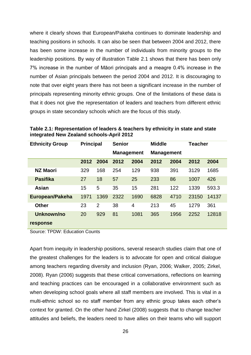where it clearly shows that European/Pakeha continues to dominate leadership and teaching positions in schools. It can also be seen that between 2004 and 2012, there has been some increase in the number of individuals from minority groups to the leadership positions. By way of illustration Table 2.1 shows that there has been only 7% increase in the number of Māori principals and a meagre 0.4% increase in the number of Asian principals between the period 2004 and 2012. It is discouraging to note that over eight years there has not been a significant increase in the number of principals representing minority ethnic groups. One of the limitations of these data is that it does not give the representation of leaders and teachers from different ethnic groups in state secondary schools which are the focus of this study.

| <b>Ethnicity Group</b> | <b>Principal</b> |                | <b>Senior</b>     |                | <b>Middle</b>     |      | <b>Teacher</b> |       |
|------------------------|------------------|----------------|-------------------|----------------|-------------------|------|----------------|-------|
|                        |                  |                | <b>Management</b> |                | <b>Management</b> |      |                |       |
|                        | 2012             | 2004           | 2012              | 2004           | 2012              | 2004 | 2012           | 2004  |
| <b>NZ Maori</b>        | 329              | 168            | 254               | 129            | 938               | 391  | 3129           | 1685  |
| <b>Pasifika</b>        | 27               | 18             | 57                | 25             | 233               | 86   | 1007           | 426   |
| <b>Asian</b>           | 15               | 5              | 35                | 15             | 281               | 122  | 1339           | 593.3 |
| European/Pakeha        | 1971             | 1369           | 2322              | 1690           | 6828              | 4710 | 23150          | 14137 |
| <b>Other</b>           | 23               | $\overline{2}$ | 38                | $\overline{4}$ | 213               | 45   | 1279           | 361   |
| Unknown/no             | 20               | 929            | 81                | 1081           | 365               | 1956 | 2252           | 12818 |
| response               |                  |                |                   |                |                   |      |                |       |

<span id="page-32-0"></span>**Table 2.1: Representation of leaders & teachers by ethnicity in state and state integrated New Zealand schools-April 2012**

Source: TPDW: Education Counts

Apart from inequity in leadership positions, several research studies claim that one of the greatest challenges for the leaders is to advocate for open and critical dialogue among teachers regarding diversity and inclusion (Ryan, 2006; Walker, 2005; Zirkel, 2008). Ryan (2006) suggests that these critical conversations, reflections on learning and teaching practices can be encouraged in a collaborative environment such as when developing school goals where all staff members are involved. This is vital in a multi-ethnic school so no staff member from any ethnic group takes each other's context for granted. On the other hand Zirkel (2008) suggests that to change teacher attitudes and beliefs, the leaders need to have allies on their teams who will support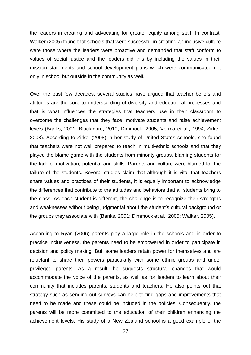the leaders in creating and advocating for greater equity among staff. In contrast, Walker (2005) found that schools that were successful in creating an inclusive culture were those where the leaders were proactive and demanded that staff conform to values of social justice and the leaders did this by including the values in their mission statements and school development plans which were communicated not only in school but outside in the community as well.

Over the past few decades, several studies have argued that teacher beliefs and attitudes are the core to understanding of diversity and educational processes and that is what influences the strategies that teachers use in their classroom to overcome the challenges that they face, motivate students and raise achievement levels (Banks, 2001; Blackmore, 2010; Dimmock, 2005; Verma et al., 1994; Zirkel, 2008). According to Zirkel (2008) in her study of United States schools, she found that teachers were not well prepared to teach in multi-ethnic schools and that they played the blame game with the students from minority groups, blaming students for the lack of motivation, potential and skills. Parents and culture were blamed for the failure of the students. Several studies claim that although it is vital that teachers share values and practices of their students, it is equally important to acknowledge the differences that contribute to the attitudes and behaviors that all students bring to the class. As each student is different, the challenge is to recognize their strengths and weaknesses without being judgmental about the student's cultural background or the groups they associate with (Banks, 2001; Dimmock et al., 2005; Walker, 2005).

According to Ryan (2006) parents play a large role in the schools and in order to practice inclusiveness, the parents need to be empowered in order to participate in decision and policy making. But, some leaders retain power for themselves and are reluctant to share their powers particularly with some ethnic groups and under privileged parents. As a result, he suggests structural changes that would accommodate the voice of the parents, as well as for leaders to learn about their community that includes parents, students and teachers. He also points out that strategy such as sending out surveys can help to find gaps and improvements that need to be made and these could be included in the policies. Consequently, the parents will be more committed to the education of their children enhancing the achievement levels. His study of a New Zealand school is a good example of the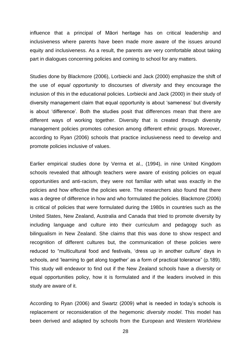influence that a principal of Māori heritage has on critical leadership and inclusiveness where parents have been made more aware of the issues around equity and inclusiveness. As a result, the parents are very comfortable about taking part in dialogues concerning policies and coming to school for any matters.

Studies done by Blackmore (2006), Lorbiecki and Jack (2000) emphasize the shift of the use of *equal opportunity* to discourses of *diversity* and they encourage the inclusion of this in the educational policies. Lorbiecki and Jack (2000) in their study of diversity management claim that equal opportunity is about 'sameness' but diversity is about 'difference'. Both the studies posit that differences mean that there are different ways of working together. Diversity that is created through diversity management policies promotes cohesion among different ethnic groups. Moreover, according to Ryan (2006) schools that practice inclusiveness need to develop and promote policies inclusive of values.

Earlier empirical studies done by Verma et al., (1994), in nine United Kingdom schools revealed that although teachers were aware of existing policies on equal opportunities and anti-racism, they were not familiar with what was exactly in the policies and how effective the policies were. The researchers also found that there was a degree of difference in how and who formulated the policies. Blackmore (2006) is critical of policies that were formulated during the 1980s in countries such as the United States, New Zealand, Australia and Canada that tried to promote diversity by including language and culture into their curriculum and pedagogy such as bilingualism in New Zealand. She claims that this was done to show respect and recognition of different cultures but, the communication of these policies were reduced to "multicultural food and festivals, 'dress up in another culture' days in schools, and 'learning to get along together' as a form of practical tolerance" (p.189). This study will endeavor to find out if the New Zealand schools have a diversity or equal opportunities policy, how it is formulated and if the leaders involved in this study are aware of it.

According to Ryan (2006) and Swartz (2009) what is needed in today's schools is replacement or reconsideration of the hegemonic *diversity model*. This model has been derived and adapted by schools from the European and Western Worldview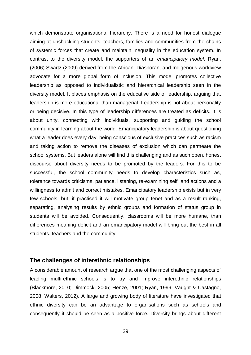which demonstrate organisational hierarchy. There is a need for honest dialogue aiming at unshackling students, teachers, families and communities from the chains of systemic forces that create and maintain inequality in the education system. In contrast to the diversity model, the supporters of an *emancipatory model,* Ryan, (2006) Swartz (2009) derived from the African, Diasporan, and Indigenous worldview advocate for a more global form of inclusion. This model promotes collective leadership as opposed to individualistic and hierarchical leadership seen in the diversity model. It places emphasis on the educative side of leadership, arguing that leadership is more educational than managerial. Leadership is not about personality or being decisive. In this type of leadership differences are treated as deficits. It is about unity, connecting with individuals, supporting and guiding the school community in learning about the world. Emancipatory leadership is about questioning what a leader does every day, being conscious of exclusive practices such as racism and taking action to remove the diseases of exclusion which can permeate the school systems. But leaders alone will find this challenging and as such open, honest discourse about diversity needs to be promoted by the leaders. For this to be successful, the school community needs to develop characteristics such as, tolerance towards criticisms, patience, listening, re-examining self and actions and a willingness to admit and correct mistakes. Emancipatory leadership exists but in very few schools, but, if practised it will motivate group tenet and as a result ranking, separating, analysing results by ethnic groups and formation of status group in students will be avoided. Consequently, classrooms will be more humane, than differences meaning deficit and an emancipatory model will bring out the best in all students, teachers and the community.

#### **The challenges of interethnic relationships**

A considerable amount of research argue that one of the most challenging aspects of leading multi-ethnic schools is to try and improve interethnic relationships (Blackmore, 2010; Dimmock, 2005; Henze, 2001; Ryan, 1999; Vaught & Castagno, 2008; Walters, 2012). A large and growing body of literature have investigated that ethnic diversity can be an advantage to organisations such as schools and consequently it should be seen as a positive force. Diversity brings about different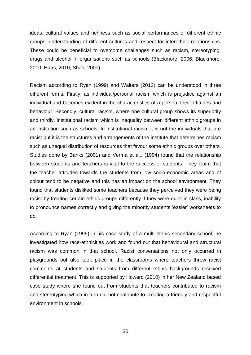ideas, cultural values and richness such as social performances of different ethnic groups, understanding of different cultures and respect for interethnic relationships. These could be beneficial to overcome challenges such as racism, stereotyping, drugs and alcohol in organisations such as schools (Blackmore, 2006; Blackmore, 2010; Haas, 2010; Shah, 2007).

Racism according to Ryan (1999) and Walters (2012) can be understood in three different forms. Firstly, as individual/personal racism which is prejudice against an individual and becomes evident in the characteristics of a person, their attitudes and behaviour. Secondly, cultural racism, where one cultural group shows its superiority and thirdly, institutional racism which is inequality between different ethnic groups in an institution such as schools. In institutional racism it is not the individuals that are racist but it is the structures and arrangements of the institute that determines racism such as unequal distribution of resources that favour some ethnic groups over others. Studies done by Banks (2001) and Verma et al., (1994) found that the relationship between students and teachers is vital to the success of students. They claim that the teacher attitudes towards the students from low socio-economic areas and of colour tend to be negative and this has an impact on the school environment. They found that students disliked some teachers because they perceived they were being racist by treating certain ethnic groups differently if they were quiet in class, inability to pronounce names correctly and giving the minority students 'easier' worksheets to do.

According to Ryan (1999) in his case study of a multi-ethnic secondary school, he investigated how race-ethnicities work and found out that behavioural and structural racism was common in that school. Racist conversations not only occurred in playgrounds but also took place in the classrooms where teachers threw racist comments at students and students from different ethnic backgrounds received differential treatment. This is supported by Howard (2010) in her New Zealand based case study where she found out from students that teachers contributed to racism and stereotyping which in turn did not contribute to creating a friendly and respectful environment in schools.

30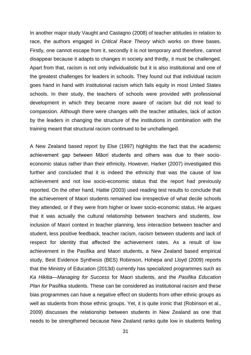In another major study Vaught and Castagno (2008) of teacher attitudes in relation to race, the authors engaged in *Critical Race Theory* which works on three bases. Firstly, one cannot escape from it, secondly it is not temporary and therefore, cannot disappear because it adapts to changes in society and thirdly, it must be challenged. Apart from that, racism is not only individualistic but it is also institutional and one of the greatest challenges for leaders in schools. They found out that individual racism goes hand in hand with institutional racism which fails equity in most United States schools. In their study, the teachers of schools were provided with professional development in which they became more aware of racism but did not lead to compassion. Although there were changes with the teacher attitudes, lack of action by the leaders in changing the structure of the institutions in combination with the training meant that structural racism continued to be unchallenged.

A New Zealand based report by Else (1997) highlights the fact that the academic achievement gap between Māori students and others was due to their socioeconomic status rather than their ethnicity. However, Harker (2007) investigated this further and concluded that it is indeed the ethnicity that was the cause of low achievement and not low socio-economic status that the report had previously reported. On the other hand, Hattie (2003) used reading test results to conclude that the achievement of Maori students remained low irrespective of what decile schools they attended, or if they were from higher or lower socio-economic status. He argues that it was actually the cultural relationship between teachers and students, low inclusion of Maori context in teacher planning, less interaction between teacher and student, less positive feedback, teacher racism, racism between students and lack of respect for identity that affected the achievement rates. As a result of low achievement in the Pasifika and Maori students, a New Zealand based empirical study, Best Evidence Synthesis (BES) Robinson, Hohepa and Lloyd (2009) reports that the Ministry of Education (2013d) currently has specialized programmes such as *Ka Hikitia—Managing for Success* for Maori students, and the *Pasifika Education Plan for* Pasifika students. These can be considered as institutional racism and these bias programmes can have a negative effect on students from other ethnic groups as well as students from those ethnic groups. Yet, it is quite ironic that (Robinson et al., 2009) discusses the relationship between students in New Zealand as one that needs to be strengthened because New Zealand ranks quite low in students feeling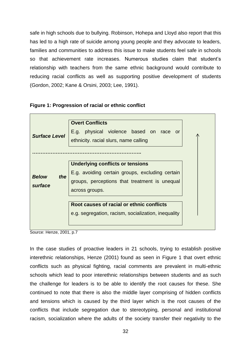safe in high schools due to bullying. Robinson, Hohepa and Lloyd also report that this has led to a high rate of suicide among young people and they advocate to leaders, families and communities to address this issue to make students feel safe in schools so that achievement rate increases. Numerous studies claim that student's relationship with teachers from the same ethnic background would contribute to reducing racial conflicts as well as supporting positive development of students (Gordon, 2002; Kane & Orsini, 2003; Lee, 1991).

# **Figure 1: Progression of racial or ethnic conflict**



Source: Henze, 2001, p.7

In the case studies of proactive leaders in 21 schools, trying to establish positive interethnic relationships, Henze (2001) found as seen in Figure 1 that overt ethnic conflicts such as physical fighting, racial comments are prevalent in multi-ethnic schools which lead to poor interethnic relationships between students and as such the challenge for leaders is to be able to identify the root causes for these. She continued to note that there is also the middle layer comprising of hidden conflicts and tensions which is caused by the third layer which is the root causes of the conflicts that include segregation due to stereotyping, personal and institutional racism, socialization where the adults of the society transfer their negativity to the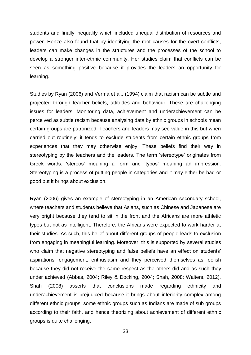students and finally inequality which included unequal distribution of resources and power. Henze also found that by identifying the root causes for the overt conflicts, leaders can make changes in the structures and the processes of the school to develop a stronger inter-ethnic community. Her studies claim that conflicts can be seen as something positive because it provides the leaders an opportunity for learning.

Studies by Ryan (2006) and Verma et al., (1994) claim that racism can be subtle and projected through teacher beliefs, attitudes and behaviour. These are challenging issues for leaders. Monitoring data, achievement and underachievement can be perceived as subtle racism because analysing data by ethnic groups in schools mean certain groups are patronized. Teachers and leaders may see value in this but when carried out routinely; it tends to exclude students from certain ethnic groups from experiences that they may otherwise enjoy. These beliefs find their way in stereotyping by the teachers and the leaders. The term 'stereotype' originates from Greek words: 'stereos' meaning a form and 'typos' meaning an impression. Stereotyping is a process of putting people in categories and it may either be bad or good but it brings about exclusion.

Ryan (2006) gives an example of stereotyping in an American secondary school, where teachers and students believe that Asians, such as Chinese and Japanese are very bright because they tend to sit in the front and the Africans are more athletic types but not as intelligent. Therefore, the Africans were expected to work harder at their studies. As such, this belief about different groups of people leads to exclusion from engaging in meaningful learning. Moreover, this is supported by several studies who claim that negative stereotyping and false beliefs have an effect on students' aspirations, engagement, enthusiasm and they perceived themselves as foolish because they did not receive the same respect as the others did and as such they under achieved (Abbas, 2004; Riley & Docking, 2004; Shah, 2008; Walters, 2012). Shah (2008) asserts that conclusions made regarding ethnicity and underachievement is prejudiced because it brings about inferiority complex among different ethnic groups, some ethnic groups such as Indians are made of sub groups according to their faith, and hence theorizing about achievement of different ethnic groups is quite challenging.

33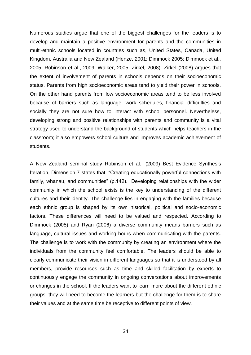Numerous studies argue that one of the biggest challenges for the leaders is to develop and maintain a positive environment for parents and the communities in multi-ethnic schools located in countries such as, United States, Canada, United Kingdom, Australia and New Zealand (Henze, 2001; Dimmock 2005; Dimmock et al., 2005; Robinson et al., 2009; Walker, 2005; Zirkel, 2008). Zirkel (2008) argues that the extent of involvement of parents in schools depends on their socioeconomic status. Parents from high socioeconomic areas tend to yield their power in schools. On the other hand parents from low socioeconomic areas tend to be less involved because of barriers such as language, work schedules, financial difficulties and socially they are not sure how to interact with school personnel. Nevertheless, developing strong and positive relationships with parents and community is a vital strategy used to understand the background of students which helps teachers in the classroom; it also empowers school culture and improves academic achievement of students.

A New Zealand seminal study Robinson et al., (2009) Best Evidence Synthesis Iteration, Dimension 7 states that, "Creating educationally powerful connections with family, whanau, and communities" (p.142). Developing relationships with the wider community in which the school exists is the key to understanding of the different cultures and their identity. The challenge lies in engaging with the families because each ethnic group is shaped by its own historical, political and socio-economic factors. These differences will need to be valued and respected. According to Dimmock (2005) and Ryan (2006) a diverse community means barriers such as language, cultural issues and working hours when communicating with the parents. The challenge is to work with the community by creating an environment where the individuals from the community feel comfortable. The leaders should be able to clearly communicate their vision in different languages so that it is understood by all members, provide resources such as time and skilled facilitation by experts to continuously engage the community in ongoing conversations about improvements or changes in the school. If the leaders want to learn more about the different ethnic groups, they will need to become the learners but the challenge for them is to share their values and at the same time be receptive to different points of view.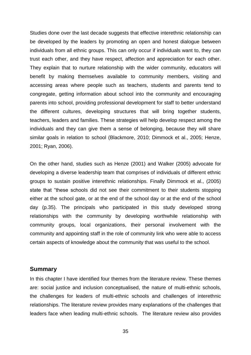Studies done over the last decade suggests that effective interethnic relationship can be developed by the leaders by promoting an open and honest dialogue between individuals from all ethnic groups. This can only occur if individuals want to, they can trust each other, and they have respect, affection and appreciation for each other. They explain that to nurture relationship with the wider community, educators will benefit by making themselves available to community members, visiting and accessing areas where people such as teachers, students and parents tend to congregate, getting information about school into the community and encouraging parents into school, providing professional development for staff to better understand the different cultures, developing structures that will bring together students, teachers, leaders and families. These strategies will help develop respect among the individuals and they can give them a sense of belonging, because they will share similar goals in relation to school (Blackmore, 2010; Dimmock et al., 2005; Henze, 2001; Ryan, 2006).

On the other hand, studies such as Henze (2001) and Walker (2005) advocate for developing a diverse leadership team that comprises of individuals of different ethnic groups to sustain positive interethnic relationships. Finally Dimmock et al., (2005) state that "these schools did not see their commitment to their students stopping either at the school gate, or at the end of the school day or at the end of the school day (p.35). The principals who participated in this study developed strong relationships with the community by developing worthwhile relationship with community groups, local organizations, their personal involvement with the community and appointing staff in the role of community link who were able to access certain aspects of knowledge about the community that was useful to the school.

### **Summary**

In this chapter I have identified four themes from the literature review. These themes are: social justice and inclusion conceptualised, the nature of multi-ethnic schools, the challenges for leaders of multi-ethnic schools and challenges of interethnic relationships. The literature review provides many explanations of the challenges that leaders face when leading multi-ethnic schools. The literature review also provides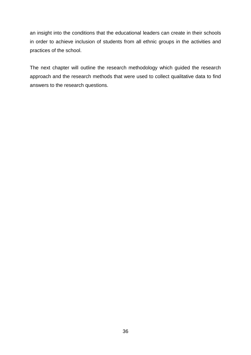an insight into the conditions that the educational leaders can create in their schools in order to achieve inclusion of students from all ethnic groups in the activities and practices of the school.

The next chapter will outline the research methodology which guided the research approach and the research methods that were used to collect qualitative data to find answers to the research questions.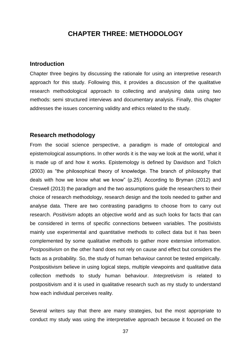# **CHAPTER THREE: METHODOLOGY**

# **Introduction**

Chapter three begins by discussing the rationale for using an interpretive research approach for this study. Following this, it provides a discussion of the qualitative research methodological approach to collecting and analysing data using two methods: semi structured interviews and documentary analysis. Finally, this chapter addresses the issues concerning validity and ethics related to the study.

# **Research methodology**

From the social science perspective, a paradigm is made of ontological and epistemological assumptions. In other words it is the way we look at the world, what it is made up of and how it works. Epistemology is defined by Davidson and Tolich (2003) as "the philosophical theory of knowledge. The branch of philosophy that deals with how we know what we know" (p.25). According to Bryman (2012) and Creswell (2013) the paradigm and the two assumptions guide the researchers to their choice of research methodology, research design and the tools needed to gather and analyse data. There are two contrasting paradigms to choose from to carry out research. *Positivism* adopts an objective world and as such looks for facts that can be considered in terms of specific connections between variables. The positivists mainly use experimental and quantitative methods to collect data but it has been complemented by some qualitative methods to gather more extensive information. *Postpositivism* on the other hand does not rely on cause and effect but considers the facts as a probability. So, the study of human behaviour cannot be tested empirically. Postpositivism believe in using logical steps, multiple viewpoints and qualitative data collection methods to study human behaviour. *Interpretivism* is related to postpositivism and it is used in qualitative research such as my study to understand how each individual perceives reality.

Several writers say that there are many strategies, but the most appropriate to conduct my study was using the interpretative approach because it focused on the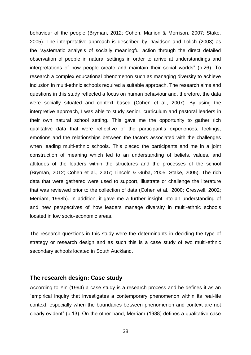behaviour of the people (Bryman, 2012; Cohen, Manion & Morrison, 2007; Stake, 2005). The interpretative approach is described by Davidson and Tolich (2003) as the "systematic analysis of socially meaningful action through the direct detailed observation of people in natural settings in order to arrive at understandings and interpretations of how people create and maintain their social worlds" (p.26). To research a complex educational phenomenon such as managing diversity to achieve inclusion in multi-ethnic schools required a suitable approach. The research aims and questions in this study reflected a focus on human behaviour and, therefore, the data were socially situated and context based (Cohen et al., 2007). By using the interpretive approach, I was able to study senior, curriculum and pastoral leaders in their own natural school setting. This gave me the opportunity to gather rich qualitative data that were reflective of the participant's experiences, feelings, emotions and the relationships between the factors associated with the challenges when leading multi-ethnic schools. This placed the participants and me in a joint construction of meaning which led to an understanding of beliefs, values, and attitudes of the leaders within the structures and the processes of the school (Bryman, 2012; Cohen et al., 2007; Lincoln & Guba, 2005; Stake, 2005). The rich data that were gathered were used to support, illustrate or challenge the literature that was reviewed prior to the collection of data (Cohen et al., 2000; Creswell, 2002; Merriam, 1998b). In addition, it gave me a further insight into an understanding of and new perspectives of how leaders manage diversity in multi-ethnic schools located in low socio-economic areas.

The research questions in this study were the determinants in deciding the type of strategy or research design and as such this is a case study of two multi-ethnic secondary schools located in South Auckland.

### **The research design: Case study**

According to Yin (1994) a case study is a research process and he defines it as an "empirical inquiry that investigates a contemporary phenomenon within its real-life context, especially when the boundaries between phenomenon and context are not clearly evident" (p.13). On the other hand, Merriam (1988) defines a qualitative case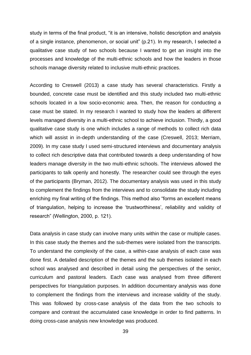study in terms of the final product, "it is an intensive, holistic description and analysis of a single instance, phenomenon, or social unit" (p.21). In my research, I selected a qualitative case study of two schools because I wanted to get an insight into the processes and knowledge of the multi-ethnic schools and how the leaders in those schools manage diversity related to inclusive multi-ethnic practices.

According to Creswell (2013) a case study has several characteristics. Firstly a bounded, concrete case must be identified and this study included two multi-ethnic schools located in a low socio-economic area. Then, the reason for conducting a case must be stated. In my research I wanted to study how the leaders at different levels managed diversity in a multi-ethnic school to achieve inclusion. Thirdly, a good qualitative case study is one which includes a range of methods to collect rich data which will assist in in-depth understanding of the case (Creswell, 2013; Merriam, 2009). In my case study I used semi-structured interviews and documentary analysis to collect rich descriptive data that contributed towards a deep understanding of how leaders manage diversity in the two multi-ethnic schools. The interviews allowed the participants to talk openly and honestly. The researcher could see through the eyes of the participants (Bryman, 2012). The documentary analysis was used in this study to complement the findings from the interviews and to consolidate the study including enriching my final writing of the findings. This method also "forms an excellent means of triangulation, helping to increase the 'trustworthiness', reliability and validity of research" (Wellington, 2000, p. 121).

Data analysis in case study can involve many units within the case or multiple cases. In this case study the themes and the sub-themes were isolated from the transcripts. To understand the complexity of the case, a within-case analysis of each case was done first. A detailed description of the themes and the sub themes isolated in each school was analysed and described in detail using the perspectives of the senior, curriculum and pastoral leaders. Each case was analysed from three different perspectives for triangulation purposes. In addition documentary analysis was done to complement the findings from the interviews and increase validity of the study. This was followed by cross-case analysis of the data from the two schools to compare and contrast the accumulated case knowledge in order to find patterns. In doing cross-case analysis new knowledge was produced.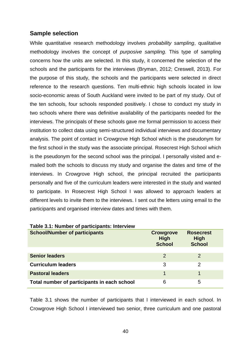# **Sample selection**

While quantitative research methodology involves *probability sampling*, qualitative methodology involves the concept of *purposive sampling.* This type of sampling concerns how the units are selected. In this study, it concerned the selection of the schools and the participants for the interviews (Bryman, 2012; Creswell, 2013). For the purpose of this study, the schools and the participants were selected in direct reference to the research questions. Ten multi-ethnic high schools located in low socio-economic areas of South Auckland were invited to be part of my study. Out of the ten schools, four schools responded positively. I chose to conduct my study in two schools where there was definitive availability of the participants needed for the interviews. The principals of these schools gave me formal permission to access their institution to collect data using semi-structured individual interviews and documentary analysis. The point of contact in Crowgrove High School which is the pseudonym for the first school in the study was the associate principal. Rosecrest High School which is the pseudonym for the second school was the principal. I personally visited and emailed both the schools to discuss my study and organise the dates and time of the interviews. In Crowgrove High school, the principal recruited the participants personally and five of the curriculum leaders were interested in the study and wanted to participate. In Rosecrest High School I was allowed to approach leaders at different levels to invite them to the interviews. I sent out the letters using email to the participants and organised interview dates and times with them.

| <b>School/Number of participants</b>        | <b>Crowgrove</b><br><b>High</b><br><b>School</b> | <b>Rosecrest</b><br><b>High</b><br><b>School</b> |
|---------------------------------------------|--------------------------------------------------|--------------------------------------------------|
|                                             |                                                  |                                                  |
| <b>Senior leaders</b>                       | 2                                                | 2                                                |
| <b>Curriculum leaders</b>                   | 3                                                | 2                                                |
| <b>Pastoral leaders</b>                     |                                                  |                                                  |
| Total number of participants in each school | 6                                                | 5                                                |

### **Table 3.1: Number of participants: Interview**

Table 3.1 shows the number of participants that I interviewed in each school. In Crowgrove High School I interviewed two senior, three curriculum and one pastoral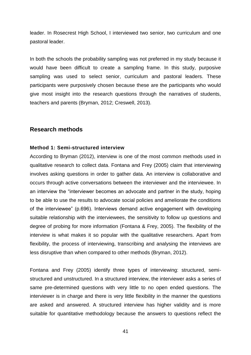leader. In Rosecrest High School, I interviewed two senior, two curriculum and one pastoral leader.

In both the schools the probability sampling was not preferred in my study because it would have been difficult to create a sampling frame. In this study, purposive sampling was used to select senior, curriculum and pastoral leaders. These participants were purposively chosen because these are the participants who would give most insight into the research questions through the narratives of students, teachers and parents (Bryman, 2012; Creswell, 2013).

# **Research methods**

### **Method 1: Semi-structured interview**

According to Bryman (2012), interview is one of the most common methods used in qualitative research to collect data. Fontana and Frey (2005) claim that interviewing involves asking questions in order to gather data. An interview is collaborative and occurs through active conversations between the interviewer and the interviewee. In an interview the "interviewer becomes an advocate and partner in the study, hoping to be able to use the results to advocate social policies and ameliorate the conditions of the interviewee" (p.696). Interviews demand active engagement with developing suitable relationship with the interviewees, the sensitivity to follow up questions and degree of probing for more information (Fontana & Frey, 2005). The flexibility of the interview is what makes it so popular with the qualitative researchers. Apart from flexibility, the process of interviewing, transcribing and analysing the interviews are less disruptive than when compared to other methods (Bryman, 2012).

Fontana and Frey (2005) identify three types of interviewing: structured, semistructured and unstructured. In a structured interview, the interviewer asks a series of same pre-determined questions with very little to no open ended questions. The interviewer is in charge and there is very little flexibility in the manner the questions are asked and answered. A structured interview has higher validity and is more suitable for quantitative methodology because the answers to questions reflect the

41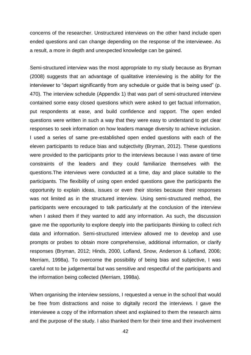concerns of the researcher. Unstructured interviews on the other hand include open ended questions and can change depending on the response of the interviewee. As a result, a more in depth and unexpected knowledge can be gained.

Semi-structured interview was the most appropriate to my study because as Bryman (2008) suggests that an advantage of qualitative interviewing is the ability for the interviewer to "depart significantly from any schedule or guide that is being used" (p. 470). The interview schedule (Appendix 1) that was part of semi-structured interview contained some easy closed questions which were asked to get factual information, put respondents at ease, and build confidence and rapport. The open ended questions were written in such a way that they were easy to understand to get clear responses to seek information on how leaders manage diversity to achieve inclusion. I used a series of same pre-established open ended questions with each of the eleven participants to reduce bias and subjectivity (Bryman, 2012). These questions were provided to the participants prior to the interviews because I was aware of time constraints of the leaders and they could familiarize themselves with the questions.The interviews were conducted at a time, day and place suitable to the participants. The flexibility of using open ended questions gave the participants the opportunity to explain ideas, issues or even their stories because their responses was not limited as in the structured interview. Using semi-structured method, the participants were encouraged to talk particularly at the conclusion of the interview when I asked them if they wanted to add any information. As such, the discussion gave me the opportunity to explore deeply into the participants thinking to collect rich data and information. Semi-structured interview allowed me to develop and use prompts or probes to obtain more comprehensive, additional information, or clarify responses (Bryman, 2012; Hinds, 2000, Lofland, Snow, Anderson & Lofland, 2006; Merriam, 1998a). To overcome the possibility of being bias and subjective, I was careful not to be judgemental but was sensitive and respectful of the participants and the information being collected (Merriam, 1998a).

When organising the interview sessions, I requested a venue in the school that would be free from distractions and noise to digitally record the interviews. I gave the interviewee a copy of the information sheet and explained to them the research aims and the purpose of the study. I also thanked them for their time and their involvement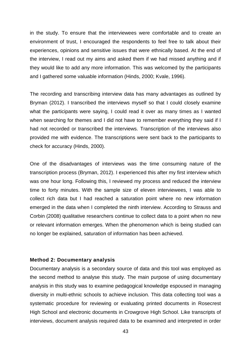in the study. To ensure that the interviewees were comfortable and to create an environment of trust, I encouraged the respondents to feel free to talk about their experiences, opinions and sensitive issues that were ethnically based. At the end of the interview, I read out my aims and asked them if we had missed anything and if they would like to add any more information. This was welcomed by the participants and I gathered some valuable information (Hinds, 2000; Kvale, 1996).

The recording and transcribing interview data has many advantages as outlined by Bryman (2012). I transcribed the interviews myself so that I could closely examine what the participants were saying, I could read it over as many times as I wanted when searching for themes and I did not have to remember everything they said if I had not recorded or transcribed the interviews. Transcription of the interviews also provided me with evidence. The transcriptions were sent back to the participants to check for accuracy (Hinds, 2000).

One of the disadvantages of interviews was the time consuming nature of the transcription process (Bryman, 2012). I experienced this after my first interview which was one hour long. Following this, I reviewed my process and reduced the interview time to forty minutes. With the sample size of eleven interviewees, I was able to collect rich data but I had reached a saturation point where no new information emerged in the data when I completed the ninth interview. According to Strauss and Corbin (2008) qualitative researchers continue to collect data to a point when no new or relevant information emerges. When the phenomenon which is being studied can no longer be explained, saturation of information has been achieved.

#### **Method 2: Documentary analysis**

Documentary analysis is a secondary source of data and this tool was employed as the second method to analyse this study. The main purpose of using documentary analysis in this study was to examine pedagogical knowledge espoused in managing diversity in multi-ethnic schools to achieve inclusion. This data collecting tool was a systematic procedure for reviewing or evaluating printed documents in Rosecrest High School and electronic documents in Crowgrove High School. Like transcripts of interviews, document analysis required data to be examined and interpreted in order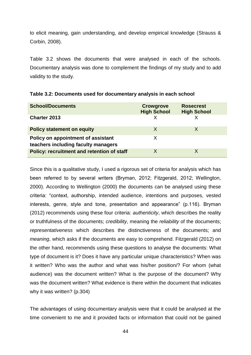to elicit meaning, gain understanding, and develop empirical knowledge (Strauss & Corbin, 2008).

Table 3.2 shows the documents that were analysed in each of the schools. Documentary analysis was done to complement the findings of my study and to add validity to the study.

| <b>School/Documents</b>                                                   | <b>Crowgrove</b><br><b>High School</b> | <b>Rosecrest</b><br><b>High School</b> |
|---------------------------------------------------------------------------|----------------------------------------|----------------------------------------|
| <b>Charter 2013</b>                                                       |                                        |                                        |
| <b>Policy statement on equity</b>                                         | X                                      |                                        |
| Policy on appointment of assistant<br>teachers including faculty managers | Χ                                      |                                        |
| <b>Policy: recruitment and retention of staff</b>                         | X                                      |                                        |

| Table 3.2: Documents used for documentary analysis in each school |  |  |  |  |
|-------------------------------------------------------------------|--|--|--|--|
|-------------------------------------------------------------------|--|--|--|--|

Since this is a qualitative study, I used a rigorous set of criteria for analysis which has been referred to by several writers (Bryman, 2012; Fitzgerald, 2012; Wellington, 2000). According to Wellington (2000) the documents can be analysed using these criteria: "context, authorship, intended audience, intentions and purposes, vested interests, genre, style and tone, presentation and appearance" (p.116). Bryman (2012) recommends using these four criteria: *authenticity*, which describes the reality or truthfulness of the documents; *credibility*, meaning the *reliability* of the documents; *representativeness* which describes the distinctiveness of the documents; and *meaning*, which asks if the documents are easy to comprehend. Fitzgerald (2012) on the other hand, recommends using these questions to analyse the documents: What type of document is it? Does it have any particular unique characteristics? When was it written? Who was the author and what was his/her position/? For whom (what audience) was the document written? What is the purpose of the document? Why was the document written? What evidence is there within the document that indicates why it was written? (p.304)

The advantages of using documentary analysis were that it could be analysed at the time convenient to me and it provided facts or information that could not be gained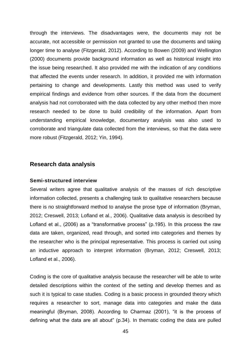through the interviews. The disadvantages were, the documents may not be accurate, not accessible or permission not granted to use the documents and taking longer time to analyse (Fitzgerald, 2012). According to Bowen (2009) and Wellington (2000) documents provide background information as well as historical insight into the issue being researched. It also provided me with the indication of any conditions that affected the events under research. In addition, it provided me with information pertaining to change and developments. Lastly this method was used to verify empirical findings and evidence from other sources. If the data from the document analysis had not corroborated with the data collected by any other method then more research needed to be done to build credibility of the information. Apart from understanding empirical knowledge, documentary analysis was also used to corroborate and triangulate data collected from the interviews, so that the data were more robust (Fitzgerald, 2012; Yin, 1994).

# **Research data analysis**

### **Semi-structured interview**

Several writers agree that qualitative analysis of the masses of rich descriptive information collected, presents a challenging task to qualitative researchers because there is no straightforward method to analyse the prose type of information (Bryman, 2012; Creswell, 2013; Lofland et al., 2006). Qualitative data analysis is described by Lofland et al., (2006) as a "transformative process" (p.195). In this process the raw data are taken, organized, read through, and sorted into categories and themes by the researcher who is the principal representative. This process is carried out using an inductive approach to interpret information (Bryman, 2012; Creswell, 2013; Lofland et al., 2006).

Coding is the core of qualitative analysis because the researcher will be able to write detailed descriptions within the context of the setting and develop themes and as such it is typical to case studies. Coding is a basic process in grounded theory which requires a researcher to sort, manage data into categories and make the data meaningful (Bryman, 2008). According to Charmaz (2001), "it is the process of defining what the data are all about" (p.34). In thematic coding the data are pulled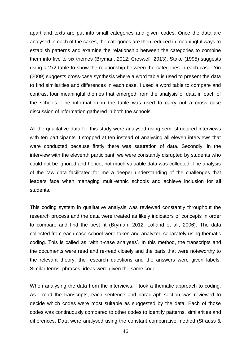apart and texts are put into small categories and given codes. Once the data are analysed in each of the cases, the categories are then reduced in meaningful ways to establish patterns and examine the relationship between the categories to combine them into five to six themes (Bryman, 2012; Creswell, 2013). Stake (1995) suggests using a 2x2 table to show the relationship between the categories in each case. Yin (2009) suggests cross-case synthesis where a word table is used to present the data to find similarities and differences in each case. I used a word table to compare and contrast four meaningful themes that emerged from the analysis of data in each of the schools. The information in the table was used to carry out a cross case discussion of information gathered in both the schools.

All the qualitative data for this study were analysed using semi-structured interviews with ten participants. I stopped at ten instead of analysing all eleven interviews that were conducted because firstly there was saturation of data. Secondly, in the interview with the eleventh participant, we were constantly disrupted by students who could not be ignored and hence, not much valuable data was collected. The analysis of the raw data facilitated for me a deeper understanding of the challenges that leaders face when managing multi-ethnic schools and achieve inclusion for all students.

This coding system in qualitative analysis was reviewed constantly throughout the research process and the data were treated as likely indicators of concepts in order to compare and find the best fit (Bryman, 2012; Lofland et al., 2006). The data collected from each case school were taken and analyzed separately using thematic coding. This is called as 'within-case analyses'. In this method, the transcripts and the documents were read and re-read closely and the parts that were noteworthy to the relevant theory, the research questions and the answers were given labels. Similar terms, phrases, ideas were given the same code.

When analysing the data from the interviews, I took a thematic approach to coding. As I read the transcripts, each sentence and paragraph section was reviewed to decide which codes were most suitable as suggested by the data. Each of those codes was continuously compared to other codes to identify patterns, similarities and differences. Data were analysed using the constant comparative method (Strauss &

46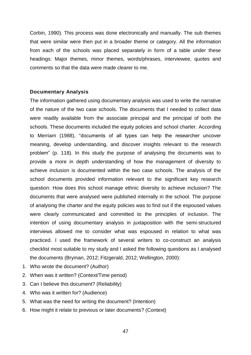Corbin, 1990). This process was done electronically and manually. The sub themes that were similar were then put in a broader theme or category. All the information from each of the schools was placed separately in form of a table under these headings: Major themes, minor themes, words/phrases, interviewee, quotes and comments so that the data were made clearer to me.

# **Documentary Analysis**

The information gathered using documentary analysis was used to write the narrative of the nature of the two case schools. The documents that I needed to collect data were readily available from the associate principal and the principal of both the schools. These documents included the equity policies and school charter. According to Merriam (1988), "documents of all types can help the researcher uncover meaning, develop understanding, and discover insights relevant to the research problem" (p. 118). In this study the purpose of analysing the documents was to provide a more in depth understanding of how the management of diversity to achieve inclusion is documented within the two case schools. The analysis of the school documents provided information relevant to the significant key research question: How does this school manage ethnic diversity to achieve inclusion? The documents that were analysed were published internally in the school. The purpose of analysing the charter and the equity policies was to find out if the espoused values were clearly communicated and committed to the principles of inclusion. The intention of using documentary analysis in juxtaposition with the semi-structured interviews allowed me to consider what was espoused in relation to what was practiced. I used the framework of several writers to co-construct an analysis checklist most suitable to my study and I asked the following questions as I analysed the documents (Bryman, 2012; Fitzgerald, 2012; Wellington, 2000):

- 1. Who wrote the document? (Author)
- 2. When was it written? (Context/Time period)
- 3. Can I believe this document? (Reliability)
- 4. Who was it written for? (Audience)
- 5. What was the need for writing the document? (Intention)
- 6. How might it relate to previous or later documents? (Context)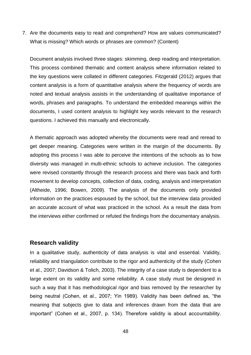7. Are the documents easy to read and comprehend? How are values communicated? What is missing? Which words or phrases are common? (Content)

Document analysis involved three stages: skimming, deep reading and interpretation. This process combined thematic and content analysis where information related to the key questions were collated in different categories. Fitzgerald (2012) argues that content analysis is a form of quantitative analysis where the frequency of words are noted and textual analysis assists in the understanding of qualitative importance of words, phrases and paragraphs. To understand the embedded meanings within the documents, I used content analysis to highlight key words relevant to the research questions. I achieved this manually and electronically.

A thematic approach was adopted whereby the documents were read and reread to get deeper meaning. Categories were written in the margin of the documents. By adopting this process I was able to perceive the intentions of the schools as to how diversity was managed in multi-ethnic schools to achieve inclusion. The categories were revised constantly through the research process and there was back and forth movement to develop concepts, collection of data, coding, analysis and interpretation (Altheide, 1996; Bowen, 2009). The analysis of the documents only provided information on the practices espoused by the school, but the interview data provided an accurate account of what was practiced in the school. As a result the data from the interviews either confirmed or refuted the findings from the documentary analysis.

# **Research validity**

In a qualitative study, authenticity of data analysis is vital and essential. Validity, reliability and triangulation contribute to the rigor and authenticity of the study (Cohen et al., 2007; Davidson & Tolich, 2003). The integrity of a case study is dependent to a large extent on its validity and some reliability. A case study must be designed in such a way that it has methodological rigor and bias removed by the researcher by being neutral (Cohen, et al., 2007; Yin 1989). Validity has been defined as, "the meaning that subjects give to data and inferences drawn from the data that are important" (Cohen et al., 2007, p. 134). Therefore validity is about accountability.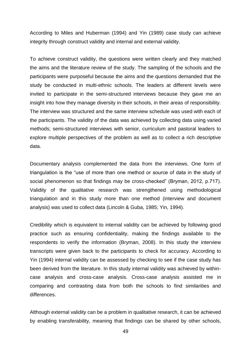According to Miles and Huberman (1994) and Yin (1989) case study can achieve integrity through construct validity and internal and external validity.

To achieve construct validity, the questions were written clearly and they matched the aims and the literature review of the study. The sampling of the schools and the participants were purposeful because the aims and the questions demanded that the study be conducted in multi-ethnic schools. The leaders at different levels were invited to participate in the semi-structured interviews because they gave me an insight into how they manage diversity in their schools, in their areas of responsibility. The interview was structured and the same interview schedule was used with each of the participants. The validity of the data was achieved by collecting data using varied methods; semi-structured interviews with senior, curriculum and pastoral leaders to explore multiple perspectives of the problem as well as to collect a rich descriptive data.

Documentary analysis complemented the data from the interviews. One form of triangulation is the "use of more than one method or source of data in the study of social phenomenon so that findings may be cross-checked" (Bryman, 2012, p.717). Validity of the qualitative research was strengthened using methodological triangulation and in this study more than one method (interview and document analysis) was used to collect data (Lincoln & Guba, 1985; Yin, 1994).

Credibility which is equivalent to internal validity can be achieved by following good practice such as ensuring confidentiality, making the findings available to the respondents to verify the information (Bryman, 2008). In this study the interview transcripts were given back to the participants to check for accuracy. According to Yin (1994) internal validity can be assessed by checking to see if the case study has been derived from the literature. In this study internal validity was achieved by withincase analysis and cross-case analysis. Cross-case analysis assisted me in comparing and contrasting data from both the schools to find similarities and differences.

Although external validity can be a problem in qualitative research, it can be achieved by enabling transferability, meaning that findings can be shared by other schools,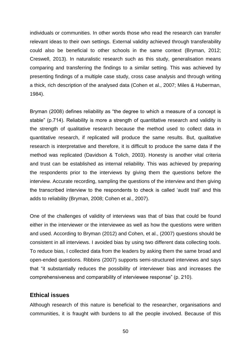individuals or communities. In other words those who read the research can transfer relevant ideas to their own settings. External validity achieved through transferability could also be beneficial to other schools in the same context (Bryman, 2012; Creswell, 2013). In naturalistic research such as this study, generalisation means comparing and transferring the findings to a similar setting. This was achieved by presenting findings of a multiple case study, cross case analysis and through writing a thick, rich description of the analysed data (Cohen et al., 2007; Miles & Huberman, 1984).

Bryman (2008) defines reliability as "the degree to which a measure of a concept is stable" (p.714). Reliability is more a strength of quantitative research and validity is the strength of qualitative research because the method used to collect data in quantitative research, if replicated will produce the same results. But, qualitative research is interpretative and therefore, it is difficult to produce the same data if the method was replicated (Davidson & Tolich, 2003). Honesty is another vital criteria and trust can be established as internal reliability. This was achieved by preparing the respondents prior to the interviews by giving them the questions before the interview. Accurate recording, sampling the questions of the interview and then giving the transcribed interview to the respondents to check is called 'audit trail' and this adds to reliability (Bryman, 2008; Cohen et al., 2007).

One of the challenges of validity of interviews was that of bias that could be found either in the interviewer or the interviewee as well as how the questions were written and used. According to Bryman (2012) and Cohen, et al., (2007) questions should be consistent in all interviews. I avoided bias by using two different data collecting tools. To reduce bias, I collected data from the leaders by asking them the same broad and open-ended questions. Ribbins (2007) supports semi-structured interviews and says that "it substantially reduces the possibility of interviewer bias and increases the comprehensiveness and comparability of interviewee response" (p. 210).

# **Ethical issues**

Although research of this nature is beneficial to the researcher, organisations and communities, it is fraught with burdens to all the people involved. Because of this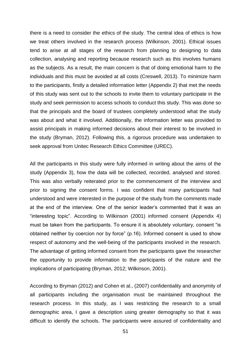there is a need to consider the ethics of the study. The central idea of ethics is how we treat others involved in the research process (Wilkinson, 2001). Ethical issues tend to arise at all stages of the research from planning to designing to data collection, analysing and reporting because research such as this involves humans as the subjects. As a result, the main concern is that of doing emotional harm to the individuals and this must be avoided at all costs (Creswell, 2013). To minimize harm to the participants, firstly a detailed information letter (Appendix 2) that met the needs of this study was sent out to the schools to invite them to voluntary participate in the study and seek permission to access schools to conduct this study. This was done so that the principals and the board of trustees completely understood what the study was about and what it involved. Additionally, the information letter was provided to assist principals in making informed decisions about their interest to be involved in the study (Bryman, 2012). Following this, a rigorous procedure was undertaken to seek approval from Unitec Research Ethics Committee (UREC).

All the participants in this study were fully informed in writing about the aims of the study (Appendix 3), how the data will be collected, recorded, analysed and stored. This was also verbally reiterated prior to the commencement of the interview and prior to signing the consent forms. I was confident that many participants had understood and were interested in the purpose of the study from the comments made at the end of the interview. One of the senior leader's commented that it was an "interesting topic". According to Wilkinson (2001) informed consent (Appendix 4) must be taken from the participants. To ensure it is absolutely voluntary, consent "is obtained neither by coercion nor by force" (p.16). Informed consent is used to show respect of autonomy and the well-being of the participants involved in the research. The advantage of getting informed consent from the participants gave the researcher the opportunity to provide information to the participants of the nature and the implications of participating (Bryman, 2012; Wilkinson, 2001).

According to Bryman (2012) and Cohen et al., (2007) confidentiality and anonymity of all participants including the organisation must be maintained throughout the research process. In this study, as I was restricting the research to a small demographic area, I gave a description using greater demography so that it was difficult to identify the schools. The participants were assured of confidentiality and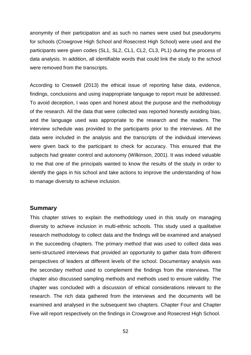anonymity of their participation and as such no names were used but pseudonyms for schools (Crowgrove High School and Rosecrest High School) were used and the participants were given codes (SL1, SL2, CL1, CL2, CL3, PL1) during the process of data analysis. In addition, all identifiable words that could link the study to the school were removed from the transcripts.

According to Creswell (2013) the ethical issue of reporting false data, evidence, findings, conclusions and using inappropriate language to report must be addressed. To avoid deception, I was open and honest about the purpose and the methodology of the research. All the data that were collected was reported honestly avoiding bias, and the language used was appropriate to the research and the readers. The interview schedule was provided to the participants prior to the interviews. All the data were included in the analysis and the transcripts of the individual interviews were given back to the participant to check for accuracy. This ensured that the subjects had greater control and autonomy (Wilkinson, 2001). It was indeed valuable to me that one of the principals wanted to know the results of the study in order to identify the gaps in his school and take actions to improve the understanding of how to manage diversity to achieve inclusion.

### **Summary**

This chapter strives to explain the methodology used in this study on managing diversity to achieve inclusion in multi-ethnic schools. This study used a qualitative research methodology to collect data and the findings will be examined and analysed in the succeeding chapters. The primary method that was used to collect data was semi-structured interviews that provided an opportunity to gather data from different perspectives of leaders at different levels of the school. Documentary analysis was the secondary method used to complement the findings from the interviews. The chapter also discussed sampling methods and methods used to ensure validity. The chapter was concluded with a discussion of ethical considerations relevant to the research. The rich data gathered from the interviews and the documents will be examined and analysed in the subsequent two chapters. Chapter Four and Chapter Five will report respectively on the findings in Crowgrove and Rosecrest High School.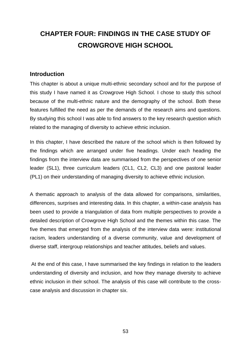# **CHAPTER FOUR: FINDINGS IN THE CASE STUDY OF CROWGROVE HIGH SCHOOL**

# **Introduction**

This chapter is about a unique multi-ethnic secondary school and for the purpose of this study I have named it as Crowgrove High School. I chose to study this school because of the multi-ethnic nature and the demography of the school. Both these features fulfilled the need as per the demands of the research aims and questions. By studying this school I was able to find answers to the key research question which related to the managing of diversity to achieve ethnic inclusion.

In this chapter, I have described the nature of the school which is then followed by the findings which are arranged under five headings. Under each heading the findings from the interview data are summarised from the perspectives of one senior leader (SL1), three curriculum leaders (CL1, CL2, CL3) and one pastoral leader (PL1) on their understanding of managing diversity to achieve ethnic inclusion.

A thematic approach to analysis of the data allowed for comparisons, similarities, differences, surprises and interesting data. In this chapter, a within-case analysis has been used to provide a triangulation of data from multiple perspectives to provide a detailed description of Crowgrove High School and the themes within this case. The five themes that emerged from the analysis of the interview data were: institutional racism, leaders understanding of a diverse community, value and development of diverse staff, intergroup relationships and teacher attitudes, beliefs and values.

At the end of this case, I have summarised the key findings in relation to the leaders understanding of diversity and inclusion, and how they manage diversity to achieve ethnic inclusion in their school. The analysis of this case will contribute to the crosscase analysis and discussion in chapter six.

53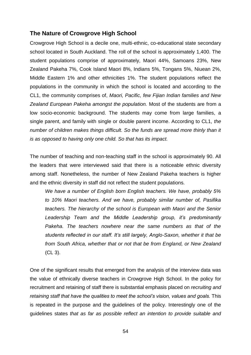# **The Nature of Crowgrove High School**

Crowgrove High School is a decile one, multi-ethnic, co-educational state secondary school located in South Auckland. The roll of the school is approximately 1,400. The student populations comprise of approximately, Maori 44%, Samoans 23%, New Zealand Pakeha 7%, Cook Island Maori 8%, Indians 5%, Tongans 5%, Niuean 2%, Middle Eastern 1% and other ethnicities 1%. The student populations reflect the populations in the community in which the school is located and according to the CL1, the community comprises of, *Maori, Pacific, few Fijian Indian families and New Zealand European Pakeha amongst the population.* Most of the students are from a low socio-economic background. The students may come from large families, a single parent, and family with single or double parent income. According to CL1, *the number of children makes things difficult. So the funds are spread more thinly than it is as opposed to having only one child. So that has its impact.*

The number of teaching and non-teaching staff in the school is approximately 90. All the leaders that were interviewed said that there is a noticeable ethnic diversity among staff. Nonetheless, the number of New Zealand Pakeha teachers is higher and the ethnic diversity in staff did not reflect the student populations.

*We have a number of English born English teachers. We have, probably 5% to 10% Maori teachers. And we have, probably similar number of, Pasifika teachers. The hierarchy of the school is European with Maori and the Senior Leadership Team and the Middle Leadership group, it's predominantly Pakeha. The teachers nowhere near the same numbers as that of the students reflected in our staff. It's still largely, Anglo-Saxon, whether it that be from South Africa, whether that or not that be from England, or New Zealand*  (CL 3).

One of the significant results that emerged from the analysis of the interview data was the value of ethnically diverse teachers in Crowgrove High School. In the policy for recruitment and retaining of staff there is substantial emphasis placed on *recruiting and retaining staff that have the qualities to meet the school's vision, values and goals.* This is repeated in the purpose and the guidelines of the policy. Interestingly one of the guidelines states *that as far as possible reflect an intention to provide suitable and*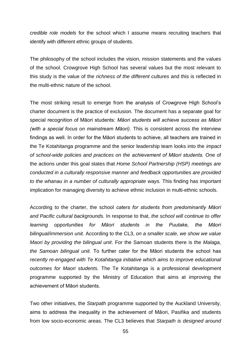*credible role models* for the school which I assume means recruiting teachers that identify with different ethnic groups of students.

The philosophy of the school includes the vision, mission statements and the values of the school. Crowgrove High School has several values but the most relevant to this study is the value of the *richness of the different cultures* and this is reflected in the multi-ethnic nature of the school.

The most striking result to emerge from the analysis of Crowgrove High School's charter document is the practice of exclusion. The document has a separate goal for special recognition of Māori students: *Māori students will achieve success as Māori (with a special focus on mainstream Māori)*. This is consistent across the interview findings as well. In order for the Māori students to achieve, all teachers are trained in the Te Kotahitanga programme and the senior leadership team looks into the *impact of school-wide policies and practices on the achievement of Māori students.* One of the actions under this goal states that *Home School Partnership (HSP) meetings are conducted in a culturally responsive manner and feedback opportunities are provided to the whanau in a number of culturally appropriate ways.* This finding has important implication for managing diversity to achieve ethnic inclusion in multi-ethnic schools.

According to the charter, the school *caters for students from predominantly Māori and Pacific cultural backgrounds.* In response to that, *the school will continue to offer learning opportunities for Māori students in the Puutake, the Māori bilingual/immersion unit.* According to the CL3, *on a smaller scale, we show we value Maori by providing the bilingual unit*. For the Samoan students there is the *Malaga, the Samoan bilingual unit.* To further cater for the Māori students the school has *recently re-engaged with Te Kotahitanga initiative which aims to improve educational outcomes for Maori students.* The Te Kotahitanga is a professional development programme supported by the Ministry of Education that aims at improving the achievement of Māori students.

Two other initiatives, the *Starpath* programme supported by the Auckland University, aims to address the inequality in the achievement of Māori, Pasifika and students from low socio-economic areas. The CL3 believes that *Starpath is designed around*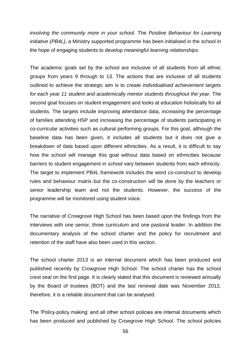*involving the community more in your school.* The *Positive Behaviour for Learning initiative (PB4L)*, a Ministry supported programme has been initialised in the school in the hope of engaging students to develop *meaningful learning relationships.*

The academic goals set by the school are inclusive of all students from all ethnic groups from years 9 through to 13. The actions that are inclusive of all students outlined to achieve the strategic aim is to *create individualised achievement targets for each year 11 student and academically mentor students throughout the year.* The second goal focuses on student engagement and looks at education holistically for all students. The targets include improving attendance data, increasing the percentage of families attending HSP and increasing the percentage of students participating in co-curricular activities such as cultural performing groups. For this goal, although the baseline data has been given, it includes all students but it does not give a breakdown of data based upon different ethnicities. As a result, it is difficult to say how the school will manage this goal without data based on ethnicities because barriers to student engagement in school vary between students from each ethnicity. The target to implement PB4L framework includes the word *co-construct* to develop rules and behaviour matrix but the co-construction will be done by the teachers or senior leadership team and not the students. However, the success of the programme will be monitored using student voice.

The narrative of Crowgrove High School has been based upon the findings from the interviews with one senior, three curriculum and one pastoral leader. In addition the documentary analysis of the school charter and the policy for recruitment and retention of the staff have also been used in this section.

The school charter 2013 is an internal document which has been produced and published recently by Crowgrove High School. The school charter has the school crest seal on the first page. It is clearly stated that this document is reviewed annually by the Board of trustees (BOT) and the last renewal date was November 2012, therefore, it is a reliable document that can be analysed.

The 'Policy-policy making' and all other school policies are internal documents which has been produced and published by Crowgrove High School. The school policies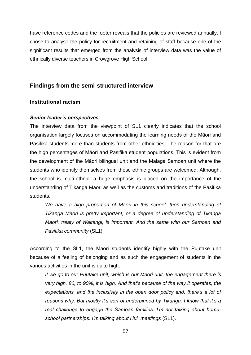have reference codes and the footer reveals that the policies are reviewed annually. I chose to analyse the policy for recruitment and retaining of staff because one of the significant results that emerged from the analysis of interview data was the value of ethnically diverse teachers in Crowgrove High School.

# **Findings from the semi-structured interview**

# **Institutional racism**

# *Senior leader's perspectives*

The interview data from the viewpoint of SL1 clearly indicates that the school organisation largely focuses on accommodating the learning needs of the Māori and Pasifika students more than students from other ethnicities. The reason for that are the high percentages of Māori and Pasifika student populations. This is evident from the development of the Māori bilingual unit and the Malaga Samoan unit where the students who identify themselves from these ethnic groups are welcomed. Although, the school is multi-ethnic, a huge emphasis is placed on the importance of the understanding of Tikanga Maori as well as the customs and traditions of the Pasifika students.

We have a high proportion of Maori in this school, then understanding of *Tikanga Maori is pretty important, or a degree of understanding of Tikanga Maori, treaty of Waitangi, is important. And the same with our Samoan and Pasifika community* (SL1).

According to the SL1, the Māori students identify highly with the Puutake unit because of a feeling of belonging and as such the engagement of students in the various activities in the unit is quite high.

*If we go to our Puutake unit, which is our Maori unit, the engagement there is very high, 80, to 90%, it is high. And that's because of the way it operates, the*  expectations, and the inclusivity in the open door policy and, there's a lot of *reasons why. But mostly it's sort of underpinned by Tikanga. I know that it's a real challenge to engage the Samoan families. I'm not talking about homeschool partnerships. I'm talking about Hui, meetings* (SL1).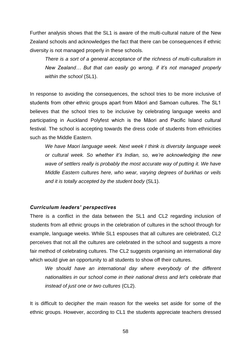Further analysis shows that the SL1 is aware of the multi-cultural nature of the New Zealand schools and acknowledges the fact that there can be consequences if ethnic diversity is not managed properly in these schools.

*There is a sort of a general acceptance of the richness of multi-culturalism in New Zealand… But that can easily go wrong, if it's not managed properly within the school* (SL1).

In response to avoiding the consequences, the school tries to be more inclusive of students from other ethnic groups apart from Māori and Samoan cultures. The SL1 believes that the school tries to be inclusive by celebrating language weeks and participating in Auckland Polyfest which is the Māori and Pacific Island cultural festival. The school is accepting towards the dress code of students from ethnicities such as the Middle Eastern.

*We have Maori language week. Next week I think is diversity language week or cultural week. So whether it's Indian, so, we're acknowledging the new*  wave of settlers really is probably the most accurate way of putting it. We have *Middle Eastern cultures here, who wear, varying degrees of burkhas or veils and it is totally accepted by the student body* (SL1).

# *Curriculum leaders' perspectives*

There is a conflict in the data between the SL1 and CL2 regarding inclusion of students from all ethnic groups in the celebration of cultures in the school through for example, language weeks. While SL1 espouses that all cultures are celebrated, CL2 perceives that not all the cultures are celebrated in the school and suggests a more fair method of celebrating cultures. The CL2 suggests organising an international day which would give an opportunity to all students to show off their cultures.

*We should have an international day where everybody of the different nationalities in our school come in their national dress and let's celebrate that instead of just one or two cultures* (CL2).

It is difficult to decipher the main reason for the weeks set aside for some of the ethnic groups. However, according to CL1 the students appreciate teachers dressed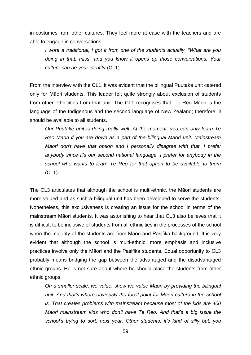in costumes from other cultures. They feel more at ease with the teachers and are able to engage in conversations.

*I wore a traditional, I got it from one of the students actually, "What are you doing in that, miss" and you know it opens up those conversations. Your culture can be your identity* (CL1).

From the interview with the CL1, it was evident that the bilingual Puutake unit catered only for Māori students. This leader felt quite strongly about exclusion of students from other ethnicities from that unit. The CL1 recognises that, Te Reo Māori is the language of the Indigenous and the second language of New Zealand; therefore, it should be available to all students.

*Our Puutake unit is doing really well. At the moment, you can only learn Te Reo Maori if you are down as a part of the bilingual Maori unit. Mainstream Maori don't have that option and I personally disagree with that. I prefer anybody since it's our second national language, I prefer for anybody in the school who wants to learn Te Reo for that option to be available to them*  (CL1).

The CL3 articulates that although the school is multi-ethnic, the Māori students are more valued and as such a bilingual unit has been developed to serve the students. Nonetheless, this exclusiveness is creating an issue for the school in terms of the mainstream Māori students. It was astonishing to hear that CL3 also believes that it is difficult to be inclusive of students from all ethnicities in the processes of the school when the majority of the students are from Māori and Pasifika background. It is very evident that although the school is multi-ethnic, more emphasis and inclusive practices involve only the Māori and the Pasifika students. Equal opportunity to CL3 probably means bridging the gap between the advantaged and the disadvantaged ethnic groups. He is not sure about where he should place the students from other ethnic groups.

*On a smaller scale, we value, show we value Maori by providing the bilingual unit. And that's where obviously the focal point for Maori culture in the school is. That creates problems with mainstream because most of the kids are 400 Maori mainstream kids who don't have Te Reo. And that's a big issue the school's trying to sort, next year. Other students, it's kind of silly but, you*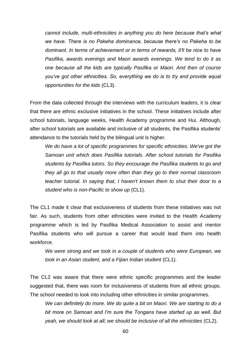*cannot include, multi-ethnicities in anything you do here because that's what we have. There is no Pakeha dominance, because there's no Pakeha to be dominant. In terms of achievement or in terms of rewards, it'll be nice to have Pasifika, awards evenings and Maori awards evenings. We tend to do it as one because all the kids are typically Pasifika or Maori. And then of course you've got other ethnicities. So, everything we do is to try and provide equal opportunities for the kids* (CL3).

From the data collected through the interviews with the curriculum leaders, it is clear that there are ethnic exclusive initiatives in the school. These initiatives include after school tutorials, language weeks, Health Academy programme and Hui. Although, after school tutorials are available and inclusive of all students, the Pasifika students' attendance to the tutorials held by the bilingual unit is higher.

*We do have a lot of specific programmes for specific ethnicities. We've got the Samoan unit which does Pasifika tutorials. After school tutorials for Pasifika students by Pasifika tutors. So they encourage the Pasifika students to go and they all go to that usually more often than they go to their normal classroom teacher tutorial. In saying that, I haven't known them to shut their door to a student who is non-Pacific to show up* (CL1).

The CL1 made it clear that exclusiveness of students from these initiatives was not fair. As such, students from other ethnicities were invited to the Health Academy programme which is led by Pasifika Medical Association to assist and mentor Pasifika students who will pursue a career that would lead them into health workforce.

*We were strong and we took in a couple of students who were European, we took in an Asian student, and a Fijian Indian student* (CL1).

The CL2 was aware that there were ethnic specific programmes and the leader suggested that, there was room for inclusiveness of students from all ethnic groups. The school needed to look into including other ethnicities in similar programmes.

*We can definitely do more. We do quite a bit on Maori. We are starting to do a bit more on Samoan and I'm sure the Tongans have started up as well. But yeah, we should look at all; we should be inclusive of all the ethnicities* (CL2).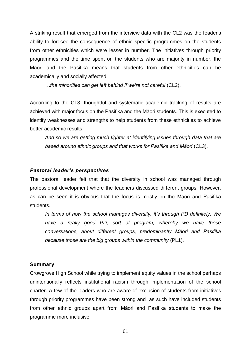A striking result that emerged from the interview data with the CL2 was the leader's ability to foresee the consequence of ethnic specific programmes on the students from other ethnicities which were lesser in number. The initiatives through priority programmes and the time spent on the students who are majority in number, the Māori and the Pasifika means that students from other ethnicities can be academically and socially affected.

*…the minorities can get left behind if we're not careful* (CL2).

According to the CL3, thoughtful and systematic academic tracking of results are achieved with major focus on the Pasifika and the Māori students. This is executed to identify weaknesses and strengths to help students from these ethnicities to achieve better academic results.

*And so we are getting much tighter at identifying issues through data that are based around ethnic groups and that works for Pasifika and Māori* (CL3).

#### *Pastoral leader's perspectives*

The pastoral leader felt that that the diversity in school was managed through professional development where the teachers discussed different groups. However, as can be seen it is obvious that the focus is mostly on the Māori and Pasifika students.

*In terms of how the school manages diversity, it's through PD definitely. We have a really good PD, sort of program, whereby we have those conversations, about different groups, predominantly Māori and Pasifika because those are the big groups within the community* (PL1).

#### **Summary**

Crowgrove High School while trying to implement equity values in the school perhaps unintentionally reflects institutional racism through implementation of the school charter. A few of the leaders who are aware of exclusion of students from initiatives through priority programmes have been strong and as such have included students from other ethnic groups apart from Māori and Pasifika students to make the programme more inclusive.

61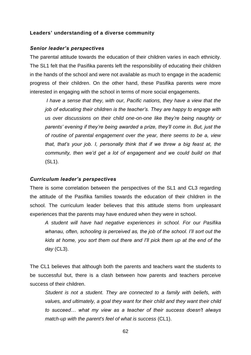# **Leaders' understanding of a diverse community**

### *Senior leader's perspectives*

The parental attitude towards the education of their children varies in each ethnicity. The SL1 felt that the Pasifika parents left the responsibility of educating their children in the hands of the school and were not available as much to engage in the academic progress of their children. On the other hand, these Pasifika parents were more interested in engaging with the school in terms of more social engagements.

*I have a sense that they, with our, Pacific nations, they have a view that the job of educating their children is the teacher's. They are happy to engage with us over discussions on their child one-on-one like they're being naughty or parents' evening if they're being awarded a prize, they'll come in. But, just the of routine of parental engagement over the year, there seems to be a, view that, that's your job. I, personally think that if we threw a big feast at, the community, then we'd get a lot of engagement and we could build on that*  (SL1).

### *Curriculum leader's perspectives*

There is some correlation between the perspectives of the SL1 and CL3 regarding the attitude of the Pasifika families towards the education of their children in the school. The curriculum leader believes that this attitude stems from unpleasant experiences that the parents may have endured when they were in school.

*A student will have had negative experiences in school. For our Pasifika whanau, often, schooling is perceived as, the job of the school. I'll sort out the kids at home, you sort them out there and I'll pick them up at the end of the day* (CL3).

The CL1 believes that although both the parents and teachers want the students to be successful but, there is a clash between how parents and teachers perceive success of their children.

*Student is not a student. They are connected to a family with beliefs, with values, and ultimately, a goal they want for their child and they want their child to succeed… what my view as a teacher of their success doesn't always match-up with the parent's feel of what is success* (CL1).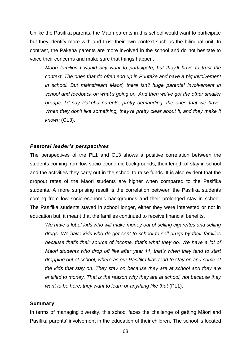Unlike the Pasifika parents, the Maori parents in this school would want to participate but they identify more with and trust their own context such as the bilingual unit. In contrast, the Pakeha parents are more involved in the school and do not hesitate to voice their concerns and make sure that things happen.

*Māori families I would say want to participate, but they'll have to trust the context. The ones that do often end up in Puutake and have a big involvement in school. But mainstream Maori, there isn't huge parental involvement in school and feedback on what's going on. And then we've got the other smaller groups, I'd say Pakeha parents, pretty demanding, the ones that we have. When they don't like something, they're pretty clear about it, and they make it known* (CL3).

### *Pastoral leader's perspectives*

The perspectives of the PL1 and CL3 shows a positive correlation between the students coming from low socio-economic backgrounds, their length of stay in school and the activities they carry out in the school to raise funds. It is also evident that the dropout rates of the Maori students are higher when compared to the Pasifika students. A more surprising result is the correlation between the Pasifika students coming from low socio-economic backgrounds and their prolonged stay in school. The Pasifika students stayed in school longer, either they were interested or not in education but, it meant that the families continued to receive financial benefits.

*We have a lot of kids who will make money out of selling cigarettes and selling drugs. We have kids who do get sent to school to sell drugs by their families because that's their source of income, that's what they do. We have a lot of Maori students who drop off like after year 11, that's when they tend to start dropping out of school, where as our Pasifika kids tend to stay on and some of the kids that stay on. They stay on because they are at school and they are entitled to money. That is the reason why they are at school, not because they want to be here, they want to learn or anything like that (PL1).* 

#### **Summary**

In terms of managing diversity, this school faces the challenge of getting Māori and Pasifika parents' involvement in the education of their children. The school is located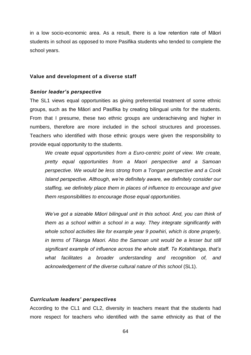in a low socio-economic area. As a result, there is a low retention rate of Māori students in school as opposed to more Pasifika students who tended to complete the school years.

### **Value and development of a diverse staff**

### *Senior leader's perspective*

The SL1 views equal opportunities as giving preferential treatment of some ethnic groups, such as the Māori and Pasifika by creating bilingual units for the students. From that I presume, these two ethnic groups are underachieving and higher in numbers, therefore are more included in the school structures and processes. Teachers who identified with those ethnic groups were given the responsibility to provide equal opportunity to the students.

*We create equal opportunities from a Euro-centric point of view. We create, pretty equal opportunities from a Maori perspective and a Samoan perspective. We would be less strong from a Tongan perspective and a Cook Island perspective. Although, we're definitely aware, we definitely consider our staffing, we definitely place them in places of influence to encourage and give them responsibilities to encourage those equal opportunities.*

*We've got a sizeable Māori bilingual unit in this school. And, you can think of them as a school within a school in a way. They integrate significantly with whole school activities like for example year 9 powhiri, which is done properly, in terms of Tikanga Maori. Also the Samoan unit would be a lesser but still significant example of influence across the whole staff. Te Kotahitanga, that's what facilitates a broader understanding and recognition of, and acknowledgement of the diverse cultural nature of this school* (SL1).

# *Curriculum leaders' perspectives*

According to the CL1 and CL2, diversity in teachers meant that the students had more respect for teachers who identified with the same ethnicity as that of the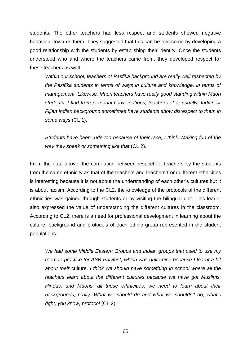students. The other teachers had less respect and students showed negative behaviour towards them. They suggested that this can be overcome by developing a good relationship with the students by establishing their identity. Once the students understood who and where the teachers came from, they developed respect for these teachers as well.

*Within our school, teachers of Pasfika background are really well respected by the Pasifika students in terms of ways in culture and knowledge, in terms of management. Likewise, Maori teachers have really good standing within Maori students. I find from personal conversations, teachers of a, usually, Indian or Fijian Indian background sometimes have students show disrespect to them in some ways* (CL 1).

*Students have been rude too because of their race, I think. Making fun of the way they speak or something like that* (CL 2).

From the data above, the correlation between respect for teachers by the students from the same ethnicity as that of the teachers and teachers from different ethnicities is interesting because it is not about the understanding of each other's cultures but it is about racism. According to the CL2, the knowledge of the protocols of the different ethnicities was gained through students or by visiting the bilingual unit. This leader also expressed the value of understanding the different cultures in the classroom. According to CL2, there is a need for professional development in learning about the culture, background and protocols of each ethnic group represented in the student populations.

*We had some Middle Eastern Groups and Indian groups that used to use my room to practice for ASB Polyfest, which was quite nice because I learnt a bit about their* culture. *I think we should have something in school where all the teachers learn about the different cultures because we have got Muslims, Hindus, and Maoris: all these ethnicities, we need to learn about their backgrounds, really. What we should do and what we shouldn't do, what's right, you know, protocol* (CL 2).

65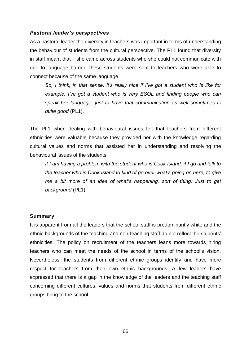# *Pastoral leader's perspectives*

As a pastoral leader the diversity in teachers was important in terms of understanding the behaviour of students from the cultural perspective. The PL1 found that diversity in staff meant that if she came across students who she could not communicate with due to language barrier; these students were sent to teachers who were able to connect because of the same language.

*So, I think, in that sense, it's really nice if I've got a student who is like for example, I've got a student who is very ESOL and finding people who can speak her language, just to have that communication as well sometimes is quite good* (PL1).

The PL1 when dealing with behavioural issues felt that teachers from different ethnicities were valuable because they provided her with the knowledge regarding cultural values and norms that assisted her in understanding and resolving the behavioural issues of the students.

*If I am having a problem with the student who is Cook Island, if I go and talk to the teacher who is Cook Island to kind of go over what's going on here, to give me a bit more of an idea of what's happening, sort of thing. Just to get background* (PL1).

# **Summary**

It is apparent from all the leaders that the school staff is predominantly white and the ethnic backgrounds of the teaching and non-teaching staff do not reflect the students' ethnicities. The policy on recruitment of the teachers leans more towards hiring teachers who can meet the needs of the school in terms of the school's vision. Nevertheless, the students from different ethnic groups identify and have more respect for teachers from their own ethnic backgrounds. A few leaders have expressed that there is a gap in the knowledge of the leaders and the teaching staff concerning different cultures, values and norms that students from different ethnic groups bring to the school.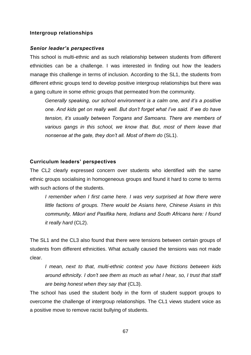#### **Intergroup relationships**

#### *Senior leader's perspectives*

This school is multi-ethnic and as such relationship between students from different ethnicities can be a challenge. I was interested in finding out how the leaders manage this challenge in terms of inclusion. According to the SL1, the students from different ethnic groups tend to develop positive intergroup relationships but there was a gang culture in some ethnic groups that permeated from the community.

*Generally speaking, our school environment is a calm one, and it's a positive one. And kids get on really well. But don't forget what I've said. If we do have tension, it's usually between Tongans and Samoans. There are members of various gangs in this school, we know that. But, most of them leave that nonsense at the gate, they don't all. Most of them do* (SL1).

#### **Curriculum leaders' perspectives**

The CL2 clearly expressed concern over students who identified with the same ethnic groups socialising in homogeneous groups and found it hard to come to terms with such actions of the students.

*I remember when I first came here. I was very surprised at how there were little factions of groups. There would be Asians here, Chinese Asians in this community, Māori and Pasifika here, Indians and South Africans here: I found it really hard* (CL2).

The SL1 and the CL3 also found that there were tensions between certain groups of students from different ethnicities. What actually caused the tensions was not made clear.

*I mean, next to that, multi-ethnic context you have frictions between kids around ethnicity. I don't see them as much as what I hear, so, I trust that staff are being honest when they say that* (CL3).

The school has used the student body in the form of student support groups to overcome the challenge of intergroup relationships. The CL1 views student voice as a positive move to remove racist bullying of students.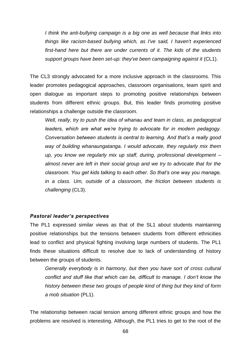*I think the anti-bullying campaign is a big one as well because that links into things like racism-based bullying which, as I've said, I haven't experienced first-hand here but there are under currents of it. The kids of the students*  support groups have been set-up: they've been campaigning against it (CL1).

The CL3 strongly advocated for a more inclusive approach in the classrooms. This leader promotes pedagogical approaches, classroom organisations, team spirit and open dialogue as important steps to promoting positive relationships between students from different ethnic groups. But, this leader finds promoting positive relationships a challenge outside the classroom.

*Well, really, try to push the idea of whanau and team in class, as pedagogical leaders, which are what we're trying to advocate for in modern pedagogy. Conversation between students is central to learning. And that's a really good way of building whanaungatanga. I would advocate, they regularly mix them up, you know we regularly mix up staff, during, professional development – almost never are left in their social group and we try to advocate that for the classroom. You get kids talking to each other. So that's one way you manage, in a class. Um, outside of a classroom, the friction between students is challenging* (CL3).

# *Pastoral leader's perspectives*

The PL1 expressed similar views as that of the SL1 about students maintaining positive relationships but the tensions between students from different ethnicities lead to conflict and physical fighting involving large numbers of students. The PL1 finds these situations difficult to resolve due to lack of understanding of history between the groups of students.

*Generally everybody is in harmony, but then you have sort of cross cultural conflict and stuff like that which can be, difficult to manage. I don't know the history between these two groups of people kind of thing but they kind of form a mob situation* (PL1).

The relationship between racial tension among different ethnic groups and how the problems are resolved is interesting. Although, the PL1 tries to get to the root of the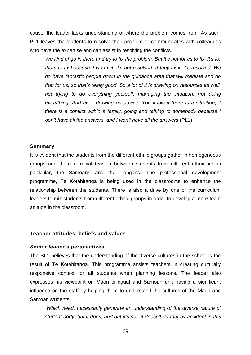cause, the leader lacks understanding of where the problem comes from. As such, PL1 leaves the students to resolve their problem or communicates with colleagues who have the expertise and can assist in resolving the conflicts.

*We kind of go in there and try to fix the problem. But it's not for us to fix, it's for them to fix because if we fix it, it's not resolved. If they fix it, it's resolved. We do have fantastic people down in the guidance area that will mediate and do that for us, so that's really good. So a lot of it is drawing on resources as well, not trying to do everything yourself, managing the situation, not doing everything. And also, drawing on advice. You know if there is a situation, if there is a conflict within a family, going and talking to somebody because I don't have all the answers, and I won't have all the answers* (PL1).

#### **Summary**

It is evident that the students from the different ethnic groups gather in homogeneous groups and there is racial tension between students from different ethnicities in particular, the Samoans and the Tongans. The professional development programme, Te Kotahitanga is being used in the classrooms to enhance the relationship between the students. There is also a drive by one of the curriculum leaders to mix students from different ethnic groups in order to develop a more team attitude in the classroom.

#### **Teacher attitudes, beliefs and values**

#### *Senior leader's perspectives*

The SL1 believes that the understanding of the diverse cultures in the school is the result of Te Kotahitanga. This programme assists teachers in creating culturally responsive context for all students when planning lessons. The leader also expresses his viewpoint on Māori bilingual and Samoan unit having a significant influence on the staff by helping them to understand the cultures of the Māori and Samoan students.

*Which need, necessarily generate an understanding of the diverse nature of student body, but it does, and but it's not, it doesn't do that by accident in this*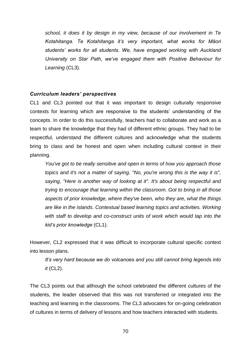*school, it does it by design in my view, because of our involvement in Te Kotahitanga. Te Kotahitanga it's very important, what works for Māori students' works for all students. We, have engaged working with Auckland University on Star Path, we've engaged them with Positive Behaviour for Learning* (CL3).

# *Curriculum leaders' perspectives*

CL1 and CL3 pointed out that it was important to design culturally responsive contexts for learning which are responsive to the students' understanding of the concepts. In order to do this successfully, teachers had to collaborate and work as a team to share the knowledge that they had of different ethnic groups. They had to be respectful, understand the different cultures and acknowledge what the students bring to class and be honest and open when including cultural context in their planning.

*You've got to be really sensitive and open in terms of how you approach those topics and it's not a matter of saying, "No, you're wrong this is the way it is", saying, "Here is another way of looking at it". It's about being respectful and trying to encourage that learning within the classroom. Got to bring in all those aspects of prior knowledge, where they've been, who they are, what the things are like in the islands. Contextual based learning topics and activities. Working with staff to develop and co-construct units of work which would tap into the kid's prior knowledge* (CL1).

However, CL2 expressed that it was difficult to incorporate cultural specific context into lesson plans.

*It's very hard because we do volcanoes and you still cannot bring legends into it* (CL2).

The CL3 points out that although the school celebrated the different cultures of the students, the leader observed that this was not transferred or integrated into the teaching and learning in the classrooms. The CL3 advocates for on-going celebration of cultures in terms of delivery of lessons and how teachers interacted with students.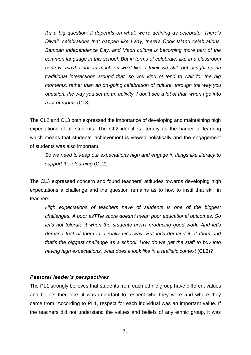*It's a big question, it depends on what, we're defining as celebrate. There's Diwali, celebrations that happen like I say, there's Cook Island celebrations, Samoan Independence Day, and Maori culture is becoming more part of the common language in this school. But in terms of celebrate, like in a classroom*  context, maybe not as much as we'd like. I think we still, get caught up, in *traditional interactions around that, so you kind of tend to wait for the big moments, rather than an on-going celebration of culture, through the way you question, the way you set up an activity. I don't see a lot of that, when I go into a lot of rooms* (CL3).

The CL2 and CL3 both expressed the importance of developing and maintaining high expectations of all students. The CL2 identifies literacy as the barrier to learning which means that students' achievement is viewed holistically and the engagement of students was also important.

*So we need to keep our expectations high and engage in things like literacy to support their learning* (CL2).

The CL3 expressed concern and found teachers' attitudes towards developing high expectations a challenge and the question remains as to how to instil that skill in teachers.

*High expectations of teachers have of students is one of the biggest challenges. A poor asTTle score doesn't mean poor educational outcomes. So let's not tolerate it when the students aren't producing good work. And let's demand that of them in a really nice way. But let's demand it of them and that's the biggest challenge as a school. How do we get the staff to buy into having high expectations, what does it look like in a realistic context* (CL3)?

# *Pastoral leader's perspectives*

The PL1 strongly believes that students from each ethnic group have different values and beliefs therefore, it was important to respect who they were and where they came from. According to PL1, respect for each individual was an important value. If the teachers did not understand the values and beliefs of any ethnic group, it was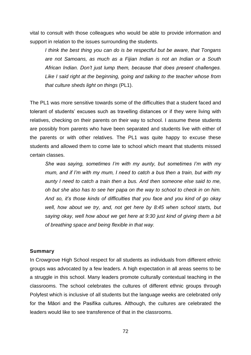vital to consult with those colleagues who would be able to provide information and support in relation to the issues surrounding the students.

*I think the best thing you can do is be respectful but be aware, that Tongans are not Samoans, as much as a Fijian Indian is not an Indian or a South African Indian. Don't just lump them, because that does present challenges. Like I said right at the beginning, going and talking to the teacher whose from that culture sheds light on things* (PL1).

The PL1 was more sensitive towards some of the difficulties that a student faced and tolerant of students' excuses such as travelling distances or if they were living with relatives, checking on their parents on their way to school. I assume these students are possibly from parents who have been separated and students live with either of the parents or with other relatives. The PL1 was quite happy to excuse these students and allowed them to come late to school which meant that students missed certain classes.

*She was saying, sometimes I'm with my aunty, but sometimes I'm with my mum, and if I'm with my mum, I need to catch a bus then a train, but with my aunty I need to catch a train then a bus. And then someone else said to me, oh but she also has to see her papa on the way to school to check in on him. And so, it's those kinds of difficulties that you face and you kind of go okay well, how about we try, and, not get here by 8:45 when school starts, but saying okay, well how about we get here at 9:30 just kind of giving them a bit of breathing space and being flexible in that way.*

### **Summary**

In Crowgrove High School respect for all students as individuals from different ethnic groups was advocated by a few leaders. A high expectation in all areas seems to be a struggle in this school. Many leaders promote culturally contextual teaching in the classrooms. The school celebrates the cultures of different ethnic groups through Polyfest which is inclusive of all students but the language weeks are celebrated only for the Māori and the Pasifika cultures. Although, the cultures are celebrated the leaders would like to see transference of that in the classrooms.

72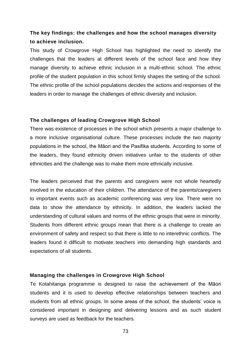# **The key findings: the challenges and how the school manages diversity to achieve inclusion.**

This study of Crowgrove High School has highlighted the need to identify the challenges that the leaders at different levels of the school face and how they manage diversity to achieve ethnic inclusion in a multi-ethnic school. The ethnic profile of the student population in this school firmly shapes the setting of the school. The ethnic profile of the school populations decides the actions and responses of the leaders in order to manage the challenges of ethnic diversity and inclusion.

### **The challenges of leading Crowgrove High School**

There was existence of processes in the school which presents a major challenge to a more inclusive organisational culture. These processes include the two majority populations in the school, the Māori and the Pasifika students. According to some of the leaders, they found ethnicity driven initiatives unfair to the students of other ethnicities and the challenge was to make them more ethnically inclusive.

The leaders perceived that the parents and caregivers were not whole heartedly involved in the education of their children. The attendance of the parents/caregivers to important events such as academic conferencing was very low. There were no data to show the attendance by ethnicity. In addition, the leaders lacked the understanding of cultural values and norms of the ethnic groups that were in minority. Students from different ethnic groups mean that there is a challenge to create an environment of safety and respect so that there is little to no interethnic conflicts. The leaders found it difficult to motivate teachers into demanding high standards and expectations of all students.

# **Managing the challenges in Crowgrove High School**

Te Kotahitanga programme is designed to raise the achievement of the Māori students and it is used to develop effective relationships between teachers and students from all ethnic groups. In some areas of the school, the students' voice is considered important in designing and delivering lessons and as such student surveys are used as feedback for the teachers.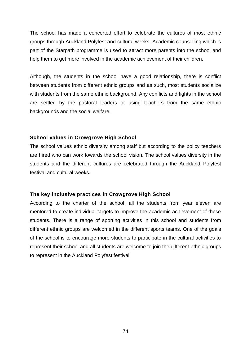The school has made a concerted effort to celebrate the cultures of most ethnic groups through Auckland Polyfest and cultural weeks. Academic counselling which is part of the Starpath programme is used to attract more parents into the school and help them to get more involved in the academic achievement of their children.

Although, the students in the school have a good relationship, there is conflict between students from different ethnic groups and as such, most students socialize with students from the same ethnic background. Any conflicts and fights in the school are settled by the pastoral leaders or using teachers from the same ethnic backgrounds and the social welfare.

# **School values in Crowgrove High School**

The school values ethnic diversity among staff but according to the policy teachers are hired who can work towards the school vision. The school values diversity in the students and the different cultures are celebrated through the Auckland Polyfest festival and cultural weeks.

# **The key inclusive practices in Crowgrove High School**

According to the charter of the school, all the students from year eleven are mentored to create individual targets to improve the academic achievement of these students. There is a range of sporting activities in this school and students from different ethnic groups are welcomed in the different sports teams. One of the goals of the school is to encourage more students to participate in the cultural activities to represent their school and all students are welcome to join the different ethnic groups to represent in the Auckland Polyfest festival.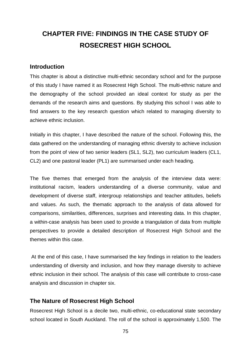# **CHAPTER FIVE: FINDINGS IN THE CASE STUDY OF ROSECREST HIGH SCHOOL**

# **Introduction**

This chapter is about a distinctive multi-ethnic secondary school and for the purpose of this study I have named it as Rosecrest High School. The multi-ethnic nature and the demography of the school provided an ideal context for study as per the demands of the research aims and questions. By studying this school I was able to find answers to the key research question which related to managing diversity to achieve ethnic inclusion.

Initially in this chapter, I have described the nature of the school. Following this, the data gathered on the understanding of managing ethnic diversity to achieve inclusion from the point of view of two senior leaders (SL1, SL2), two curriculum leaders (CL1, CL2) and one pastoral leader (PL1) are summarised under each heading.

The five themes that emerged from the analysis of the interview data were: institutional racism, leaders understanding of a diverse community, value and development of diverse staff, intergroup relationships and teacher attitudes, beliefs and values. As such, the thematic approach to the analysis of data allowed for comparisons, similarities, differences, surprises and interesting data. In this chapter, a within-case analysis has been used to provide a triangulation of data from multiple perspectives to provide a detailed description of Rosecrest High School and the themes within this case.

At the end of this case, I have summarised the key findings in relation to the leaders understanding of diversity and inclusion, and how they manage diversity to achieve ethnic inclusion in their school. The analysis of this case will contribute to cross-case analysis and discussion in chapter six.

# **The Nature of Rosecrest High School**

Rosecrest High School is a decile two, multi-ethnic, co-educational state secondary school located in South Auckland. The roll of the school is approximately 1,500. The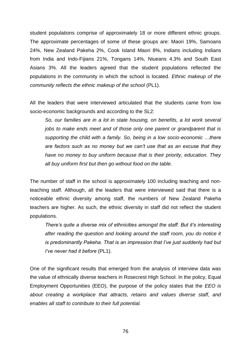student populations comprise of approximately 18 or more different ethnic groups. The approximate percentages of some of these groups are: Maori 19%, Samoans 24%, New Zealand Pakeha 2%, Cook Island Maori 8%, Indians including Indians from India and Indo-Fijians 21%, Tongans 14%, Niueans 4.3% and South East Asians 3%. All the leaders agreed that the student populations reflected the populations in the community in which the school is located. *Ethnic makeup of the community reflects the ethnic makeup of the school* (PL1).

All the leaders that were interviewed articulated that the students came from low socio-economic backgrounds and according to the SL2:

*So, our families are in a lot in state housing, on benefits, a lot work several jobs to make ends meet and of those only one parent or grandparent that is supporting the child with a family. So, being in a low socio-economic …there are factors such as no money but we can't use that as an excuse that they have no money to buy uniform because that is their priority, education. They all buy uniform first but then go without food on the table.* 

The number of staff in the school is approximately 100 including teaching and nonteaching staff. Although, all the leaders that were interviewed said that there is a noticeable ethnic diversity among staff, the numbers of New Zealand Pakeha teachers are higher. As such, the ethnic diversity in staff did not reflect the student populations.

*There's quite a diverse mix of ethnicities amongst the staff. But it's interesting after reading the question and looking around the staff room, you do notice it is predominantly Pakeha. That is an impression that I've just suddenly had but I've never had it before* (PL1).

One of the significant results that emerged from the analysis of interview data was the value of ethnically diverse teachers in Rosecrest High School. In the policy, Equal Employment Opportunities (EEO), the purpose of the policy states that the *EEO is about creating a workplace that attracts, retains and values diverse staff, and enables all staff to contribute to their full potential.*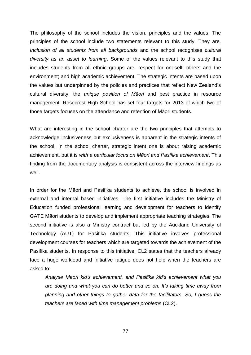The philosophy of the school includes the vision, principles and the values. The principles of the school include two statements relevant to this study. They are*, Inclusion of all students from all backgrounds* and the school recognises *cultural diversity as an asset to learning*. Some of the values relevant to this study that includes students from all ethnic groups are, respect for oneself, others and the environment; and high academic achievement. The strategic intents are based upon the values but underpinned by the policies and practices that reflect New Zealand's cultural diversity, the *unique position of Māori* and best practice in resource management. Rosecrest High School has set four targets for 2013 of which two of those targets focuses on the attendance and retention of Māori students.

What are interesting in the school charter are the two principles that attempts to acknowledge inclusiveness but exclusiveness is apparent in the strategic intents of the school. In the school charter, strategic intent one is about raising academic achievement, but it is *with a particular focus on Māori and Pasifika achievement*. This finding from the documentary analysis is consistent across the interview findings as well.

In order for the Māori and Pasifika students to achieve, the school is involved in external and internal based initiatives. The first initiative includes the Ministry of Education funded professional learning and development for teachers to identify GATE Māori students to develop and implement appropriate teaching strategies. The second initiative is also a Ministry contract but led by the Auckland University of Technology (AUT) for Pasifika students. This initiative involves professional development courses for teachers which are targeted towards the achievement of the Pasifika students. In response to this initiative, CL2 states that the teachers already face a huge workload and initiative fatigue does not help when the teachers are asked to:

*Analyse Maori kid's achievement, and Pasifika kid's achievement what you are doing and what you can do better and so on. It's taking time away from planning and other things to gather data for the facilitators. So, I guess the teachers are faced with time management problems* (CL2).

77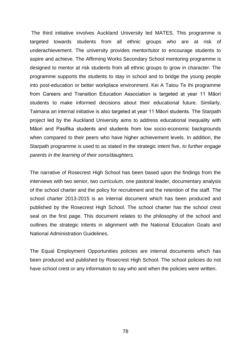The third initiative involves Auckland University led MATES. This programme is targeted towards students from all ethnic groups who are at risk of underachievement. The university provides mentor/tutor to encourage students to aspire and achieve. The Affirming Works Secondary School mentoring programme is designed to mentor at risk students from all ethnic groups to grow in character. The programme supports the students to stay in school and to bridge the young people into post-education or better workplace environment. Kei A Tatou Te Ihi programme from Careers and Transition Education Association is targeted at year 11 Māori students to make informed decisions about their educational future. Similarly, Taimana an internal initiative is also targeted at year 11 Māori students. The Starpath project led by the Auckland University aims to address educational inequality with Māori and Pasifika students and students from low socio-economic backgrounds when compared to their peers who have higher achievement levels. In addition, the Starpath programme is used to as stated in the strategic intent five, *to further engage parents in the learning of their sons/daughters.* 

The narrative of Rosecrest High School has been based upon the findings from the interviews with two senior, two curriculum, one pastoral leader, documentary analysis of the school charter and the policy for recruitment and the retention of the staff. The school charter 2013-2015 is an internal document which has been produced and published by the Rosecrest High School. The school charter has the school crest seal on the first page. This document relates to the philosophy of the school and outlines the strategic intents in alignment with the National Education Goals and National Administration Guidelines.

The Equal Employment Opportunities policies are internal documents which has been produced and published by Rosecrest High School. The school policies do not have school crest or any information to say who and when the policies were written.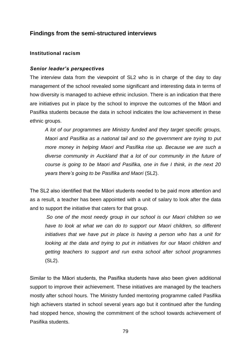# **Findings from the semi-structured interviews**

# **Institutional racism**

# *Senior leader's perspectives*

The interview data from the viewpoint of SL2 who is in charge of the day to day management of the school revealed some significant and interesting data in terms of how diversity is managed to achieve ethnic inclusion. There is an indication that there are initiatives put in place by the school to improve the outcomes of the Māori and Pasifika students because the data in school indicates the low achievement in these ethnic groups.

*A lot of our programmes are Ministry funded and they target specific groups, Maori and Pasifika as a national tail and so the government are trying to put more money in helping Maori and Pasifika rise up. Because we are such a diverse community in Auckland that a lot of our community in the future of course is going to be Maori and Pasifika, one in five I think, in the next 20 years there's going to be Pasifika and Maori* (SL2).

The SL2 also identified that the Māori students needed to be paid more attention and as a result, a teacher has been appointed with a unit of salary to look after the data and to support the initiative that caters for that group.

*So one of the most needy group in our school is our Maori children so we have to look at what we can do to support our Maori children, so different initiatives that we have put in place is having a person who has a unit for looking at the data and trying to put in initiatives for our Maori children and getting teachers to support and run extra school after school programmes*  (SL2).

Similar to the Māori students, the Pasifika students have also been given additional support to improve their achievement. These initiatives are managed by the teachers mostly after school hours. The Ministry funded mentoring programme called Pasifika high achievers started in school several years ago but it continued after the funding had stopped hence, showing the commitment of the school towards achievement of Pasifika students.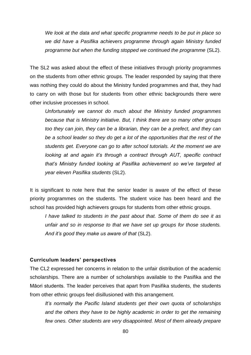*We look at the data and what specific programme needs to be put in place so we did have a Pasifika achievers programme through again Ministry funded programme but when the funding stopped we continued the programme* (SL2).

The SL2 was asked about the effect of these initiatives through priority programmes on the students from other ethnic groups. The leader responded by saying that there was nothing they could do about the Ministry funded programmes and that, they had to carry on with those but for students from other ethnic backgrounds there were other inclusive processes in school.

*Unfortunately we cannot do much about the Ministry funded programmes because that is Ministry initiative. But, I think there are so many other groups too they can join, they can be a librarian, they can be a prefect, and they can be a school leader so they do get a lot of the opportunities that the rest of the students get. Everyone can go to after school tutorials. At the moment we are looking at and again it's through a contract through AUT, specific contract that's Ministry funded looking at Pasifika achievement so we've targeted at year eleven Pasifika students* (SL2).

It is significant to note here that the senior leader is aware of the effect of these priority programmes on the students. The student voice has been heard and the school has provided high achievers groups for students from other ethnic groups.

*I have talked to students in the past about that. Some of them do see it as unfair and so in response to that we have set up groups for those students. And it's good they make us aware of that* (SL2).

#### **Curriculum leaders' perspectives**

The CL2 expressed her concerns in relation to the unfair distribution of the academic scholarships. There are a number of scholarships available to the Pasifika and the Māori students. The leader perceives that apart from Pasifika students, the students from other ethnic groups feel disillusioned with this arrangement.

*It's normally the Pacific Island students get their own quota of scholarships and the others they have to be highly academic in order to get the remaining few ones. Other students are very disappointed. Most of them already prepare*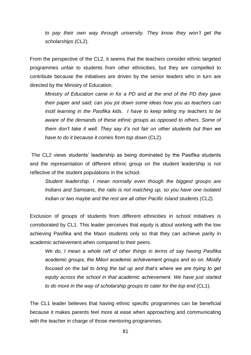*to pay their own way through university. They know they won't get the scholarships* (CL2).

From the perspective of the CL2, it seems that the teachers consider ethnic targeted programmes unfair to students from other ethnicities, but they are compelled to contribute because the initiatives are driven by the senior leaders who in turn are directed by the Ministry of Education.

*Ministry of Education came in for a PD and at the end of the PD they gave their paper and said; can you jot down some ideas how you as teachers can instil learning in the Pasifika kids. I have to keep telling my teachers to be aware of the demands of these ethnic groups as opposed to others. Some of them don't take it well. They say it's not fair on other students but then we have to do it because it comes from top down* (CL2).

The CL2 views students' leadership as being dominated by the Pasifika students and the representation of different ethnic group on the student leadership is not reflective of the student populations in the school.

*Student leadership. I mean normally even though the biggest groups are Indians and Samoans, the ratio is not matching up, so you have one isolated Indian or two maybe and the rest are all other Pacific Island students (CL2).*

Exclusion of groups of students from different ethnicities in school initiatives is corroborated by CL1. This leader perceives that equity is about working with the low achieving Pasifika and the Maori students only so that they can achieve parity in academic achievement when compared to their peers.

*We do, I mean a whole raft of other things in terms of say having Pasifika academic groups, the Māori academic achievement groups and so on. Mostly focused on the tail to bring the tail up and that's where we are trying to get equity across the school in that academic achievement. We have just started to do more in the way of scholarship groups to cater for the top end* (CL1).

The CL1 leader believes that having ethnic specific programmes can be beneficial because it makes parents feel more at ease when approaching and communicating with the teacher in charge of those mentoring programmes.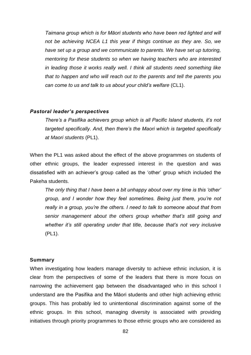*Taimana group which is for Māori students who have been red lighted and will not be achieving NCEA L1 this year if things continue as they are. So, we have set up a group and we communicate to parents. We have set up tutoring, mentoring for these students so when we having teachers who are interested in leading those it works really well. I think all students need something like that to happen and who will reach out to the parents and tell the parents you can come to us and talk to us about your child's welfare* (CL1).

#### *Pastoral leader's perspectives*

*There's a Pasifika achievers group which is all Pacific Island students, it's not targeted specifically. And, then there's the Maori which is targeted specifically at Maori students* (PL1).

When the PL1 was asked about the effect of the above programmes on students of other ethnic groups, the leader expressed interest in the question and was dissatisfied with an achiever's group called as the 'other' group which included the Pakeha students.

*The only thing that I have been a bit unhappy about over my time is this 'other' group, and I wonder how they feel sometimes. Being just there, you're not really in a group, you're the others. I need to talk to someone about that from senior management about the others group whether that's still going and whether it's still operating under that title, because that's not very inclusive*  (PL1).

#### **Summary**

When investigating how leaders manage diversity to achieve ethnic inclusion, it is clear from the perspectives of some of the leaders that there is more focus on narrowing the achievement gap between the disadvantaged who in this school I understand are the Pasifika and the Māori students and other high achieving ethnic groups. This has probably led to unintentional discrimination against some of the ethnic groups. In this school, managing diversity is associated with providing initiatives through priority programmes to those ethnic groups who are considered as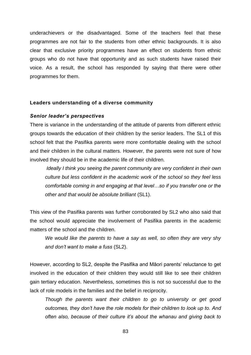underachievers or the disadvantaged. Some of the teachers feel that these programmes are not fair to the students from other ethnic backgrounds. It is also clear that exclusive priority programmes have an effect on students from ethnic groups who do not have that opportunity and as such students have raised their voice. As a result, the school has responded by saying that there were other programmes for them.

#### **Leaders understanding of a diverse community**

#### *Senior leader's perspectives*

There is variance in the understanding of the attitude of parents from different ethnic groups towards the education of their children by the senior leaders. The SL1 of this school felt that the Pasifika parents were more comfortable dealing with the school and their children in the cultural matters. However, the parents were not sure of how involved they should be in the academic life of their children.

*Ideally I think you seeing the parent community are very confident in their own culture but less confident in the academic work of the school so they feel less comfortable coming in and engaging at that level…so if you transfer one or the other and that would be absolute brilliant* (SL1).

This view of the Pasifika parents was further corroborated by SL2 who also said that the school would appreciate the involvement of Pasifika parents in the academic matters of the school and the children.

*We would like the parents to have a say as well, so often they are very shy and don't want to make a fuss* (SL2).

However, according to SL2, despite the Pasifika and Māori parents' reluctance to get involved in the education of their children they would still like to see their children gain tertiary education. Nevertheless, sometimes this is not so successful due to the lack of role models in the families and the belief in reciprocity.

*Though the parents want their children to go to university or get good outcomes, they don't have the role models for their children to look up to. And often also, because of their culture it's about the whanau and giving back to*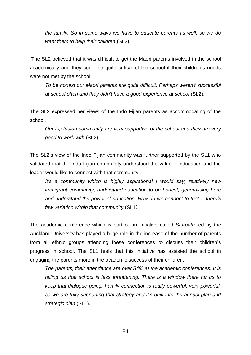*the family. So in some ways we have to educate parents as well, so we do want them to help their children* (SL2).

The SL2 believed that it was difficult to get the Maori parents involved in the school academically and they could be quite critical of the school if their children's needs were not met by the school.

*To be honest our Maori parents are quite difficult. Perhaps weren't successful at school often and they didn't have a good experience at school* (SL2).

The SL2 expressed her views of the Indo Fijian parents as accommodating of the school.

*Our Fiji Indian community are very supportive of the school and they are very good to work with* (SL2).

The SL2's view of the Indo Fijian community was further supported by the SL1 who validated that the Indo Fijian community understood the value of education and the leader would like to connect with that community.

*It's a community which is highly aspirational I would say, relatively new immigrant community, understand education to be honest, generalising here and understand the power of education. How do we connect to that… there's few variation within that community* (SL1*).*

The academic conference which is part of an initiative called *Starpath* led by the Auckland University has played a huge role in the increase of the number of parents from all ethnic groups attending these conferences to discuss their children's progress in school. The SL1 feels that this initiative has assisted the school in engaging the parents more in the academic success of their children.

*The parents, their attendance are over 84% at the academic conferences. It is telling us that school is less threatening. There is a window there for us to keep that dialogue going. Family connection is really powerful, very powerful, so we are fully supporting that strategy and it's built into the annual plan and strategic plan* (SL1).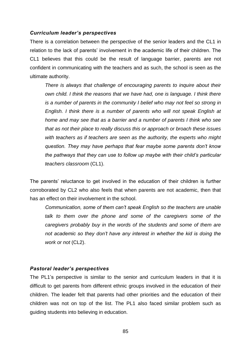#### *Curriculum leader's perspectives*

There is a correlation between the perspective of the senior leaders and the CL1 in relation to the lack of parents' involvement in the academic life of their children. The CL1 believes that this could be the result of language barrier, parents are not confident in communicating with the teachers and as such, the school is seen as the ultimate authority.

*There is always that challenge of encouraging parents to inquire about their own child. I think the reasons that we have had, one is language. I think there is a number of parents in the community I belief who may not feel so strong in English. I think there is a number of parents who will not speak English at home and may see that as a barrier and a number of parents I think who see that as not their place to really discuss this or approach or broach these issues with teachers as if teachers are seen as the authority, the experts who might question. They may have perhaps that fear maybe some parents don't know the pathways that they can use to follow up maybe with their child's particular teachers classroom* (CL1).

The parents' reluctance to get involved in the education of their children is further corroborated by CL2 who also feels that when parents are not academic, then that has an effect on their involvement in the school.

*Communication, some of them can't speak English so the teachers are unable talk to them over the phone and some of the caregivers some of the caregivers probably buy in the words of the students and some of them are not academic so they don't have any interest in whether the kid is doing the work or not* (CL2).

#### *Pastoral leader's perspectives*

The PL1's perspective is similar to the senior and curriculum leaders in that it is difficult to get parents from different ethnic groups involved in the education of their children. The leader felt that parents had other priorities and the education of their children was not on top of the list. The PL1 also faced similar problem such as guiding students into believing in education.

85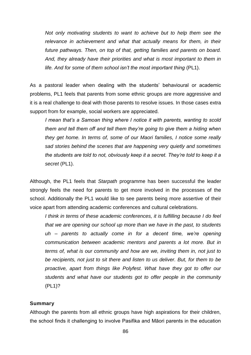*Not only motivating students to want to achieve but to help them see the* relevance in achievement and what that actually means for them, in their *future pathways. Then, on top of that, getting families and parents on board. And, they already have their priorities and what is most important to them in life. And for some of them school isn't the most important thing* (PL1).

As a pastoral leader when dealing with the students' behavioural or academic problems, PL1 feels that parents from some ethnic groups are more aggressive and it is a real challenge to deal with those parents to resolve issues. In those cases extra support from for example, social workers are appreciated.

*I mean that's a Samoan thing where I notice it with parents, wanting to scold them and tell them off and tell them they're going to give them a hiding when they get home. In terms of, some of our Maori families, I notice some really sad stories behind the scenes that are happening very quietly and sometimes the students are told to not, obviously keep it a secret. They're told to keep it a secret* (PL1).

Although, the PL1 feels that *Starpath* programme has been successful the leader strongly feels the need for parents to get more involved in the processes of the school. Additionally the PL1 would like to see parents being more assertive of their voice apart from attending academic conferences and cultural celebrations.

*I think in terms of these academic conferences, it is fulfilling because I do feel that we are opening our school up more than we have in the past, to students uh – parents to actually come in for a decent time, we're opening communication between academic mentors and parents a lot more. But in terms of, what is our community and how are we, inviting them in, not just to be recipients, not just to sit there and listen to us deliver. But, for them to be proactive, apart from things like Polyfest. What have they got to offer our students and what have our students got to offer people in the community*  (PL1)?

# **Summary**

Although the parents from all ethnic groups have high aspirations for their children, the school finds it challenging to involve Pasifika and Māori parents in the education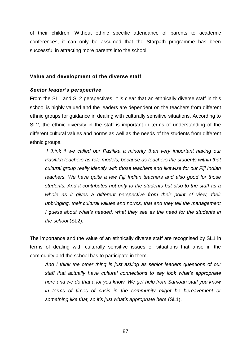of their children. Without ethnic specific attendance of parents to academic conferences, it can only be assumed that the Starpath programme has been successful in attracting more parents into the school.

### **Value and development of the diverse staff**

# *Senior leader's perspective*

From the SL1 and SL2 perspectives, it is clear that an ethnically diverse staff in this school is highly valued and the leaders are dependent on the teachers from different ethnic groups for guidance in dealing with culturally sensitive situations. According to SL2, the ethnic diversity in the staff is important in terms of understanding of the different cultural values and norms as well as the needs of the students from different ethnic groups.

*I think if we called our Pasifika a minority than very important having our Pasifika teachers as role models, because as teachers the students within that cultural group really identify with those teachers and likewise for our Fiji Indian teachers. We have quite a few Fiji Indian teachers and also good for those students. And it contributes not only to the students but also to the staff as a*  whole as it gives a different perspective from their point of view, their *upbringing, their cultural values and norms, that and they tell the management I guess about what's needed, what they see as the need for the students in the school* (SL2).

The importance and the value of an ethnically diverse staff are recognised by SL1 in terms of dealing with culturally sensitive issues or situations that arise in the community and the school has to participate in them.

*And I think the other thing is just asking as senior leaders questions of our staff that actually have cultural connections to say look what's appropriate here and we do that a lot you know. We get help from Samoan staff you know in terms of times of crisis in the community might be bereavement or something like that, so it's just what's appropriate here* (SL1).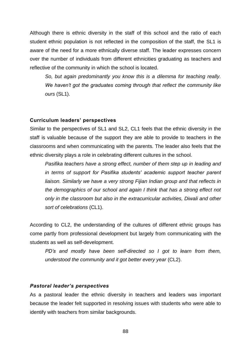Although there is ethnic diversity in the staff of this school and the ratio of each student ethnic population is not reflected in the composition of the staff, the SL1 is aware of the need for a more ethnically diverse staff. The leader expresses concern over the number of individuals from different ethnicities graduating as teachers and reflective of the community in which the school is located.

*So, but again predominantly you know this is a dilemma for teaching really. We haven't got the graduates coming through that reflect the community like ours* (SL1).

### **Curriculum leaders' perspectives**

Similar to the perspectives of SL1 and SL2, CL1 feels that the ethnic diversity in the staff is valuable because of the support they are able to provide to teachers in the classrooms and when communicating with the parents. The leader also feels that the ethnic diversity plays a role in celebrating different cultures in the school.

*Pasifika teachers have a strong effect, number of them step up in leading and in terms of support for Pasifika students' academic support teacher parent liaison. Similarly we have a very strong Fijian Indian group and that reflects in the demographics of our school and again I think that has a strong effect not only in the classroom but also in the extracurricular activities, Diwali and other sort of celebrations* (CL1).

According to CL2, the understanding of the cultures of different ethnic groups has come partly from professional development but largely from communicating with the students as well as self-development.

*PD's and mostly have been self-directed so I got to learn from them, understood the community and it got better every year (CL2).* 

# *Pastoral leader's perspectives*

As a pastoral leader the ethnic diversity in teachers and leaders was important because the leader felt supported in resolving issues with students who were able to identify with teachers from similar backgrounds.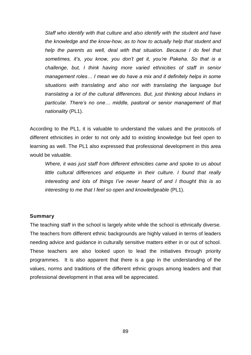*Staff who identify with that culture and also identify with the student and have the knowledge and the know-how, as to how to actually help that student and help the parents as well, deal with that situation. Because I do feel that sometimes, it's, you know, you don't get it, you're Pakeha. So that is a challenge, but, I think having more varied ethnicities of staff in senior management roles… I mean we do have a mix and it definitely helps in some situations with translating and also not with translating the language but translating a lot of the cultural differences. But, just thinking about Indians in particular. There's no one… middle, pastoral or senior management of that nationality* (PL1).

According to the PL1, it is valuable to understand the values and the protocols of different ethnicities in order to not only add to existing knowledge but feel open to learning as well. The PL1 also expressed that professional development in this area would be valuable.

*Where, it was just staff from different ethnicities came and spoke to us about little cultural differences and etiquette in their culture. I found that really interesting and lots of things I've never heard of and I thought this is so interesting to me that I feel so open and knowledgeable (PL1).* 

#### **Summary**

The teaching staff in the school is largely white while the school is ethnically diverse. The teachers from different ethnic backgrounds are highly valued in terms of leaders needing advice and guidance in culturally sensitive matters either in or out of school. These teachers are also looked upon to lead the initiatives through priority programmes. It is also apparent that there is a gap in the understanding of the values, norms and traditions of the different ethnic groups among leaders and that professional development in that area will be appreciated.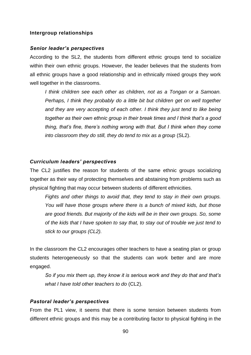# **Intergroup relationships**

#### *Senior leader's perspectives*

According to the SL2, the students from different ethnic groups tend to socialize within their own ethnic groups. However, the leader believes that the students from all ethnic groups have a good relationship and in ethnically mixed groups they work well together in the classrooms.

*I think children see each other as children, not as a Tongan or a Samoan. Perhaps, I think they probably do a little bit but children get on well together and they are very accepting of each other. I think they just tend to like being together as their own ethnic group in their break times and I think that's a good thing, that's fine, there's nothing wrong with that. But I think when they come into classroom they do still, they do tend to mix as a group* (SL2).

#### *Curriculum leaders' perspectives*

The CL2 justifies the reason for students of the same ethnic groups socializing together as their way of protecting themselves and abstaining from problems such as physical fighting that may occur between students of different ethnicities.

*Fights and other things to avoid that, they tend to stay in their own groups. You will have those groups where there is a bunch of mixed kids, but those are good friends. But majority of the kids will be in their own groups. So, some of the kids that I have spoken to say that, to stay out of trouble we just tend to stick to our groups (CL2).*

In the classroom the CL2 encourages other teachers to have a seating plan or group students heterogeneously so that the students can work better and are more engaged.

*So if you mix them up, they know it is serious work and they do that and that's what I have told other teachers to do* (CL2).

#### *Pastoral leader's perspectives*

From the PL1 view, it seems that there is some tension between students from different ethnic groups and this may be a contributing factor to physical fighting in the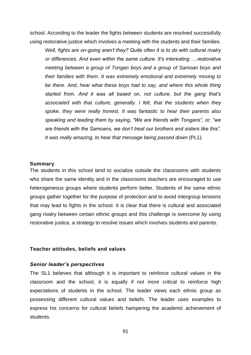school. According to the leader the fights between students are resolved successfully using restorative justice which involves a meeting with the students and their families.

*Well, fights are on-going aren't they? Quite often it is to do with cultural rivalry or differences. And even within the same culture. It's interesting. …restorative meeting between a group of Tongan boys and a group of Samoan boys and their families with them. It was extremely emotional and extremely moving to be there. And, hear what these boys had to say, and where this whole thing started from. And it was all based on, not culture, but the gang that's associated with that culture, generally. I felt, that the students when they spoke, they were really honest. It was fantastic to hear their parents also speaking and leading them by saying, "We are friends with Tongans", or, "we are friends with the Samoans, we don't treat our brothers and sisters like this". It was really amazing, to hear that message being passed down* (PL1).

#### **Summary**

The students in this school tend to socialize outside the classrooms with students who share the same identity and in the classrooms teachers are encouraged to use heterogeneous groups where students perform better. Students of the same ethnic groups gather together for the purpose of protection and to avoid intergroup tensions that may lead to fights in the school. It is clear that there is cultural and associated gang rivalry between certain ethnic groups and this challenge is overcome by using restorative justice, a strategy to resolve issues which involves students and parents.

#### **Teacher attitudes, beliefs and values**

#### *Senior leader's perspectives*

The SL1 believes that although it is important to reinforce cultural values in the classroom and the school, it is equally if not more critical to reinforce high expectations of students in the school. The leader views each ethnic group as possessing different cultural values and beliefs. The leader uses examples to express his concerns for cultural beliefs hampering the academic achievement of students.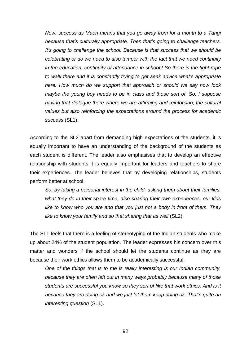*Now, success as Maori means that you go away from for a month to a Tangi because that's culturally appropriate. Then that's going to challenge teachers. It's going to challenge the school. Because is that success that we should be celebrating or do we need to also tamper with the fact that we need continuity in the education, continuity of attendance in school? So there is the tight rope to walk there and it is constantly trying to get seek advice what's appropriate here. How much do we support that approach or should we say now look maybe the young boy needs to be in class and those sort of. So, I suppose having that dialogue there where we are affirming and reinforcing, the cultural values but also reinforcing the expectations around the process for academic success* (SL1).

According to the SL2 apart from demanding high expectations of the students, it is equally important to have an understanding of the background of the students as each student is different. The leader also emphasises that to develop an effective relationship with students it is equally important for leaders and teachers to share their experiences. The leader believes that by developing relationships, students perform better at school.

*So, by taking a personal interest in the child, asking them about their families, what they do in their spare time, also sharing their own experiences, our kids like to know who you are and that you just not a body in front of them. They*  like to know your family and so that sharing that as well (SL2).

The SL1 feels that there is a feeling of stereotyping of the Indian students who make up about 24% of the student population. The leader expresses his concern over this matter and wonders if the school should let the students continue as they are because their work ethics allows them to be academically successful.

*One of the things that is to me is really interesting is our Indian community, because they are often left out in many ways probably because many of those students are successful you know so they sort of like that work ethics. And is it because they are doing ok and we just let them keep doing ok. That's quite an interesting question* (SL1).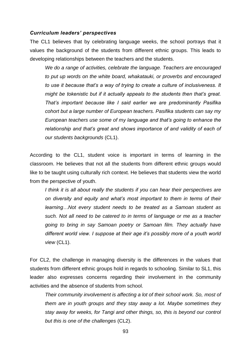#### *Curriculum leaders' perspectives*

The CL1 believes that by celebrating language weeks, the school portrays that it values the background of the students from different ethnic groups. This leads to developing relationships between the teachers and the students.

*We do a range of activities, celebrate the language. Teachers are encouraged to put up words on the white board, whakatauki, or proverbs and encouraged to use it because that's a way of trying to create a culture of inclusiveness. It might be tokenistic but if it actually appeals to the students then that's great. That's important because like I said earlier we are predominantly Pasifika cohort but a large number of European teachers. Pasifika students can say my European teachers use some of my language and that's going to enhance the*  relationship and that's great and shows importance of and validity of each of *our students backgrounds* (CL1).

According to the CL1, student voice is important in terms of learning in the classroom. He believes that not all the students from different ethnic groups would like to be taught using culturally rich context. He believes that students view the world from the perspective of youth.

*I think it is all about really the students if you can hear their perspectives are on diversity and equity and what's most important to them in terms of their learning…Not every student needs to be treated as a Samoan student as such. Not all need to be catered to in terms of language or me as a teacher going to bring in say Samoan poetry or Samoan film. They actually have different world view. I suppose at their age it's possibly more of a youth world view* (CL1).

For CL2, the challenge in managing diversity is the differences in the values that students from different ethnic groups hold in regards to schooling. Similar to SL1, this leader also expresses concerns regarding their involvement in the community activities and the absence of students from school.

*Their community involvement is affecting a lot of their school work. So, most of them are in youth groups and they stay away a lot. Maybe sometimes they stay away for weeks, for Tangi and other things, so, this is beyond our control but this is one of the challenges* (CL2).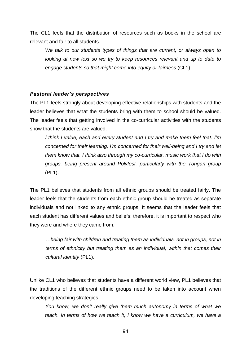The CL1 feels that the distribution of resources such as books in the school are relevant and fair to all students.

*We talk to our students types of things that are current, or always open to looking at new text so we try to keep resources relevant and up to date to engage students so that might come into equity or fairness* (CL1).

# *Pastoral leader's perspectives*

The PL1 feels strongly about developing effective relationships with students and the leader believes that what the students bring with them to school should be valued. The leader feels that getting involved in the co-curricular activities with the students show that the students are valued.

*I think I value, each and every student and I try and make them feel that. I'm concerned for their learning, I'm concerned for their well-being and I try and let them know that. I think also through my co-curricular, music work that I do with groups, being present around Polyfest, particularly with the Tongan group*  (PL1).

The PL1 believes that students from all ethnic groups should be treated fairly. The leader feels that the students from each ethnic group should be treated as separate individuals and not linked to any ethnic groups. It seems that the leader feels that each student has different values and beliefs; therefore, it is important to respect who they were and where they came from.

*…being fair with children and treating them as individuals, not in groups, not in terms of ethnicity but treating them as an individual, within that comes their cultural identity* (PL1).

Unlike CL1 who believes that students have a different world view, PL1 believes that the traditions of the different ethnic groups need to be taken into account when developing teaching strategies.

*You know, we don't really give them much autonomy in terms of what we teach. In terms of how we teach it, I know we have a curriculum, we have a*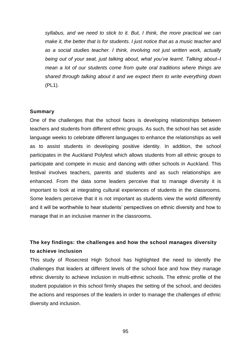*syllabus, and we need to stick to it. But, I think, the more practical we can make it, the better that is for students. I just notice that as a music teacher and as a social studies teacher. I think, involving not just written work, actually being out of your seat, just talking about, what you've learnt. Talking about–I mean a lot of our students come from quite oral traditions where things are shared through talking about it and we expect them to write everything down*  (PL1).

#### **Summary**

One of the challenges that the school faces is developing relationships between teachers and students from different ethnic groups. As such, the school has set aside language weeks to celebrate different languages to enhance the relationships as well as to assist students in developing positive identity. In addition, the school participates in the Auckland Polyfest which allows students from all ethnic groups to participate and compete in music and dancing with other schools in Auckland. This festival involves teachers, parents and students and as such relationships are enhanced. From the data some leaders perceive that to manage diversity it is important to look at integrating cultural experiences of students in the classrooms. Some leaders perceive that it is not important as students view the world differently and it will be worthwhile to hear students' perspectives on ethnic diversity and how to manage that in an inclusive manner in the classrooms.

# **The key findings: the challenges and how the school manages diversity to achieve inclusion**

This study of Rosecrest High School has highlighted the need to identify the challenges that leaders at different levels of the school face and how they manage ethnic diversity to achieve inclusion in multi-ethnic schools. The ethnic profile of the student population in this school firmly shapes the setting of the school, and decides the actions and responses of the leaders in order to manage the challenges of ethnic diversity and inclusion.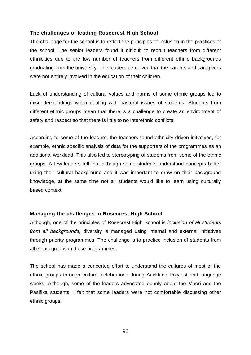# **The challenges of leading Rosecrest High School**

The challenge for the school is to reflect the principles of inclusion in the practices of the school. The senior leaders found it difficult to recruit teachers from different ethnicities due to the low number of teachers from different ethnic backgrounds graduating from the university. The leaders perceived that the parents and caregivers were not entirely involved in the education of their children.

Lack of understanding of cultural values and norms of some ethnic groups led to misunderstandings when dealing with pastoral issues of students. Students from different ethnic groups mean that there is a challenge to create an environment of safety and respect so that there is little to no interethnic conflicts.

According to some of the leaders, the teachers found ethnicity driven initiatives, for example, ethnic specific analysis of data for the supporters of the programmes as an additional workload. This also led to stereotyping of students from some of the ethnic groups. A few leaders felt that although some students understood concepts better using their cultural background and it was important to draw on their background knowledge, at the same time not all students would like to learn using culturally based context.

# **Managing the challenges in Rosecrest High School**

Although, one of the principles of Rosecrest High School is *inclusion of all students from all backgrounds,* diversity is managed using internal and external initiatives through priority programmes. The challenge is to practice inclusion of students from all ethnic groups in these programmes.

The school has made a concerted effort to understand the cultures of most of the ethnic groups through cultural celebrations during Auckland Polyfest and language weeks. Although, some of the leaders advocated openly about the Māori and the Pasifika students, I felt that some leaders were not comfortable discussing other ethnic groups.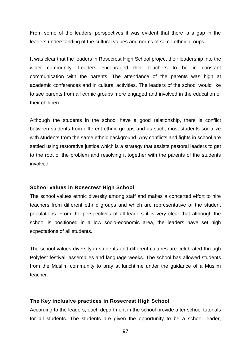From some of the leaders' perspectives it was evident that there is a gap in the leaders understanding of the cultural values and norms of some ethnic groups.

It was clear that the leaders in Rosecrest High School project their leadership into the wider community. Leaders encouraged their teachers to be in constant communication with the parents. The attendance of the parents was high at academic conferences and in cultural activities. The leaders of the school would like to see parents from all ethnic groups more engaged and involved in the education of their children.

Although the students in the school have a good relationship, there is conflict between students from different ethnic groups and as such, most students socialize with students from the same ethnic background. Any conflicts and fights in school are settled using restorative justice which is a strategy that assists pastoral leaders to get to the root of the problem and resolving it together with the parents of the students involved.

#### **School values in Rosecrest High School**

The school values ethnic diversity among staff and makes a concerted effort to hire teachers from different ethnic groups and which are representative of the student populations. From the perspectives of all leaders it is very clear that although the school is positioned in a low socio-economic area, the leaders have set high expectations of all students.

The school values diversity in students and different cultures are celebrated through Polyfest festival, assemblies and language weeks. The school has allowed students from the Muslim community to pray at lunchtime under the guidance of a Muslim teacher.

#### **The Key inclusive practices in Rosecrest High School**

According to the leaders, each department in the school provide after school tutorials for all students. The students are given the opportunity to be a school leader,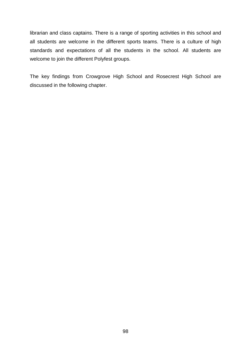librarian and class captains. There is a range of sporting activities in this school and all students are welcome in the different sports teams. There is a culture of high standards and expectations of all the students in the school. All students are welcome to join the different Polyfest groups.

The key findings from Crowgrove High School and Rosecrest High School are discussed in the following chapter.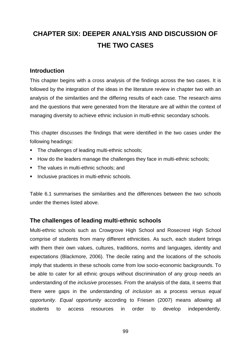# **CHAPTER SIX: DEEPER ANALYSIS AND DISCUSSION OF THE TWO CASES**

# **Introduction**

This chapter begins with a cross analysis of the findings across the two cases. It is followed by the integration of the ideas in the literature review in chapter two with an analysis of the similarities and the differing results of each case. The research aims and the questions that were generated from the literature are all within the context of managing diversity to achieve ethnic inclusion in multi-ethnic secondary schools.

This chapter discusses the findings that were identified in the two cases under the following headings:

- The challenges of leading multi-ethnic schools;
- How do the leaders manage the challenges they face in multi-ethnic schools;
- **The values in multi-ethnic schools; and**
- **Inclusive practices in multi-ethnic schools.**

Table 6.1 summarises the similarities and the differences between the two schools under the themes listed above.

# **The challenges of leading multi-ethnic schools**

Multi-ethnic schools such as Crowgrove High School and Rosecrest High School comprise of students from many different ethnicities. As such, each student brings with them their own values, cultures, traditions, norms and languages, identity and expectations (Blackmore, 2006). The decile rating and the locations of the schools imply that students in these schools come from low socio-economic backgrounds. To be able to cater for all ethnic groups without discrimination of any group needs an understanding of the *inclusive* processes. From the analysis of the data, it seems that there were gaps in the understanding of *inclusion* as a process versus *equal opportunity*. *Equal opportunity* according to Friesen (2007) means allowing all students to access resources in order to develop independently.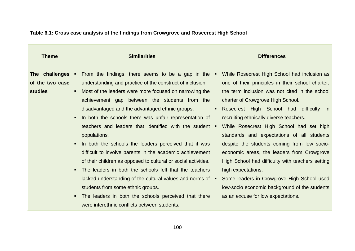| <b>Theme</b>                                                                                                                       | <b>Similarities</b>                                                                                                                                                                                                                                                                                                                                                                                                                                                                                                                                                                                                                                                                                                                                                                                                                                                                                                    | <b>Differences</b>                                                                                                                                                                                                                                                                                                                                                                                                                                                                                                                                                                                                                                                                                    |
|------------------------------------------------------------------------------------------------------------------------------------|------------------------------------------------------------------------------------------------------------------------------------------------------------------------------------------------------------------------------------------------------------------------------------------------------------------------------------------------------------------------------------------------------------------------------------------------------------------------------------------------------------------------------------------------------------------------------------------------------------------------------------------------------------------------------------------------------------------------------------------------------------------------------------------------------------------------------------------------------------------------------------------------------------------------|-------------------------------------------------------------------------------------------------------------------------------------------------------------------------------------------------------------------------------------------------------------------------------------------------------------------------------------------------------------------------------------------------------------------------------------------------------------------------------------------------------------------------------------------------------------------------------------------------------------------------------------------------------------------------------------------------------|
| The challenges •<br>of the two case<br><b>studies</b><br>$\blacksquare$<br>$\blacksquare$<br>$\blacksquare$<br>$\blacksquare$<br>٠ | From the findings, there seems to be a gap in the $\blacksquare$<br>understanding and practice of the construct of inclusion.<br>Most of the leaders were more focused on narrowing the<br>achievement gap between the students from the<br>disadvantaged and the advantaged ethnic groups.<br>In both the schools there was unfair representation of<br>teachers and leaders that identified with the student $\blacksquare$<br>populations.<br>In both the schools the leaders perceived that it was<br>difficult to involve parents in the academic achievement<br>of their children as opposed to cultural or social activities.<br>The leaders in both the schools felt that the teachers<br>lacked understanding of the cultural values and norms of $\blacksquare$<br>students from some ethnic groups.<br>The leaders in both the schools perceived that there<br>were interethnic conflicts between students. | While Rosecrest High School had inclusion as<br>one of their principles in their school charter,<br>the term inclusion was not cited in the school<br>charter of Crowgrove High School.<br>Rosecrest High School had difficulty in<br>$\blacksquare$<br>recruiting ethnically diverse teachers.<br>While Rosecrest High School had set high<br>standards and expectations of all students<br>despite the students coming from low socio-<br>economic areas, the leaders from Crowgrove<br>High School had difficulty with teachers setting<br>high expectations.<br>Some leaders in Crowgrove High School used<br>low-socio economic background of the students<br>as an excuse for low expectations. |

# **Table 6.1: Cross case analysis of the findings from Crowgrove and Rosecrest High School**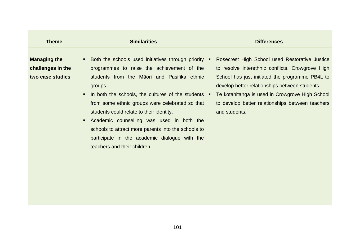| <b>Theme</b>                                                 | <b>Similarities</b>                                                                                                                                                                                                                                                                                                                                                                                                                                                                                                         | <b>Differences</b>                                                                                                                                                                                                                                                                                                                    |
|--------------------------------------------------------------|-----------------------------------------------------------------------------------------------------------------------------------------------------------------------------------------------------------------------------------------------------------------------------------------------------------------------------------------------------------------------------------------------------------------------------------------------------------------------------------------------------------------------------|---------------------------------------------------------------------------------------------------------------------------------------------------------------------------------------------------------------------------------------------------------------------------------------------------------------------------------------|
| <b>Managing the</b><br>challenges in the<br>two case studies | Both the schools used initiatives through priority<br>programmes to raise the achievement of the<br>students from the Māori and Pasifika ethnic<br>groups.<br>In both the schools, the cultures of the students<br>$\blacksquare$<br>from some ethnic groups were celebrated so that<br>students could relate to their identity.<br>Academic counselling was used in both the<br>п.<br>schools to attract more parents into the schools to<br>participate in the academic dialogue with the<br>teachers and their children. | Rosecrest High School used Restorative Justice<br>to resolve interethnic conflicts. Crowgrove High<br>School has just initiated the programme PB4L to<br>develop better relationships between students.<br>Te kotahitanga is used in Crowgrove High School<br>л.<br>to develop better relationships between teachers<br>and students. |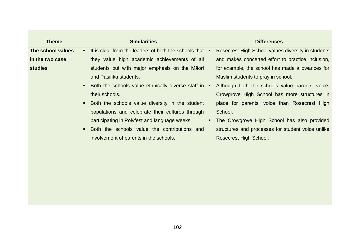| <b>Theme</b>      | <b>Similarities</b>                                               | <b>Differences</b>                                 |
|-------------------|-------------------------------------------------------------------|----------------------------------------------------|
| The school values | • It is clear from the leaders of both the schools that •         | Rosecrest High School values diversity in students |
| in the two case   | they value high academic achievements of all                      | and makes concerted effort to practice inclusion,  |
| <b>studies</b>    | students but with major emphasis on the Māori                     | for example, the school has made allowances for    |
|                   | and Pasifika students.                                            | Muslim students to pray in school.                 |
|                   | Both the schools value ethnically diverse staff in $\blacksquare$ | Although both the schools value parents' voice,    |
|                   | their schools.                                                    | Crowgrove High School has more structures in       |
|                   | Both the schools value diversity in the student                   | place for parents' voice than Rosecrest High       |
|                   | populations and celebrate their cultures through                  | School.                                            |
|                   | participating in Polyfest and language weeks.                     | The Crowgrove High School has also provided        |
|                   | Both the schools value the contributions and                      | structures and processes for student voice unlike  |
|                   | involvement of parents in the schools.                            | <b>Rosecrest High School.</b>                      |
|                   |                                                                   |                                                    |
|                   |                                                                   |                                                    |
|                   |                                                                   |                                                    |
|                   |                                                                   |                                                    |
|                   |                                                                   |                                                    |
|                   |                                                                   |                                                    |
|                   |                                                                   |                                                    |
|                   |                                                                   |                                                    |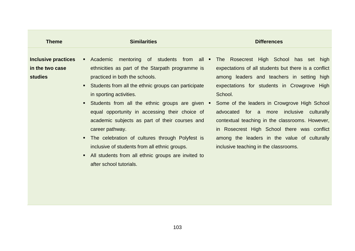| <b>Theme</b>                                                                 | <b>Similarities</b>                                                                                                                                                                                                                                                                                                                                                                                                                                                                                                                                          | <b>Differences</b>                                                                                                                                                                                                                                                                                                                                                                                                                                                                                                              |
|------------------------------------------------------------------------------|--------------------------------------------------------------------------------------------------------------------------------------------------------------------------------------------------------------------------------------------------------------------------------------------------------------------------------------------------------------------------------------------------------------------------------------------------------------------------------------------------------------------------------------------------------------|---------------------------------------------------------------------------------------------------------------------------------------------------------------------------------------------------------------------------------------------------------------------------------------------------------------------------------------------------------------------------------------------------------------------------------------------------------------------------------------------------------------------------------|
| Inclusive practices<br>in the two case<br><b>studies</b><br>п<br>п<br>٠<br>п | Academic<br>ethnicities as part of the Starpath programme is<br>practiced in both the schools.<br>Students from all the ethnic groups can participate<br>in sporting activities.<br>Students from all the ethnic groups are given $\blacksquare$<br>equal opportunity in accessing their choice of<br>academic subjects as part of their courses and<br>career pathway.<br>The celebration of cultures through Polyfest is<br>inclusive of students from all ethnic groups.<br>All students from all ethnic groups are invited to<br>after school tutorials. | mentoring of students from all • The Rosecrest High School has set high<br>expectations of all students but there is a conflict<br>among leaders and teachers in setting high<br>expectations for students in Crowgrove High<br>School.<br>Some of the leaders in Crowgrove High School<br>advocated for a more inclusive culturally<br>contextual teaching in the classrooms. However,<br>in Rosecrest High School there was conflict<br>among the leaders in the value of culturally<br>inclusive teaching in the classrooms. |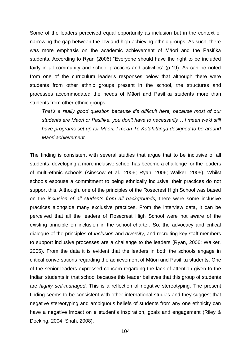Some of the leaders perceived equal opportunity as inclusion but in the context of narrowing the gap between the low and high achieving ethnic groups. As such, there was more emphasis on the academic achievement of Māori and the Pasifika students. According to Ryan (2006) "Everyone should have the right to be included fairly in all community and school practices and activities" (p.19). As can be noted from one of the curriculum leader's responses below that although there were students from other ethnic groups present in the school, the structures and processes accommodated the needs of Māori and Pasifika students more than students from other ethnic groups.

*That's a really good question because it's difficult here, because most of our students are Maori or Pasifika, you don't have to necessarily… I mean we'd still have programs set up for Maori, I mean Te Kotahitanga designed to be around Maori achievement.*

The finding is consistent with several studies that argue that to be inclusive of all students, developing a more inclusive school has become a challenge for the leaders of multi-ethnic schools (Ainscow et al., 2006; Ryan, 2006; Walker, 2005). Whilst schools espouse a commitment to being ethnically inclusive, their practices do not support this. Although, one of the principles of the Rosecrest High School was based on the *inclusion of all students from all backgrounds,* there were some inclusive practices alongside many exclusive practices. From the interview data, it can be perceived that all the leaders of Rosecrest High School were not aware of the existing principle on inclusion in the school charter. So, the advocacy and critical dialogue of the principles of *inclusion* and *diversity*, and recruiting key staff members to support inclusive processes are a challenge to the leaders (Ryan, 2006; Walker, 2005). From the data it is evident that the leaders in both the schools engage in critical conversations regarding the achievement of Māori and Pasifika students. One of the senior leaders expressed concern regarding the lack of attention given to the Indian students in that school because this leader believes that this group of students are *highly self-managed*. This is a reflection of negative stereotyping. The present finding seems to be consistent with other international studies and they suggest that negative stereotyping and ambiguous beliefs of students from any one ethnicity can have a negative impact on a student's inspiration, goals and engagement (Riley & Docking, 2004; Shah, 2008).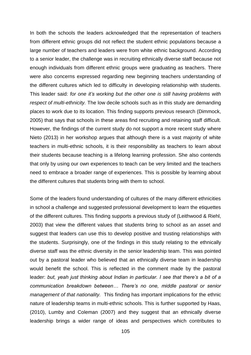In both the schools the leaders acknowledged that the representation of teachers from different ethnic groups did not reflect the student ethnic populations because a large number of teachers and leaders were from white ethnic background. According to a senior leader, the challenge was in recruiting ethnically diverse staff because not enough individuals from different ethnic groups were graduating as teachers. There were also concerns expressed regarding new beginning teachers understanding of the different cultures which led to difficulty in developing relationship with students. This leader said: *for one it's working but the other one is still having problems with respect of multi-ethnicity.* The low decile schools such as in this study are demanding places to work due to its location. This finding supports previous research (Dimmock, 2005) that says that schools in these areas find recruiting and retaining staff difficult. However, the findings of the current study do not support a more recent study where Nieto (2013) in her workshop argues that although there is a vast majority of white teachers in multi-ethnic schools, it is their responsibility as teachers to learn about their students because teaching is a lifelong learning profession. She also contends that only by using our own experiences to teach can be very limited and the teachers need to embrace a broader range of experiences. This is possible by learning about the different cultures that students bring with them to school.

Some of the leaders found understanding of cultures of the many different ethnicities in school a challenge and suggested professional development to learn the etiquettes of the different cultures. This finding supports a previous study of (Leithwood & Riehl, 2003) that view the different values that students bring to school as an asset and suggest that leaders can use this to develop positive and trusting relationships with the students. Surprisingly, one of the findings in this study relating to the ethnically diverse staff was the ethnic diversity in the senior leadership team. This was pointed out by a pastoral leader who believed that an ethnically diverse team in leadership would benefit the school. This is reflected in the comment made by the pastoral leader: but, yeah just thinking about Indian in particular. I see that there's a bit of a *communication breakdown between… There's no one, middle pastoral or senior management of that nationality.* This finding has important implications for the ethnic nature of leadership teams in multi-ethnic schools. This is further supported by Haas, (2010), Lumby and Coleman (2007) and they suggest that an ethnically diverse leadership brings a wider range of ideas and perspectives which contributes to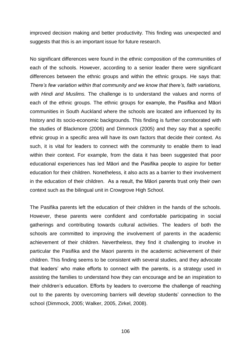improved decision making and better productivity. This finding was unexpected and suggests that this is an important issue for future research.

No significant differences were found in the ethnic composition of the communities of each of the schools. However, according to a senior leader there were significant differences between the ethnic groups and within the ethnic groups. He says that: *There's few variation within that community and we know that there's, faith variations, with Hindi and Muslims.* The challenge is to understand the values and norms of each of the ethnic groups. The ethnic groups for example, the Pasifika and Māori communities in South Auckland where the schools are located are influenced by its history and its socio-economic backgrounds. This finding is further corroborated with the studies of Blackmore (2006) and Dimmock (2005) and they say that a specific ethnic group in a specific area will have its own factors that decide their context. As such, it is vital for leaders to connect with the community to enable them to lead within their context. For example, from the data it has been suggested that poor educational experiences has led Māori and the Pasifika people to aspire for better education for their children. Nonetheless, it also acts as a barrier to their involvement in the education of their children. As a result, the Māori parents trust only their own context such as the bilingual unit in Crowgrove High School.

The Pasifika parents left the education of their children in the hands of the schools. However, these parents were confident and comfortable participating in social gatherings and contributing towards cultural activities. The leaders of both the schools are committed to improving the involvement of parents in the academic achievement of their children. Nevertheless, they find it challenging to involve in particular the Pasifika and the Maori parents in the academic achievement of their children. This finding seems to be consistent with several studies, and they advocate that leaders' who make efforts to connect with the parents, is a strategy used in assisting the families to understand how they can encourage and be an inspiration to their children's education. Efforts by leaders to overcome the challenge of reaching out to the parents by overcoming barriers will develop students' connection to the school (Dimmock, 2005; Walker, 2005, Zirkel, 2008).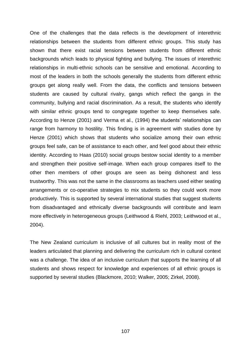One of the challenges that the data reflects is the development of interethnic relationships between the students from different ethnic groups. This study has shown that there exist racial tensions between students from different ethnic backgrounds which leads to physical fighting and bullying. The issues of interethnic relationships in multi-ethnic schools can be sensitive and emotional. According to most of the leaders in both the schools generally the students from different ethnic groups get along really well. From the data, the conflicts and tensions between students are caused by cultural rivalry, gangs which reflect the gangs in the community, bullying and racial discrimination. As a result, the students who identify with similar ethnic groups tend to congregate together to keep themselves safe. According to Henze (2001) and Verma et al., (1994) the students' relationships can range from harmony to hostility. This finding is in agreement with studies done by Henze (2001) which shows that students who socialize among their own ethnic groups feel safe, can be of assistance to each other, and feel good about their ethnic identity. According to Haas (2010) social groups bestow social identity to a member and strengthen their positive self-image. When each group compares itself to the other then members of other groups are seen as being dishonest and less trustworthy. This was not the same in the classrooms as teachers used either seating arrangements or co-operative strategies to mix students so they could work more productively. This is supported by several international studies that suggest students from disadvantaged and ethnically diverse backgrounds will contribute and learn more effectively in heterogeneous groups (Leithwood & Riehl, 2003; Leithwood et al., 2004).

The New Zealand curriculum is inclusive of all cultures but in reality most of the leaders articulated that planning and delivering the curriculum rich in cultural context was a challenge. The idea of an inclusive curriculum that supports the learning of all students and shows respect for knowledge and experiences of all ethnic groups is supported by several studies (Blackmore, 2010; Walker, 2005; Zirkel, 2008).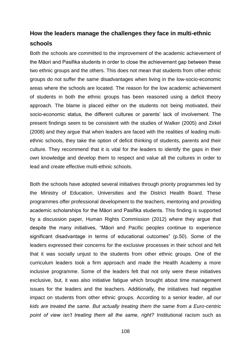# **How the leaders manage the challenges they face in multi-ethnic schools**

Both the schools are committed to the improvement of the academic achievement of the Māori and Pasifika students in order to close the achievement gap between these two ethnic groups and the others. This does not mean that students from other ethnic groups do not suffer the same disadvantages when living in the low-socio-economic areas where the schools are located. The reason for the low academic achievement of students in both the ethnic groups has been reasoned using a deficit theory approach. The blame is placed either on the students not being motivated, their socio-economic status, the different cultures or parents' lack of involvement. The present findings seem to be consistent with the studies of Walker (2005) and Zirkel (2008) and they argue that when leaders are faced with the realities of leading multiethnic schools, they take the option of deficit thinking of students, parents and their culture. They recommend that it is vital for the leaders to identify the gaps in their own knowledge and develop them to respect and value all the cultures in order to lead and create effective multi-ethnic schools.

Both the schools have adopted several initiatives through priority programmes led by the Ministry of Education, Universities and the District Health Board. These programmes offer professional development to the teachers, mentoring and providing academic scholarships for the Māori and Pasifika students. This finding is supported by a discussion paper, Human Rights Commission (2012) where they argue that despite the many initiatives, "Māori and Pacific peoples continue to experience significant disadvantage in terms of educational outcomes" (p.50). Some of the leaders expressed their concerns for the exclusive processes in their school and felt that it was socially unjust to the students from other ethnic groups. One of the curriculum leaders took a firm approach and made the Health Academy a more inclusive programme. Some of the leaders felt that not only were these initiatives exclusive, but, it was also initiative fatigue which brought about time management issues for the leaders and the teachers. Additionally, the initiatives had negative impact on students from other ethnic groups. According to a senior leader, *all our kids are treated the same. But actually treating them the same from a Euro-centric point of view isn't treating them all the same, right?* Institutional racism such as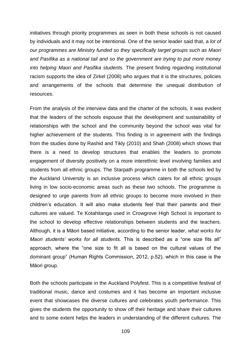initiatives through priority programmes as seen in both these schools is not caused by individuals and it may not be intentional. One of the senior leader said that, a *lot of our programmes are Ministry funded so they specifically target groups such as Maori and Pasifika as a national tail and so the government are trying to put more money into helping Maori and Pasifika students.* The present finding regarding institutional racism supports the idea of Zirkel (2008) who argues that it is the structures, policies and arrangements of the schools that determine the unequal distribution of resources.

From the analysis of the interview data and the charter of the schools, it was evident that the leaders of the schools espouse that the development and sustainability of relationships with the school and the community beyond the school was vital for higher achievement of the students. This finding is in agreement with the findings from the studies done by Rashid and Tikly (2010) and Shah (2008) which shows that there is a need to develop structures that enables the leaders to promote engagement of diversity positively on a more interethnic level involving families and students from all ethnic groups. The Starpath programme in both the schools led by the Auckland University is an inclusive process which caters for all ethnic groups living in low socio-economic areas such as these two schools. The programme is designed to urge parents from all ethnic groups to become more involved in their children's education. It will also make students feel that their parents and their cultures are valued. Te Kotahitanga used in Crowgrove High School is important to the school to develop effective relationships between students and the teachers. Although, it is a Māori based initiative, according to the senior leader, *what works for Maori students' works for all students.* This is described as a "one size fits all" approach, where the "one size to fit all is based on the cultural values of the dominant group" (Human Rights Commission, 2012, p.52), which in this case is the Māori group.

Both the schools participate in the Auckland Polyfest. This is a competitive festival of traditional music, dance and costumes and it has become an important inclusive event that showcases the diverse cultures and celebrates youth performance. This gives the students the opportunity to show off their heritage and share their cultures and to some extent helps the leaders in understanding of the different cultures. The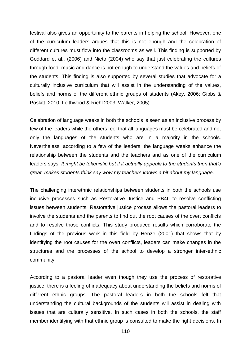festival also gives an opportunity to the parents in helping the school. However, one of the curriculum leaders argues that this is not enough and the celebration of different cultures must flow into the classrooms as well. This finding is supported by Goddard et al., (2006) and Nieto (2004) who say that just celebrating the cultures through food, music and dance is not enough to understand the values and beliefs of the students. This finding is also supported by several studies that advocate for a culturally inclusive curriculum that will assist in the understanding of the values, beliefs and norms of the different ethnic groups of students (Akey, 2006; Gibbs & Poskitt, 2010; Leithwood & Riehl 2003; Walker, 2005)

Celebration of language weeks in both the schools is seen as an inclusive process by few of the leaders while the others feel that all languages must be celebrated and not only the languages of the students who are in a majority in the schools. Nevertheless, according to a few of the leaders, the language weeks enhance the relationship between the students and the teachers and as one of the curriculum leaders says: *It might be tokenistic but if it actually appeals to the students then that's great, makes students think say wow my teachers knows a bit about my language.*

The challenging interethnic relationships between students in both the schools use inclusive processes such as Restorative Justice and PB4L to resolve conflicting issues between students. Restorative justice process allows the pastoral leaders to involve the students and the parents to find out the root causes of the overt conflicts and to resolve those conflicts. This study produced results which corroborate the findings of the previous work in this field by Henze (2001) that shows that by identifying the root causes for the overt conflicts, leaders can make changes in the structures and the processes of the school to develop a stronger inter-ethnic community.

According to a pastoral leader even though they use the process of restorative justice, there is a feeling of inadequacy about understanding the beliefs and norms of different ethnic groups. The pastoral leaders in both the schools felt that understanding the cultural backgrounds of the students will assist in dealing with issues that are culturally sensitive. In such cases in both the schools, the staff member identifying with that ethnic group is consulted to make the right decisions. In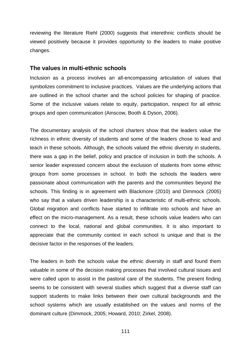reviewing the literature Riehl (2000) suggests that interethnic conflicts should be viewed positively because it provides opportunity to the leaders to make positive changes.

### **The values in multi-ethnic schools**

Inclusion as a process involves an all-encompassing articulation of values that symbolizes commitment to inclusive practices. Values are the underlying actions that are outlined in the school charter and the school policies for shaping of practice. Some of the inclusive values relate to equity, participation, respect for all ethnic groups and open communication (Ainscow, Booth & Dyson, 2006).

The documentary analysis of the school charters show that the leaders value the richness in ethnic diversity of students and some of the leaders chose to lead and teach in these schools. Although, the schools valued the ethnic diversity in students, there was a gap in the belief, policy and practice of inclusion in both the schools. A senior leader expressed concern about the exclusion of students from some ethnic groups from some processes in school. In both the schools the leaders were passionate about communication with the parents and the communities beyond the schools. This finding is in agreement with Blackmore (2010) and Dimmock (2005) who say that a values driven leadership is a characteristic of multi-ethnic schools. Global migration and conflicts have started to infiltrate into schools and have an effect on the micro-management. As a result, these schools value leaders who can connect to the local, national and global communities. It is also important to appreciate that the community context in each school is unique and that is the decisive factor in the responses of the leaders.

The leaders in both the schools value the ethnic diversity in staff and found them valuable in some of the decision making processes that involved cultural issues and were called upon to assist in the pastoral care of the students. The present finding seems to be consistent with several studies which suggest that a diverse staff can support students to make links between their own cultural backgrounds and the school systems which are usually established on the values and norms of the dominant culture (Dimmock, 2005; Howard, 2010; Zirkel, 2008).

111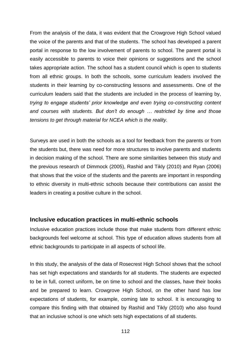From the analysis of the data, it was evident that the Crowgrove High School valued the voice of the parents and that of the students. The school has developed a parent portal in response to the low involvement of parents to school. The parent portal is easily accessible to parents to voice their opinions or suggestions and the school takes appropriate action. The school has a student council which is open to students from all ethnic groups. In both the schools, some curriculum leaders involved the students in their learning by co-constructing lessons and assessments. One of the curriculum leaders said that the students are included in the process of learning by, *trying to engage students' prior knowledge and even trying co-constructing content and courses with students. But don't do enough … restricted by time and those tensions to get through material for NCEA which is the reality.*

Surveys are used in both the schools as a tool for feedback from the parents or from the students but, there was need for more structures to involve parents and students in decision making of the school. There are some similarities between this study and the previous research of Dimmock (2005), Rashid and Tikly (2010) and Ryan (2006) that shows that the voice of the students and the parents are important in responding to ethnic diversity in multi-ethnic schools because their contributions can assist the leaders in creating a positive culture in the school.

## **Inclusive education practices in multi-ethnic schools**

Inclusive education practices include those that make students from different ethnic backgrounds feel welcome at school. This type of education allows students from all ethnic backgrounds to participate in all aspects of school life.

In this study, the analysis of the data of Rosecrest High School shows that the school has set high expectations and standards for all students. The students are expected to be in full, correct uniform, be on time to school and the classes, have their books and be prepared to learn. Crowgrove High School, on the other hand has low expectations of students, for example, coming late to school. It is encouraging to compare this finding with that obtained by Rashid and Tikly (2010) who also found that an inclusive school is one which sets high expectations of all students.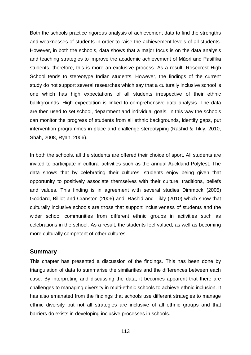Both the schools practice rigorous analysis of achievement data to find the strengths and weaknesses of students in order to raise the achievement levels of all students. However, in both the schools, data shows that a major focus is on the data analysis and teaching strategies to improve the academic achievement of Māori and Pasifika students, therefore, this is more an exclusive process. As a result, Rosecrest High School tends to stereotype Indian students. However, the findings of the current study do not support several researches which say that a culturally inclusive school is one which has high expectations of all students irrespective of their ethnic backgrounds. High expectation is linked to comprehensive data analysis. The data are then used to set school, department and individual goals. In this way the schools can monitor the progress of students from all ethnic backgrounds, identify gaps, put intervention programmes in place and challenge stereotyping (Rashid & Tikly, 2010, Shah, 2008, Ryan, 2006).

In both the schools, all the students are offered their choice of sport. All students are invited to participate in cultural activities such as the annual Auckland Polyfest. The data shows that by celebrating their cultures, students enjoy being given that opportunity to positively associate themselves with their culture, traditions, beliefs and values. This finding is in agreement with several studies Dimmock (2005) Goddard, Billlot and Cranston (2006) and, Rashid and Tikly (2010) which show that culturally inclusive schools are those that support inclusiveness of students and the wider school communities from different ethnic groups in activities such as celebrations in the school. As a result, the students feel valued, as well as becoming more culturally competent of other cultures.

### **Summary**

This chapter has presented a discussion of the findings. This has been done by triangulation of data to summarise the similarities and the differences between each case. By interpreting and discussing the data, it becomes apparent that there are challenges to managing diversity in multi-ethnic schools to achieve ethnic inclusion. It has also emanated from the findings that schools use different strategies to manage ethnic diversity but not all strategies are inclusive of all ethnic groups and that barriers do exists in developing inclusive processes in schools.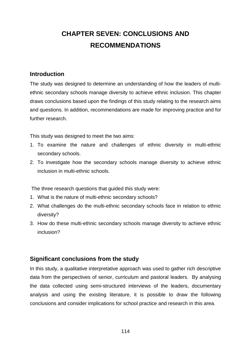# **CHAPTER SEVEN: CONCLUSIONS AND RECOMMENDATIONS**

## **Introduction**

The study was designed to determine an understanding of how the leaders of multiethnic secondary schools manage diversity to achieve ethnic inclusion. This chapter draws conclusions based upon the findings of this study relating to the research aims and questions. In addition, recommendations are made for improving practice and for further research.

This study was designed to meet the two aims:

- 1. To examine the nature and challenges of ethnic diversity in multi-ethnic secondary schools.
- 2. To investigate how the secondary schools manage diversity to achieve ethnic inclusion in multi-ethnic schools.

The three research questions that guided this study were:

- 1. What is the nature of multi-ethnic secondary schools?
- 2. What challenges do the multi-ethnic secondary schools face in relation to ethnic diversity?
- 3. How do these multi-ethnic secondary schools manage diversity to achieve ethnic inclusion?

## **Significant conclusions from the study**

In this study, a qualitative interpretative approach was used to gather rich descriptive data from the perspectives of senior, curriculum and pastoral leaders. By analysing the data collected using semi-structured interviews of the leaders, documentary analysis and using the existing literature, it is possible to draw the following conclusions and consider implications for school practice and research in this area.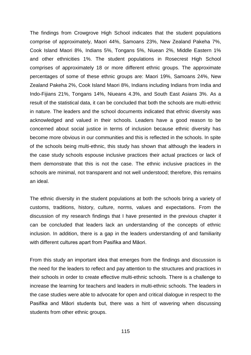The findings from Crowgrove High School indicates that the student populations comprise of approximately, Maori 44%, Samoans 23%, New Zealand Pakeha 7%, Cook Island Maori 8%, Indians 5%, Tongans 5%, Niuean 2%, Middle Eastern 1% and other ethnicities 1%. The student populations in Rosecrest High School comprises of approximately 18 or more different ethnic groups. The approximate percentages of some of these ethnic groups are: Maori 19%, Samoans 24%, New Zealand Pakeha 2%, Cook Island Maori 8%, Indians including Indians from India and Indo-Fijians 21%, Tongans 14%, Niueans 4.3%, and South East Asians 3%. As a result of the statistical data, it can be concluded that both the schools are multi-ethnic in nature. The leaders and the school documents indicated that ethnic diversity was acknowledged and valued in their schools. Leaders have a good reason to be concerned about social justice in terms of inclusion because ethnic diversity has become more obvious in our communities and this is reflected in the schools. In spite of the schools being multi-ethnic, this study has shown that although the leaders in the case study schools espouse inclusive practices their actual practices or lack of them demonstrate that this is not the case. The ethnic inclusive practices in the schools are minimal, not transparent and not well understood; therefore, this remains an ideal.

The ethnic diversity in the student populations at both the schools bring a variety of customs, traditions, history, culture, norms, values and expectations. From the discussion of my research findings that I have presented in the previous chapter it can be concluded that leaders lack an understanding of the concepts of ethnic inclusion. In addition, there is a gap in the leaders understanding of and familiarity with different cultures apart from Pasifika and Māori.

From this study an important idea that emerges from the findings and discussion is the need for the leaders to reflect and pay attention to the structures and practices in their schools in order to create effective multi-ethnic schools. There is a challenge to increase the learning for teachers and leaders in multi-ethnic schools. The leaders in the case studies were able to advocate for open and critical dialogue in respect to the Pasifika and Māori students but, there was a hint of wavering when discussing students from other ethnic groups.

115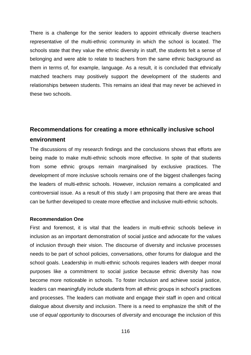There is a challenge for the senior leaders to appoint ethnically diverse teachers representative of the multi-ethnic community in which the school is located. The schools state that they value the ethnic diversity in staff, the students felt a sense of belonging and were able to relate to teachers from the same ethnic background as them in terms of, for example, language. As a result, it is concluded that ethnically matched teachers may positively support the development of the students and relationships between students. This remains an ideal that may never be achieved in these two schools.

# **Recommendations for creating a more ethnically inclusive school environment**

The discussions of my research findings and the conclusions shows that efforts are being made to make multi-ethnic schools more effective. In spite of that students from some ethnic groups remain marginalised by exclusive practices. The development of more inclusive schools remains one of the biggest challenges facing the leaders of multi-ethnic schools. However, inclusion remains a complicated and controversial issue. As a result of this study I am proposing that there are areas that can be further developed to create more effective and inclusive multi-ethnic schools.

### **Recommendation One**

First and foremost, it is vital that the leaders in multi-ethnic schools believe in inclusion as an important demonstration of social justice and advocate for the values of inclusion through their vision. The discourse of diversity and inclusive processes needs to be part of school policies, conversations, other forums for dialogue and the school goals. Leadership in multi-ethnic schools requires leaders with deeper moral purposes like a commitment to social justice because ethnic diversity has now become more noticeable in schools. To foster inclusion and achieve social justice, leaders can meaningfully include students from all ethnic groups in school's practices and processes. The leaders can motivate and engage their staff in open and critical dialogue about diversity and inclusion. There is a need to emphasize the shift of the use of *equal opportunity* to discourses of *diversity* and encourage the inclusion of this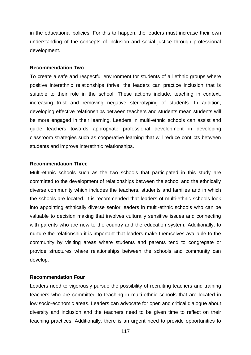in the educational policies. For this to happen, the leaders must increase their own understanding of the concepts of inclusion and social justice through professional development.

#### **Recommendation Two**

To create a safe and respectful environment for students of all ethnic groups where positive interethnic relationships thrive, the leaders can practice inclusion that is suitable to their role in the school. These actions include, teaching in context, increasing trust and removing negative stereotyping of students. In addition, developing effective relationships between teachers and students mean students will be more engaged in their learning. Leaders in multi-ethnic schools can assist and guide teachers towards appropriate professional development in developing classroom strategies such as cooperative learning that will reduce conflicts between students and improve interethnic relationships.

### **Recommendation Three**

Multi-ethnic schools such as the two schools that participated in this study are committed to the development of relationships between the school and the ethnically diverse community which includes the teachers, students and families and in which the schools are located. It is recommended that leaders of multi-ethnic schools look into appointing ethnically diverse senior leaders in multi-ethnic schools who can be valuable to decision making that involves culturally sensitive issues and connecting with parents who are new to the country and the education system. Additionally, to nurture the relationship it is important that leaders make themselves available to the community by visiting areas where students and parents tend to congregate or provide structures where relationships between the schools and community can develop.

### **Recommendation Four**

Leaders need to vigorously pursue the possibility of recruiting teachers and training teachers who are committed to teaching in multi-ethnic schools that are located in low socio-economic areas. Leaders can advocate for open and critical dialogue about diversity and inclusion and the teachers need to be given time to reflect on their teaching practices. Additionally, there is an urgent need to provide opportunities to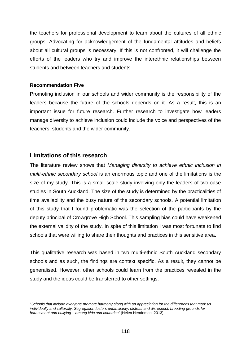the teachers for professional development to learn about the cultures of all ethnic groups. Advocating for acknowledgement of the fundamental attitudes and beliefs about all cultural groups is necessary. If this is not confronted, it will challenge the efforts of the leaders who try and improve the interethnic relationships between students and between teachers and students.

### **Recommendation Five**

Promoting inclusion in our schools and wider community is the responsibility of the leaders because the future of the schools depends on it. As a result, this is an important issue for future research. Further research to investigate how leaders manage diversity to achieve inclusion could include the voice and perspectives of the teachers, students and the wider community.

### **Limitations of this research**

The literature review shows that *Managing diversity to achieve ethnic inclusion in multi-ethnic secondary school* is an enormous topic and one of the limitations is the size of my study. This is a small scale study involving only the leaders of two case studies in South Auckland. The size of the study is determined by the practicalities of time availability and the busy nature of the secondary schools. A potential limitation of this study that I found problematic was the selection of the participants by the deputy principal of Crowgrove High School. This sampling bias could have weakened the external validity of the study. In spite of this limitation I was most fortunate to find schools that were willing to share their thoughts and practices in this sensitive area.

This qualitative research was based in two multi-ethnic South Auckland secondary schools and as such, the findings are context specific. As a result, they cannot be generalised. However, other schools could learn from the practices revealed in the study and the ideas could be transferred to other settings.

*<sup>&</sup>quot;Schools that include everyone promote harmony along with an appreciation for the differences that mark us individually and culturally. Segregation fosters unfamiliarity, distrust and disrespect, breeding grounds for harassment and bullying – among kids and countries"* [\(Helen Henderson, 2](http://www.thestar.com/living/article/574271)013).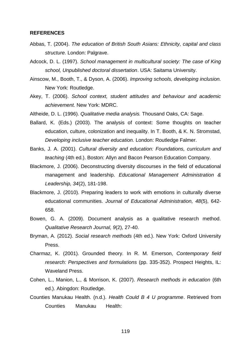#### **REFERENCES**

- Abbas, T. (2004). *The education of British South Asians: Ethnicity, capital and class structure.* London: Palgrave.
- Adcock, D. L. (1997). *School management in multicultural society: The case of King school, Unpublished doctoral dissertation*. USA: Saitama University.
- Ainscow, M., Booth, T., & Dyson, A. (2006). *Improving schools, developing inclusion.* New York: Routledge.
- Akey, T. (2006). *School context, student attitudes and behaviour and academic achievement.* New York: MDRC.
- Altheide, D. L. (1996). *Qualitative media analysis.* Thousand Oaks, CA: Sage.
- Ballard, K. (Eds.) (2003). The analysis of context: Some thoughts on teacher education, culture, colonization and inequality. In T. Booth, & K. N. Stromstad, *Developing inclusive teacher education.* London: Routledge Falmer.
- Banks, J. A. (2001). *Cultural diversity and education: Foundations, curriculum and teaching* (4th ed.). Boston: Allyn and Bacon Pearson Education Company.
- Blackmore, J. (2006). Deconstructing diversity discourses in the field of educational management and leadership. *Educational Management Administration & Leadership, 34*(2), 181-198.
- Blackmore, J. (2010). Preparing leaders to work with emotions in culturally diverse educational communities. *Journal of Educational Administration, 48*(5), 642- 658.
- Bowen, G. A. (2009). Document analysis as a qualitative research method. *Qualitative Research Journal, 9*(2), 27-40.
- Bryman, A. (2012). *Social research methods* (4th ed.). New York: Oxford University Press.
- Charmaz, K. (2001). Grounded theory. In R. M. Emerson, *Contemporary field research: Perspectives and formulations* (pp. 335-352). Prospect Heights, IL: Waveland Press.
- Cohen, L., Manion, L., & Morrison, K. (2007). *Research methods in education* (6th ed.). Abingdon: Routledge.
- Counties Manukau Health. (n.d.). *Health Could B 4 U programme*. Retrieved from Counties Manukau Health: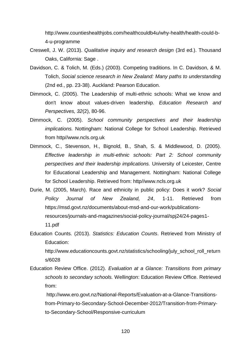http://www.countieshealthjobs.com/healthcouldb4u/why-health/health-could-b-4-u-programme

- Creswell, J. W. (2013). *Qualitative inquiry and research design* (3rd ed.). Thousand Oaks, California: Sage .
- Davidson, C. & Tolich, M. (Eds.) (2003). Competing traditions. In C. Davidson, & M. Tolich, *Social science research in New Zealand: Many paths to understanding* (2nd ed., pp. 23-38). Auckland: Pearson Education.
- Dimmock, C. (2005). The Leadership of multi-ethnic schools: What we know and don't know about values-driven leadership. *Education Research and Perspectives, 32*(2), 80-96.
- Dimmock, C. (2005). *School community perspectives and their leadership implications.* Nottingham: National College for School Leadership. Retrieved from http//www.ncls.org.uk
- Dimmock, C., Stevenson, H., Bignold, B., Shah, S. & Middlewood, D. (2005). *Effective leadership in multi-ethnic schools: Part 2: School community perspectives and their leadership implications.* University of Leicester, Centre for Educational Leadership and Management. Nottingham: National College for School Leadership. Retrieved from: http//www.ncls.org.uk
- Durie, M. (2005, March). Race and ethnicity in public policy: Does it work? *Social Policy Journal of New Zealand, 24*, 1-11. Retrieved from https://msd.govt.nz/documents/about-msd-and-our-work/publicationsresources/journals-and-magazines/social-policy-journal/spj24/24-pages1- 11.pdf
- Education Counts. (2013). *Statistics: Education Counts*. Retrieved from Ministry of Education:

http://www.educationcounts.govt.nz/statistics/schooling/july\_school\_roll\_return s/6028

Education Review Office. (2012). *Evaluation at a Glance: Transitions from primary schools to secondary schools.* Wellington: Education Review Office. Retrieved from:

http://www.ero.govt.nz/National-Reports/Evaluation-at-a-Glance-Transitionsfrom-Primary-to-Secondary-School-December-2012/Transition-from-Primaryto-Secondary-School/Responsive-curriculum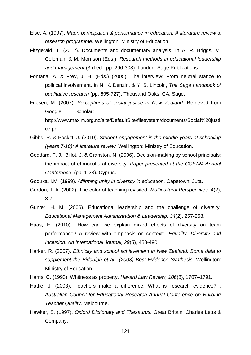- Else, A. (1997). *Maori participation & performance in education: A literature review & research programme.* Wellington: Ministry of Education.
- Fitzgerald, T. (2012). Documents and documentary analysis. In A. R. Briggs, M. Coleman, & M. Morrison (Eds.), *Research methods in educational leadership and management* (3rd ed., pp. 296-308). London: Sage Publications.
- Fontana, A. & Frey, J. H. (Eds.) (2005). The interview: From neutral stance to political involvement. In N. K. Denzin, & Y. S. Lincoln, *The Sage handbook of qualitative research* (pp. 695-727). Thousand Oaks, CA: Sage.
- Friesen, M. (2007). *Perceptions of social justice in New Zealand.* Retrieved from Google Scholar: http://www.maxim.org.nz/site/DefaultSite/filesystem/documents/Social%20justi ce.pdf
- Gibbs, R. & Poskitt, J. (2010). *Student engagement in the middle years of schooling (years 7-10): A literature review.* Wellington: Ministry of Education.
- Goddard, T. J., Billot, J. & Cranston, N. (2006). Decision-making by school principals: the impact of ethnocultural diversity. *Paper presented at the CCEAM Annual Conference*, (pp. 1-23). Cyprus.
- Goduka, I.M. (1999). *Affirming unity in diversity in education.* Capetown: Juta.
- Gordon, J. A. (2002). The color of teaching revisited. *Multicultural Perspectives, 4*(2), 3-7.
- Gunter, H. M. (2006). Educational leadership and the challenge of diversity. *Educational Management Administration & Leadership, 34*(2), 257-268.
- Haas, H. (2010). "How can we explain mixed effects of diversity on team performance? A review with emphasis on context". *Equality, Diversity and Inclusion: An International Journal, 29*(5), 458-490.
- Harker, R. (2007). *Ethnicity and school achievement in New Zealand: Some data to supplement the Biddulph et al., (2003) Best Evidence Synthesis.* Wellington: Ministry of Education.
- Harris, C. (1993). Whitness as property. *Havard Law Review, 106*(8), 1707–1791.
- Hattie, J. (2003). Teachers make a difference: What is research evidence? . *Australian Council for Educational Research Annual Conference on Building Teacher Quality.* Melbourne.
- Hawker, S. (1997). *Oxford Dictionary and Thesaurus.* Great Britain: Charles Letts & Company.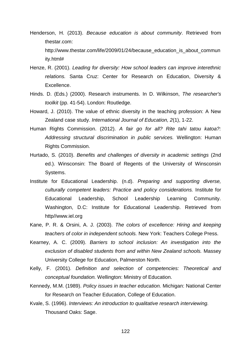- Henderson, H. (2013). *Because education is about community*. Retrieved from thestar.com: http://www.thestar.com/life/2009/01/24/because\_education\_is\_about\_commun ity.html#
- Henze, R. (2001). *Leading for diversity: How school leaders can improve interethnic relations.* Santa Cruz: Center for Research on Education, Diversity & Excellence.
- Hinds. D. (Eds.) (2000). Research instruments. In D. Wilkinson, *The researcher's toolkit* (pp. 41-54). London: Routledge.
- Howard, J. (2010). The value of ethnic diversity in the teaching profession: A New Zealand case study. *International Journal of Education, 2*(1), 1-22.
- Human Rights Commission. (2012). *A fair go for all? Rite tahi tatou katoa?: Addressing structural discrimination in public services.* Wellington: Human Rights Commission.
- Hurtado, S. (2010). *Benefits and challenges of diversity in academic settings* (2nd ed.). Winsconsin: The Board of Regents of the University of Winsconsin Systems.
- Institute for Educational Leadership. (n.d). *Preparing and supporting diverse, culturally competent leaders: Practice and policy considerations.* Institute for Educational Leadership, School Leadership Learning Community. Washington, D.C: Institute for Educational Leadership. Retrieved from http//www.iel.org
- Kane, P. R. & Orsini, A. J. (2003). *The colors of excellence: Hiring and keeping teachers of color in independent schools.* New York: Teachers College Press.
- Kearney, A. C. (2009). *Barriers to school inclusion: An investigation into the exclusion of disabled students from and within New Zealand schools.* Massey University College for Education, Palmerston North.
- Kelly, F. (2001). *Definition and selection of competencies: Theoretical and conceptual foundation.* Wellington: Ministry of Education.
- Kennedy, M.M. (1989). *Policy issues in teacher education.* Michigan: National Center for Research on Teacher Education, College of Education.
- Kvale, S. (1996). *Interviews: An introduction to qualitative research interviewing.*  Thousand Oaks: Sage.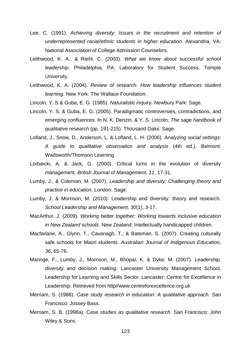- Lee, C. (1991). *Achieving diversity: Issues in the recruitment and retention of underrepresented racial/ethnic students in higher education.* Alexandria, VA: National Association of College Admission Counselors.
- Leithwood, K. A., & Riehl, C. (2003). *What we know about successful school leadership.* Philadelphia, PA: Laboratory for Student Success, Temple University.
- Leithwood, K. A. (2004). *Review of research: How leadership influences student learning.* New York: The Wallace Foundation.
- Lincoln, Y. S & Guba, E. G. (1985). *Naturalistic inquiry.* Newbury Park: Sage.
- Lincoln, Y. S. & Guba, E. G. (2005). Paradigmatic controversies, contradictions, and emerging confluences. In N. K. Denzin, & Y. S. Lincoln, *The sage handbook of qualitative research* (pp. 191-215). Thousand Oaks: Sage.
- Lofland, J., Snow, D., Anderson, L. & Lofland, L. H. (2006). *Analyzing social settings: A guide to qualitative observation and analysis* (4th ed.). Belmont: Wadsworth/Thomson Learning.
- Lorbiecki, A. & Jack, G. (2000). Critical turns in the evolution of diversity management. *British Journal of Management, 11*, 17-31.
- Lumby, J., & Coleman, M. (2007). *Leadership and diversity: Challenging theory and practice in education.* London: Sage.
- Lumby, J. & Morrison, M. (2010). Leadership and diversity: theory and research. *School Leadership and Management, 30*(1), 3-17.
- MacArthur, J. (2009). *Working better together: Working towards inclusive education in New Zealand schools.* New Zealand: Intellectually handicapped children.
- Macfarlane, A., Glynn, T., Cavanagh, T., & Bateman, S. (2007). Creating culturally safe schools for Maori students. *Australian Journal of Indigenous Education, 36*, 65-76.
- Maringe, F., Lumby, J., Morrison, M., Bhopal, K. & Dyke, M. (2007). *Leadership, diversity and decision making.* Lancaster University Management School, Leadership for Learning and Skills Sector. Lancaster: Centre for Excellence in Leadership. Retrieved from http//www.centreforexcellence.org.uk
- Merriam, S. (1988). *Case study research in education: A qualitative approach.* San Francisco: Jossey-Bass.
- Merriam, S. B. (1998a). *Case studies as qualitative research.* San Francisco: John Wiley & Sons.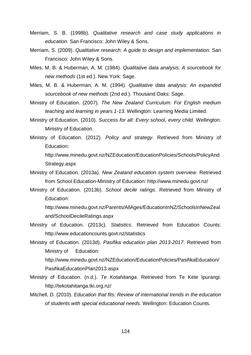- Merriam, S. B. (1998b). *Qualitative research and case study applications in education.* San Francisco: John Wiley & Sons.
- Merriam, S. (2009). *Qualitative research: A guide to design and implementation.* San Francisco: John Wiley & Sons.
- Miles, M. B. & Huberman, A. M. (1984). *Qualitative data analysis: A sourcebook for new methods* (1st ed.). New York: Sage.
- Miles, M. B. & Huberman, A. M. (1994). *Qualitative data analysis: An expanded sourcebook of new methods* (2nd ed.). Thousand Oaks: Sage.
- Ministry of Education. (2007). *The New Zealand Curriculum: For English medium teaching and learning in years 1-13.* Wellington: Learning Media Limited.
- Ministry of Education. (2010). *Success for all: Every school, every child.* Wellington: Ministry of Education.
- Ministry of Education. (2012). *Policy and strategy*. Retrieved from Ministry of Education:

http://www.minedu.govt.nz/NZEducation/EducationPolicies/Schools/PolicyAnd Strategy.aspx

- Ministry of Education. (2013a). *New Zealand education system overview*. Retrieved from School Education-Ministry of Education: http://www.minedu.govt.nz/
- Ministry of Education. (2013b). *School decile ratings*. Retrieved from Ministry of Education:

http://www.minedu.govt.nz/Parents/AllAges/EducationInNZ/SchoolsInNewZeal and/SchoolDecileRatings.aspx

- Ministry of Education. (2013c). *Statistics*. Retrieved from Education Counts: http://www.educationcounts.govt.nz/statistics
- Ministry of Education. (2013d). *Pasifika education plan 2013-2017*. Retrieved from Ministry of Education: http://www.minedu.govt.nz/NZEducation/EducationPolicies/PasifikaEducation/ PasifikaEducationPlan2013.aspx
- Ministry of Education. (n.d.). *Te Kotahitanga*. Retrieved from Te Kete Ipurangi: http://tekotahitanga.tki.org.nz/
- Mitchell, D. (2010). *Education that fits: Review of international trends in the education of students with special educational needs.* Wellington: Education Counts.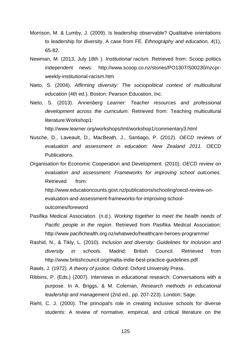- Morrison, M. & Lumby, J. (2009). Is leadership observable? Qualitative orientations to leadership for diversity. A case from FE. *Ethnography and education, 4*(1), 65-82.
- Newman, M. (2013, July 18th ). *Institutional racism*. Retrieved from: Scoop politics independent news: http://www.scoop.co.nz/stories/PO1307/S00230/nzcprweekly-institutional-racism.htm
- Nieto, S. (2004). *Affirming diversity: The sociopolitical context of multicultural education* (4th ed.). Boston: Pearson Education, Inc.
- Nieto, S. (2013). *Annenberg Learner: Teacher resources and professional development across the curriculum*. Retrieved from: Teaching multicultural literature:Workshop1:

http://www.learner.org/workshops/tml/workshop1/commentary3.html

- Nusche, D., Laveault, D., MacBeath, J., Santiago, P. (2012). *OECD reviews of evaluation and assessment in education: New Zealand 2011.* OECD Publications.
- Organisation for Economic Cooperation and Development. (2010). *OECD review on evaluation and assessment: Frameworks for improving school outcomes.* Retrieved from:

http://www.educationcounts.govt.nz/publications/schooling/oecd-review-onevaluation-and-assessment-frameworks-for-improving-schooloutcomes/foreword

- Pasifika Medical Association. (n.d.). *Working together to meet the health needs of Pacific people in the region*. Retrieved from Pasifika Medical Association: http://www.pacifichealth.org.nz/whatwedo/healthcare-heroes-programme/
- Rashid, N., & Tikly, L. (2010). *Inclusion and diversity: Guidelines for inclusion and diversity in schools.* Madrid: British Council. Retrieved from http://www.britishcouncil.org/malta-indie-best-practice-guidelines.pdf
- Rawls, J. (1972). *A theory of justice.* Oxford: Oxford University Press.
- Ribbins, P. (Eds.) (2007). Interviews in educational research: Conversations with a purpose. In A. Briggs, & M. Coleman, *Research methods in educational leadership and management* (2nd ed., pp. 207-223). London: Sage.
- Riehl, C. J. (2000). The principal's role in creating inclusive schools for diverse students: A review of normative, empirical, and critical literature on the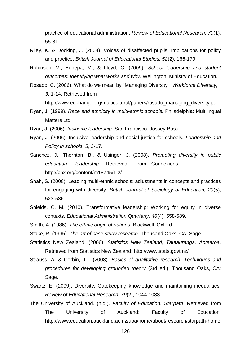practice of educational administration. *Review of Educational Research, 70*(1), 55-81.

- Riley, K. & Docking, J. (2004). Voices of disaffected pupils: Implications for policy and practice. *British Journal of Educational Studies, 52*(2), 166-179.
- Robinson, V., Hohepa, M., & Lloyd, C. (2009). *School leadership and student outcomes: Identifying what works and why.* Wellington: Ministry of Education.
- Rosado, C. (2006). What do we mean by "Managing Diversity". *Workforce Diversity, 3*, 1-14. Retrieved from http://www.edchange.org/multicultural/papers/rosado\_managing\_diversity.pdf
- Ryan, J. (1999). *Race and ethnicity in multi-ethnic schools.* Philadelphia: Multilingual Matters Ltd.
- Ryan, J. (2006). *Inclusive leadership*. San Francisco: Jossey-Bass.
- Ryan, J. (2006). Inclusive leadership and social justice for schools. *Leadership and Policy in schools, 5*, 3-17.
- Sanchez, J., Thornton, B., & Usinger, J. (2008). *Promoting diversity in public education leadership*. Retrieved from Connexions: http://cnx.org/content/m18745/1.2/
- Shah, S. (2008). Leading multi-ethnic schools: adjustments in concepts and practices for engaging with diversity. *British Journal of Sociology of Education, 29*(5), 523-536.
- Shields, C. M. (2010). Transformative leadership: Working for equity in diverse contexts. *Educational Administration Quarterly, 46*(4), 558-589.
- Smith, A. (1986). *The ethnic origin of nations.* Blackwell: Oxford.
- Stake, R. (1995). *The art of case study research.* Thousand Oaks, CA: Sage.
- Statistics New Zealand. (2006). *Statistics New Zealand, Tautauranga, Aotearoa*. Retrieved from Statistics New Zealand: http://www.stats.govt.nz/
- Strauss, A. & Corbin, J. . (2008). *Basics of qualitative research: Techniques and procedures for developing grounded theory* (3rd ed.). Thousand Oaks, CA: Sage.
- Swartz, E. (2009). Diversity: Gatekeeping knowledge and maintaining inequalities. *Review of Educational Research, 79*(2), 1044-1083.
- The University of Auckland. (n.d.). *Faculty of Education: Starpath*. Retrieved from The University of Auckland: Faculty of Education: http://www.education.auckland.ac.nz/uoa/home/about/research/starpath-home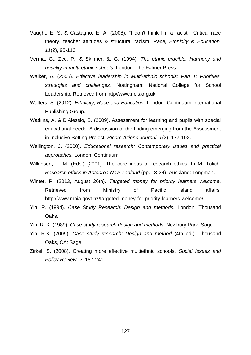- Vaught, E. S. & Castagno, E. A. (2008). "I don't think I'm a racist": Critical race theory, teacher attitudes & structural racism. *Race, Ethnicity & Education, 11*(2), 95-113.
- Verma, G., Zec, P., & Skinner, &. G. (1994). *The ethnic crucible: Harmony and hostility in multi-ethnic schools.* London: The Falmer Press.
- Walker, A. (2005). *Effective leadership in Multi-ethnic schools: Part 1: Priorities, strategies and challenges.* Nottingham: National College for School Leadership. Retrieved from http//www.ncls.org.uk
- Walters, S. (2012). *Ethnicity, Race and Education.* London: Continuum International Publishing Group.
- Watkins, A. & D'Alessio, S. (2009). Assessment for learning and pupils with special educational needs. A discussion of the finding emerging from the Assessment in Inclusive Setting Project. *Ricerc Azione Journal, 1*(2), 177-192.
- Wellington, J. (2000). *Educational research: Contemporary issues and practical approaches.* London: Continuum.
- Wilkinson, T. M. (Eds.) (2001). The core ideas of research ethics. In M. Tolich, *Research ethics in Aotearoa New Zealand* (pp. 13-24). Auckland: Longman.
- Winter, P. (2013, August 26th). *Targeted money for priority learners welcome*. Retrieved from Ministry of Pacific Island affairs: http://www.mpia.govt.nz/targeted-money-for-priority-learners-welcome/
- Yin, R. (1994). *Case Study Research: Design and methods.* London: Thousand Oaks.
- Yin, R. K. (1989). *Case study research design and methods.* Newbury Park: Sage.
- Yin, R.K. (2009). *Case study research: Design and method* (4th ed.). Thousand Oaks, CA: Sage.
- Zirkel, S. (2008). Creating more effective multiethnic schools. *Social Issues and Policy Review, 2*, 187-241.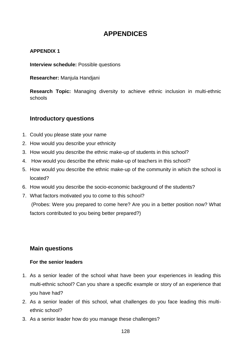## **APPENDICES**

## **APPENDIX 1**

**Interview schedule:** Possible questions

**Researcher:** Manjula Handjani

**Research Topic:** Managing diversity to achieve ethnic inclusion in multi-ethnic schools

## **Introductory questions**

- 1. Could you please state your name
- 2. How would you describe your ethnicity
- 3. How would you describe the ethnic make-up of students in this school?
- 4. How would you describe the ethnic make-up of teachers in this school?
- 5. How would you describe the ethnic make-up of the community in which the school is located?
- 6. How would you describe the socio-economic background of the students?
- 7. What factors motivated you to come to this school? (Probes: Were you prepared to come here? Are you in a better position now? What factors contributed to you being better prepared?)

## **Main questions**

### **For the senior leaders**

- 1. As a senior leader of the school what have been your experiences in leading this multi-ethnic school? Can you share a specific example or story of an experience that you have had?
- 2. As a senior leader of this school, what challenges do you face leading this multiethnic school?
- 3. As a senior leader how do you manage these challenges?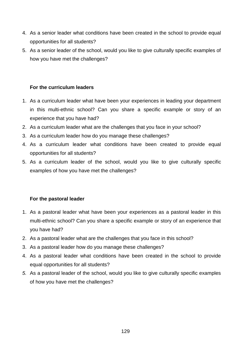- 4. As a senior leader what conditions have been created in the school to provide equal opportunities for all students?
- 5. As a senior leader of the school, would you like to give culturally specific examples of how you have met the challenges?

### **For the curriculum leaders**

- 1. As a curriculum leader what have been your experiences in leading your department in this multi-ethnic school? Can you share a specific example or story of an experience that you have had?
- 2. As a curriculum leader what are the challenges that you face in your school?
- 3. As a curriculum leader how do you manage these challenges?
- 4. As a curriculum leader what conditions have been created to provide equal opportunities for all students?
- 5. As a curriculum leader of the school, would you like to give culturally specific examples of how you have met the challenges?

### **For the pastoral leader**

- 1. As a pastoral leader what have been your experiences as a pastoral leader in this multi-ethnic school? Can you share a specific example or story of an experience that you have had?
- 2. As a pastoral leader what are the challenges that you face in this school?
- 3. As a pastoral leader how do you manage these challenges?
- 4. As a pastoral leader what conditions have been created in the school to provide equal opportunities for all students?
- *5.* As a pastoral leader of the school, would you like to give culturally specific examples of how you have met the challenges?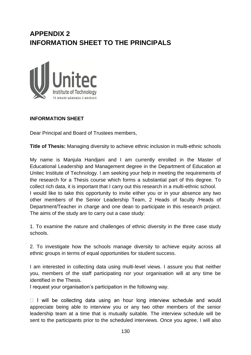# **APPENDIX 2 INFORMATION SHEET TO THE PRINCIPALS**



## **INFORMATION SHEET**

Dear Principal and Board of Trustees members,

**Title of Thesis:** Managing diversity to achieve ethnic inclusion in multi-ethnic schools

My name is Manjula Handjani and I am currently enrolled in the Master of Educational Leadership and Management degree in the Department of Education at Unitec Institute of Technology. I am seeking your help in meeting the requirements of the research for a Thesis course which forms a substantial part of this degree. To collect rich data, it is important that I carry out this research in a multi-ethnic school. I would like to take this opportunity to invite either you or in your absence any two other members of the Senior Leadership Team, 2 Heads of faculty /Heads of Department/Teacher in charge and one dean to participate in this research project. The aims of the study are to carry out a case study:

1. To examine the nature and challenges of ethnic diversity in the three case study schools.

2. To investigate how the schools manage diversity to achieve equity across all ethnic groups in terms of equal opportunities for student success.

I am interested in collecting data using multi-level views. I assure you that neither you, members of the staff participating nor your organisation will at any time be identified in the Thesis.

I request your organisation's participation in the following way.

 $\Box$  I will be collecting data using an hour long interview schedule and would appreciate being able to interview you or any two other members of the senior leadership team at a time that is mutually suitable. The interview schedule will be sent to the participants prior to the scheduled interviews. Once you agree, I will also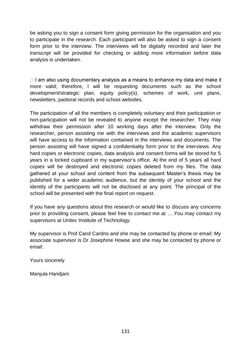be asking you to sign a consent form giving permission for the organisation and you to participate in the research. Each participant will also be asked to sign a consent form prior to the interview. The interviews will be digitally recorded and later the transcript will be provided for checking or adding more information before data analysis is undertaken.

 $\Box$  I am also using documentary analysis as a means to enhance my data and make it more valid; therefore, I will be requesting documents such as the school development/strategic plan, equity policy(s), schemes of work, unit plans, newsletters, pastoral records and school websites.

The participation of all the members is completely voluntary and their participation or non-participation will not be revealed to anyone except the researcher. They may withdraw their permission after 10 working days after the interview. Only the researcher, person assisting me with the interviews and the academic supervisors will have access to the information contained in the interviews and documents. The person assisting will have signed a confidentiality form prior to the interviews. Any hard copies or electronic copies, data analysis and consent forms will be stored for 5 years in a locked cupboard in my supervisor's office. At the end of 5 years all hard copies will be destroyed and electronic copies deleted from my files. The data gathered at your school and content from the subsequent Master's thesis may be published for a wider academic audience, but the identity of your school and the identity of the participants will not be disclosed at any point. The principal of the school will be presented with the final report on request.

If you have any questions about this research or would like to discuss any concerns prior to providing consent, please feel free to contact me at ….You may contact my supervisors at Unitec Institute of Technology.

My supervisor is Prof Carol Cardno and she may be contacted by phone or email: My associate supervisor is Dr Josephine Howse and she may be contacted by phone or email:

Yours sincerely

Manjula Handjani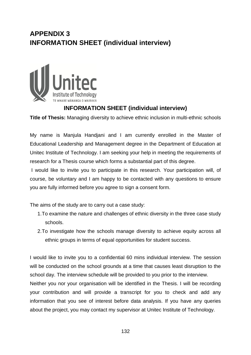# **APPENDIX 3 INFORMATION SHEET (individual interview)**



## **INFORMATION SHEET (individual interview)**

**Title of Thesis:** Managing diversity to achieve ethnic inclusion in multi-ethnic schools

My name is Manjula Handjani and I am currently enrolled in the Master of Educational Leadership and Management degree in the Department of Education at Unitec Institute of Technology. I am seeking your help in meeting the requirements of research for a Thesis course which forms a substantial part of this degree.

I would like to invite you to participate in this research. Your participation will, of course, be voluntary and I am happy to be contacted with any questions to ensure you are fully informed before you agree to sign a consent form.

The aims of the study are to carry out a case study:

- 1.To examine the nature and challenges of ethnic diversity in the three case study schools.
- 2.To investigate how the schools manage diversity to achieve equity across all ethnic groups in terms of equal opportunities for student success.

I would like to invite you to a confidential 60 mins individual interview. The session will be conducted on the school grounds at a time that causes least disruption to the school day. The interview schedule will be provided to you prior to the interview.

Neither you nor your organisation will be identified in the Thesis. I will be recording your contribution and will provide a transcript for you to check and add any information that you see of interest before data analysis. If you have any queries about the project, you may contact my supervisor at Unitec Institute of Technology.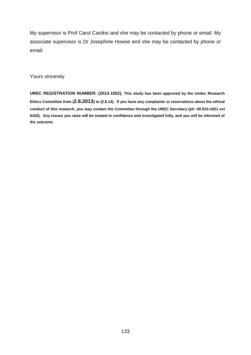My supervisor is Prof Carol Cardno and she may be contacted by phone or email: My associate supervisor is Dr Josephine Howse and she may be contacted by phone or email:

Yours sincerely

**UREC REGISTRATION NUMBER: (2013-1052). This study has been approved by the Unitec Research Ethics Committee from (2.8.2013) to (2.8.14). If you have any complaints or reservations about the ethical conduct of this research, you may contact the Committee through the UREC Secretary (ph: 09 815-4321 ext 6162). Any issues you raise will be treated in confidence and investigated fully, and you will be informed of the outcome.**